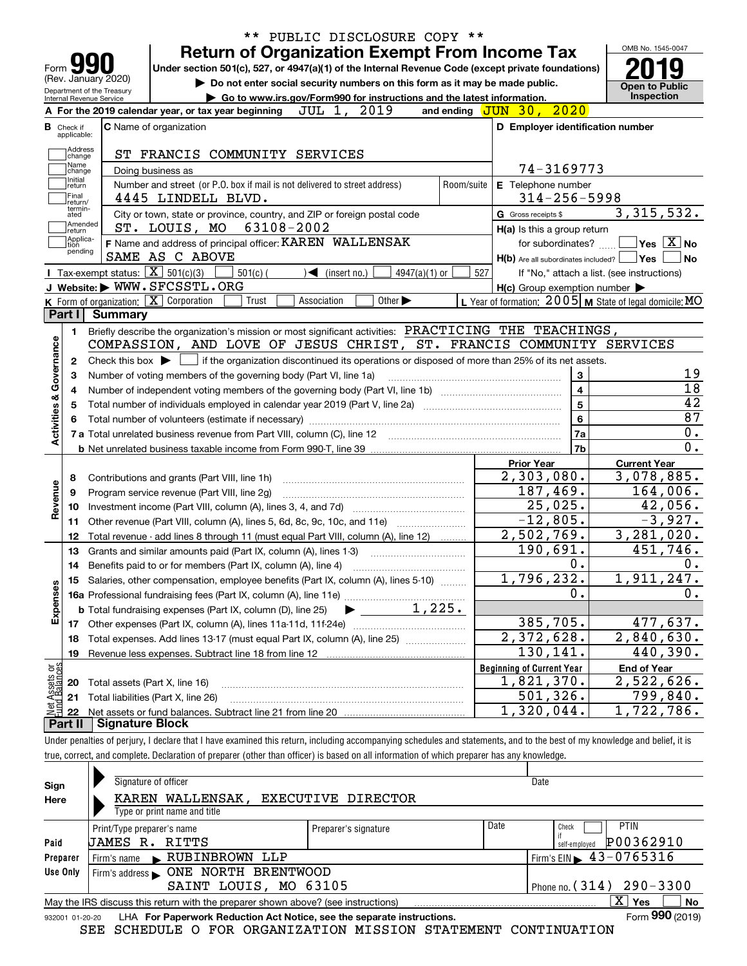|                                                   |                                                                                                                                                        |  | <b>Return of Organization Exempt From Income Tax</b>                                               | PUBLIC DISCLOSURE COPY ** |                                   |      |                             |                 |                          |                     |                                                     | OMB No. 1545-0047                                         |
|---------------------------------------------------|--------------------------------------------------------------------------------------------------------------------------------------------------------|--|----------------------------------------------------------------------------------------------------|---------------------------|-----------------------------------|------|-----------------------------|-----------------|--------------------------|---------------------|-----------------------------------------------------|-----------------------------------------------------------|
| Form <b>Y</b>                                     |                                                                                                                                                        |  | Under section 501(c), 527, or 4947(a)(1) of the Internal Revenue Code (except private foundations) |                           |                                   |      |                             |                 |                          |                     |                                                     |                                                           |
| (Rev. January 2020)<br>Department of the Treasury |                                                                                                                                                        |  | Do not enter social security numbers on this form as it may be made public.                        |                           |                                   |      |                             |                 |                          |                     |                                                     | <b>Open to Public</b>                                     |
| Internal Revenue Service                          | A For the 2019 calendar year, or tax year beginning                                                                                                    |  | Go to www.irs.gov/Form990 for instructions and the latest information.                             | JUL 1,                    |                                   | 2019 |                             |                 | and ending JUN 30, 2020  |                     |                                                     | <b>Inspection</b>                                         |
|                                                   |                                                                                                                                                        |  |                                                                                                    |                           |                                   |      |                             |                 |                          |                     |                                                     |                                                           |
| <b>B</b> Check if<br>applicable:                  | <b>C</b> Name of organization                                                                                                                          |  |                                                                                                    |                           |                                   |      |                             |                 |                          |                     |                                                     | D Employer identification number                          |
| Address<br> change                                |                                                                                                                                                        |  | ST FRANCIS COMMUNITY SERVICES                                                                      |                           |                                   |      |                             |                 |                          |                     |                                                     |                                                           |
| Name<br>change                                    | Doing business as                                                                                                                                      |  |                                                                                                    |                           |                                   |      |                             |                 |                          |                     | 74-3169773                                          |                                                           |
| Initial<br>return                                 |                                                                                                                                                        |  | Number and street (or P.O. box if mail is not delivered to street address)                         |                           |                                   |      |                             |                 | Room/suite               |                     | E Telephone number                                  |                                                           |
| Final<br>return/                                  | 4445 LINDELL BLVD.                                                                                                                                     |  |                                                                                                    |                           |                                   |      |                             |                 |                          |                     | $314 - 256 - 5998$                                  |                                                           |
| termin-<br>ated                                   |                                                                                                                                                        |  | City or town, state or province, country, and ZIP or foreign postal code                           |                           |                                   |      |                             |                 |                          | G Gross receipts \$ |                                                     | 3,315,532.                                                |
| Amended<br> return                                | ST. LOUIS, MO                                                                                                                                          |  |                                                                                                    | 63108-2002                |                                   |      |                             |                 |                          |                     | H(a) Is this a group return                         |                                                           |
| Applica-<br>Ition                                 | F Name and address of principal officer: KAREN WALLENSAK                                                                                               |  |                                                                                                    |                           |                                   |      |                             |                 |                          |                     | for subordinates?                                   | $\sqrt{}$ Yes $\sqrt{}$ $\overline{\rm X}$ No             |
| pending                                           | SAME AS C ABOVE                                                                                                                                        |  |                                                                                                    |                           |                                   |      |                             |                 |                          |                     | $H(b)$ Are all subordinates included?               | <b>Yes</b>                                                |
|                                                   | Tax-exempt status: $\boxed{\mathbf{X}}$ 501(c)(3)                                                                                                      |  | $501(c)$ (                                                                                         |                           | $\blacktriangleleft$ (insert no.) |      |                             | $4947(a)(1)$ or | 527                      |                     |                                                     | If "No," attach a list. (see instructions)                |
|                                                   | J Website: WWW.SFCSSTL.ORG                                                                                                                             |  |                                                                                                    |                           |                                   |      |                             |                 |                          |                     | $H(c)$ Group exemption number $\blacktriangleright$ |                                                           |
|                                                   | K Form of organization: X Corporation                                                                                                                  |  | Trust                                                                                              | Association               |                                   |      | Other $\blacktriangleright$ |                 |                          |                     |                                                     | L Year of formation: $2005$ M State of legal domicile: MO |
| Part I                                            | Summary                                                                                                                                                |  |                                                                                                    |                           |                                   |      |                             |                 |                          |                     |                                                     |                                                           |
| 1.                                                | Briefly describe the organization's mission or most significant activities: PRACTICING THE TEACHINGS,                                                  |  |                                                                                                    |                           |                                   |      |                             |                 |                          |                     |                                                     |                                                           |
|                                                   | COMPASSION, AND LOVE OF JESUS CHRIST, ST. FRANCIS COMMUNITY SERVICES                                                                                   |  |                                                                                                    |                           |                                   |      |                             |                 |                          |                     |                                                     |                                                           |
| 2                                                 | Check this box $\blacktriangleright$ $\Box$ if the organization discontinued its operations or disposed of more than 25% of its net assets.            |  |                                                                                                    |                           |                                   |      |                             |                 |                          |                     |                                                     |                                                           |
| З                                                 | Number of voting members of the governing body (Part VI, line 1a)                                                                                      |  |                                                                                                    |                           |                                   |      |                             |                 |                          |                     | 3                                                   |                                                           |
| Activities & Governance<br>4                      |                                                                                                                                                        |  |                                                                                                    |                           |                                   |      |                             |                 |                          |                     | $\overline{\mathbf{4}}$                             |                                                           |
| 5                                                 |                                                                                                                                                        |  |                                                                                                    |                           |                                   |      |                             |                 |                          | 5                   |                                                     |                                                           |
|                                                   |                                                                                                                                                        |  |                                                                                                    |                           |                                   |      |                             |                 |                          |                     | 6                                                   |                                                           |
|                                                   |                                                                                                                                                        |  |                                                                                                    |                           |                                   |      |                             |                 |                          |                     | 7a                                                  |                                                           |
|                                                   |                                                                                                                                                        |  |                                                                                                    |                           |                                   |      |                             |                 |                          |                     | 7b                                                  |                                                           |
|                                                   |                                                                                                                                                        |  |                                                                                                    |                           |                                   |      |                             |                 |                          | <b>Prior Year</b>   | $\overline{2}$ , 303, 080.                          | <b>Current Year</b><br>3,078,885.                         |
| 8                                                 | Contributions and grants (Part VIII, line 1h)                                                                                                          |  |                                                                                                    |                           |                                   |      |                             |                 |                          |                     | 187,469.                                            | 164,006.                                                  |
| Revenue<br>9                                      | Program service revenue (Part VIII, line 2g)                                                                                                           |  |                                                                                                    |                           |                                   |      |                             |                 |                          |                     | $\overline{25}$ , 025.                              | 42,056.                                                   |
| 10                                                |                                                                                                                                                        |  |                                                                                                    |                           |                                   |      |                             |                 |                          |                     | $-12,805.$                                          | $-3,927.$                                                 |
| 11<br>12                                          | Other revenue (Part VIII, column (A), lines 5, 6d, 8c, 9c, 10c, and 11e)                                                                               |  |                                                                                                    |                           |                                   |      |                             |                 |                          |                     | 2,502,769.                                          | 3,281,020.                                                |
| 13                                                | Total revenue - add lines 8 through 11 (must equal Part VIII, column (A), line 12)<br>Grants and similar amounts paid (Part IX, column (A), lines 1-3) |  |                                                                                                    |                           |                                   |      |                             |                 |                          |                     | 190,691.                                            | 451,746.                                                  |
| 14                                                |                                                                                                                                                        |  |                                                                                                    |                           |                                   |      |                             |                 |                          |                     | 0.                                                  |                                                           |
|                                                   | 15 Salaries, other compensation, employee benefits (Part IX, column (A), lines 5-10)                                                                   |  |                                                                                                    |                           |                                   |      |                             |                 |                          |                     | 1,796,232.                                          | 1,911,247.                                                |
|                                                   |                                                                                                                                                        |  |                                                                                                    |                           |                                   |      |                             |                 |                          |                     | 0.                                                  |                                                           |
| Expenses                                          | <b>b</b> Total fundraising expenses (Part IX, column (D), line 25)                                                                                     |  |                                                                                                    |                           |                                   |      |                             | 1,225.          |                          |                     |                                                     |                                                           |
| 17                                                |                                                                                                                                                        |  |                                                                                                    |                           |                                   |      |                             |                 |                          |                     | 385,705.                                            | 477,637.                                                  |
| 18                                                | Total expenses. Add lines 13-17 (must equal Part IX, column (A), line 25)<br>Revenue less expenses. Subtract line 18 from line 12                      |  |                                                                                                    |                           |                                   |      |                             |                 | $\overline{2,372,628}$ . | 2,840,630.          |                                                     |                                                           |
| 19                                                |                                                                                                                                                        |  |                                                                                                    |                           |                                   |      |                             |                 | 130,141.                 | 440,390.            |                                                     |                                                           |
|                                                   |                                                                                                                                                        |  |                                                                                                    |                           |                                   |      |                             |                 |                          |                     | <b>Beginning of Current Year</b>                    | <b>End of Year</b>                                        |
| t Assets or<br>d Balances<br>20                   | Total assets (Part X, line 16)                                                                                                                         |  |                                                                                                    |                           |                                   |      |                             |                 |                          |                     | 1,821,370.                                          | 2,522,626.                                                |
| 21                                                | Total liabilities (Part X, line 26)                                                                                                                    |  |                                                                                                    |                           |                                   |      |                             |                 |                          |                     | 501, 326.                                           | 799,840.                                                  |
| 혏<br>22                                           |                                                                                                                                                        |  |                                                                                                    |                           |                                   |      |                             |                 |                          |                     | 1,320,044.                                          | 1,722,786.                                                |
| Part II                                           | <b>Signature Block</b>                                                                                                                                 |  |                                                                                                    |                           |                                   |      |                             |                 |                          |                     |                                                     |                                                           |

true, correct, and complete. Declaration of preparer (other than officer) is based on all information of which preparer has any knowledge.

| Sign            | Signature of officer                                                              | Date                 |      |                                             |  |  |  |  |  |
|-----------------|-----------------------------------------------------------------------------------|----------------------|------|---------------------------------------------|--|--|--|--|--|
| Here            | KAREN WALLENSAK,<br>EXECUTIVE DIRECTOR                                            |                      |      |                                             |  |  |  |  |  |
|                 | Type or print name and title                                                      |                      |      |                                             |  |  |  |  |  |
|                 | Print/Type preparer's name                                                        | Preparer's signature | Date | <b>PTIN</b><br>Check                        |  |  |  |  |  |
| Paid            | JAMES R. RITTS                                                                    |                      |      | P00362910<br>self-emploved                  |  |  |  |  |  |
| Preparer        | Firm's name RUBINBROWN<br>LLP                                                     |                      |      | Firm's EIN $\blacktriangleright$ 43-0765316 |  |  |  |  |  |
| Use Only        |                                                                                   |                      |      |                                             |  |  |  |  |  |
|                 | SAINT LOUIS, MO 63105                                                             |                      |      | Phone no. $(314)$ 290 - 3300                |  |  |  |  |  |
|                 | May the IRS discuss this return with the preparer shown above? (see instructions) |                      |      | ΧI<br>Yes<br>No                             |  |  |  |  |  |
| 932001 01-20-20 | LHA For Paperwork Reduction Act Notice, see the separate instructions.            |                      |      | Form 990 (2019)                             |  |  |  |  |  |
|                 | COURDITE O ROB ODCANTRARION MICCION CRAFINENT CONTENTIARION<br>$\alpha$ mm        |                      |      |                                             |  |  |  |  |  |

SEE SCHEDULE O FOR ORGANIZATION MISSION STATEMENT CONTINUATION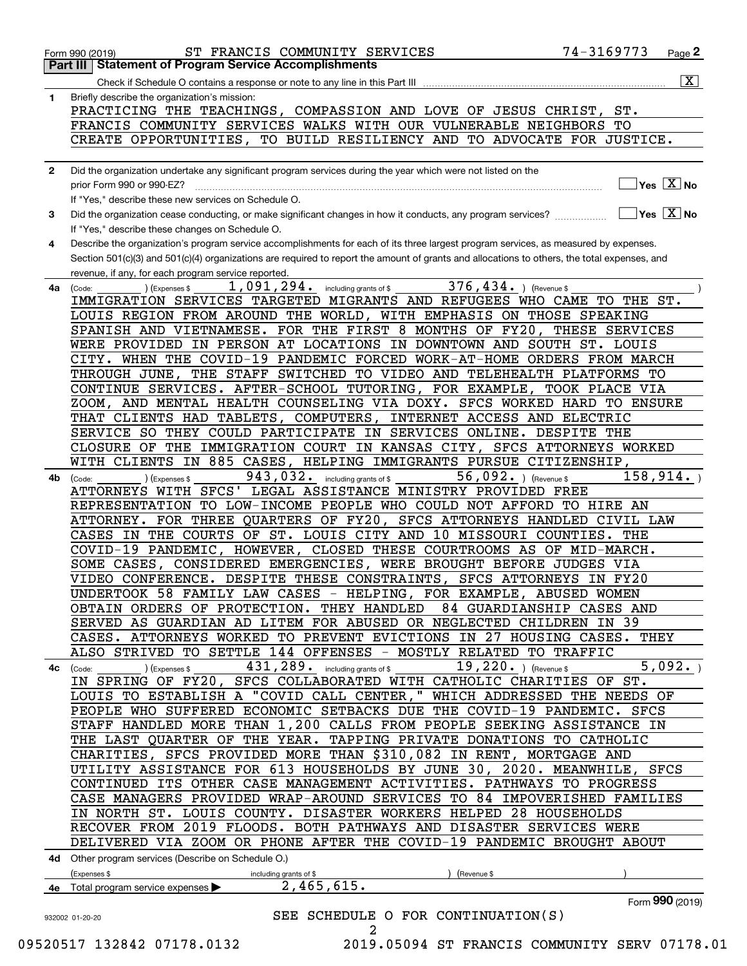|              | $\overline{\mathbf{x}}$                                                                                                                                         |
|--------------|-----------------------------------------------------------------------------------------------------------------------------------------------------------------|
| 1            | Briefly describe the organization's mission:<br>PRACTICING THE TEACHINGS, COMPASSION AND LOVE OF JESUS CHRIST, ST.                                              |
|              | FRANCIS COMMUNITY SERVICES WALKS WITH OUR VULNERABLE NEIGHBORS TO                                                                                               |
|              | CREATE OPPORTUNITIES, TO BUILD RESILIENCY AND TO ADVOCATE FOR JUSTICE.                                                                                          |
|              |                                                                                                                                                                 |
| $\mathbf{2}$ | Did the organization undertake any significant program services during the year which were not listed on the                                                    |
|              | $]$ Yes $[\overline{\mathrm{X}}]$ No<br>prior Form 990 or 990-EZ?                                                                                               |
|              | If "Yes." describe these new services on Schedule O.                                                                                                            |
| 3            | $\boxed{\phantom{1}}$ Yes $\boxed{\text{X}}$ No<br>Did the organization cease conducting, or make significant changes in how it conducts, any program services? |
|              | If "Yes," describe these changes on Schedule O.                                                                                                                 |
| 4            | Describe the organization's program service accomplishments for each of its three largest program services, as measured by expenses.                            |
|              | Section 501(c)(3) and 501(c)(4) organizations are required to report the amount of grants and allocations to others, the total expenses, and                    |
|              | revenue, if any, for each program service reported.                                                                                                             |
| 4a           | 1,091,294. including grants of \$<br>376, 434. $ $ (Revenue \$<br>) (Expenses \$<br>(Code:                                                                      |
|              | IMMIGRATION SERVICES TARGETED MIGRANTS AND REFUGEES WHO CAME TO THE ST.                                                                                         |
|              | LOUIS REGION FROM AROUND THE WORLD, WITH EMPHASIS ON THOSE SPEAKING                                                                                             |
|              | SPANISH AND VIETNAMESE. FOR THE FIRST 8 MONTHS OF FY20, THESE SERVICES                                                                                          |
|              | WERE PROVIDED IN PERSON AT LOCATIONS IN DOWNTOWN AND SOUTH ST. LOUIS<br>CITY. WHEN THE COVID-19 PANDEMIC FORCED WORK-AT-HOME ORDERS FROM MARCH                  |
|              | THROUGH JUNE, THE STAFF SWITCHED TO VIDEO AND TELEHEALTH PLATFORMS TO                                                                                           |
|              | CONTINUE SERVICES. AFTER-SCHOOL TUTORING, FOR EXAMPLE, TOOK PLACE VIA                                                                                           |
|              | ZOOM, AND MENTAL HEALTH COUNSELING VIA DOXY. SFCS WORKED HARD TO ENSURE                                                                                         |
|              | THAT CLIENTS HAD TABLETS, COMPUTERS, INTERNET ACCESS AND ELECTRIC                                                                                               |
|              | SERVICE SO THEY COULD PARTICIPATE IN SERVICES ONLINE. DESPITE THE                                                                                               |
|              | CLOSURE OF THE IMMIGRATION COURT IN KANSAS CITY, SFCS ATTORNEYS WORKED                                                                                          |
|              | WITH CLIENTS IN 885 CASES, HELPING IMMIGRANTS PURSUE CITIZENSHIP,                                                                                               |
| 4b           | 943, 032. including grants of \$<br>56,092. $ $ (Revenue \$<br>158, 914.<br>(Expenses \$<br>(Code:                                                              |
|              | ATTORNEYS WITH SFCS' LEGAL ASSISTANCE MINISTRY PROVIDED FREE                                                                                                    |
|              | REPRESENTATION TO LOW-INCOME PEOPLE WHO COULD NOT AFFORD TO HIRE AN                                                                                             |
|              | ATTORNEY. FOR THREE QUARTERS OF FY20, SFCS ATTORNEYS HANDLED CIVIL LAW                                                                                          |
|              | CASES IN THE COURTS OF ST. LOUIS CITY AND 10 MISSOURI COUNTIES. THE                                                                                             |
|              | COVID-19 PANDEMIC, HOWEVER, CLOSED THESE COURTROOMS AS OF MID-MARCH.                                                                                            |
|              | SOME CASES, CONSIDERED EMERGENCIES, WERE BROUGHT BEFORE JUDGES VIA                                                                                              |
|              | VIDEO CONFERENCE. DESPITE THESE CONSTRAINTS, SFCS ATTORNEYS IN FY20                                                                                             |
|              | UNDERTOOK 58 FAMILY LAW CASES - HELPING, FOR EXAMPLE, ABUSED WOMEN                                                                                              |
|              | OBTAIN ORDERS OF PROTECTION. THEY HANDLED 84 GUARDIANSHIP CASES AND                                                                                             |
|              | SERVED AS GUARDIAN AD LITEM FOR ABUSED OR NEGLECTED CHILDREN IN 39                                                                                              |
|              | CASES. ATTORNEYS WORKED TO PREVENT EVICTIONS IN 27 HOUSING CASES. THEY                                                                                          |
|              | ALSO STRIVED TO SETTLE 144 OFFENSES - MOSTLY RELATED TO TRAFFIC<br>$431,289$ $\cdot$ including grants of \$<br>19, $220.$ ) (Revenue \$<br>5,092.               |
|              | (Expenses \$<br>4c (Code:<br>IN SPRING OF FY20, SFCS COLLABORATED WITH CATHOLIC CHARITIES OF ST.                                                                |
|              | LOUIS TO ESTABLISH A "COVID CALL CENTER," WHICH ADDRESSED THE NEEDS OF                                                                                          |
|              | PEOPLE WHO SUFFERED ECONOMIC SETBACKS DUE THE COVID-19 PANDEMIC. SFCS                                                                                           |
|              | STAFF HANDLED MORE THAN 1,200 CALLS FROM PEOPLE SEEKING ASSISTANCE IN                                                                                           |
|              | THE LAST OUARTER OF THE YEAR. TAPPING PRIVATE DONATIONS TO CATHOLIC                                                                                             |
|              | CHARITIES, SFCS PROVIDED MORE THAN \$310,082 IN RENT, MORTGAGE AND                                                                                              |
|              | UTILITY ASSISTANCE FOR 613 HOUSEHOLDS BY JUNE 30, 2020. MEANWHILE, SFCS                                                                                         |
|              | CONTINUED ITS OTHER CASE MANAGEMENT ACTIVITIES. PATHWAYS TO PROGRESS                                                                                            |
|              | CASE MANAGERS PROVIDED WRAP-AROUND SERVICES TO 84 IMPOVERISHED FAMILIES                                                                                         |
|              | IN NORTH ST. LOUIS COUNTY. DISASTER WORKERS HELPED 28 HOUSEHOLDS                                                                                                |
|              | RECOVER FROM 2019 FLOODS. BOTH PATHWAYS AND DISASTER SERVICES WERE                                                                                              |
|              | DELIVERED VIA ZOOM OR PHONE AFTER THE COVID-19 PANDEMIC BROUGHT ABOUT                                                                                           |
|              | 4d Other program services (Describe on Schedule O.)                                                                                                             |
|              | (Expenses \$<br>(Revenue \$<br>including grants of \$                                                                                                           |
|              | 2,465,615.<br>Total program service expenses                                                                                                                    |
|              | Form 990 (2019)                                                                                                                                                 |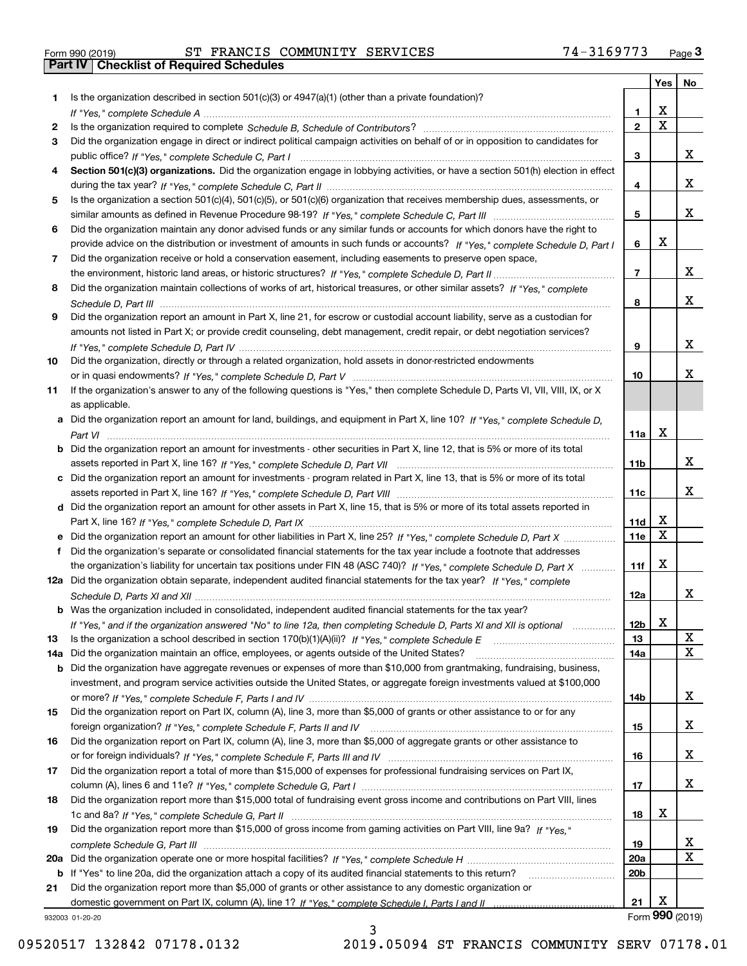| Form 990 (2019) |  |  |
|-----------------|--|--|

Form 990 (2019) ST FRANCIS COMMUNITY SERVICES 74-3169773 <sub>Page</sub> 3<br>**Part IV | Checklist of Required Schedules** 

|     |                                                                                                                                                                                                                                                   |                               | Yes                     | No              |
|-----|---------------------------------------------------------------------------------------------------------------------------------------------------------------------------------------------------------------------------------------------------|-------------------------------|-------------------------|-----------------|
| 1.  | Is the organization described in section $501(c)(3)$ or $4947(a)(1)$ (other than a private foundation)?                                                                                                                                           |                               |                         |                 |
|     |                                                                                                                                                                                                                                                   | 1.                            | X                       |                 |
| 2   |                                                                                                                                                                                                                                                   | $\overline{2}$                | $\overline{\mathbf{x}}$ |                 |
| 3   | Did the organization engage in direct or indirect political campaign activities on behalf of or in opposition to candidates for                                                                                                                   |                               |                         |                 |
|     |                                                                                                                                                                                                                                                   | 3                             |                         | x               |
| 4   | Section 501(c)(3) organizations. Did the organization engage in lobbying activities, or have a section 501(h) election in effect                                                                                                                  |                               |                         |                 |
|     |                                                                                                                                                                                                                                                   | 4                             |                         | x               |
| 5   | Is the organization a section 501(c)(4), 501(c)(5), or 501(c)(6) organization that receives membership dues, assessments, or                                                                                                                      |                               |                         | x               |
|     |                                                                                                                                                                                                                                                   | 5                             |                         |                 |
| 6   | Did the organization maintain any donor advised funds or any similar funds or accounts for which donors have the right to                                                                                                                         |                               | Х                       |                 |
| 7   | provide advice on the distribution or investment of amounts in such funds or accounts? If "Yes," complete Schedule D, Part I<br>Did the organization receive or hold a conservation easement, including easements to preserve open space,         | 6                             |                         |                 |
|     |                                                                                                                                                                                                                                                   | $\overline{7}$                |                         | x               |
| 8   | Did the organization maintain collections of works of art, historical treasures, or other similar assets? If "Yes," complete                                                                                                                      |                               |                         |                 |
|     |                                                                                                                                                                                                                                                   | 8                             |                         | x               |
| 9   | Did the organization report an amount in Part X, line 21, for escrow or custodial account liability, serve as a custodian for                                                                                                                     |                               |                         |                 |
|     | amounts not listed in Part X; or provide credit counseling, debt management, credit repair, or debt negotiation services?                                                                                                                         |                               |                         |                 |
|     |                                                                                                                                                                                                                                                   | 9                             |                         | x               |
| 10  | Did the organization, directly or through a related organization, hold assets in donor-restricted endowments                                                                                                                                      |                               |                         |                 |
|     |                                                                                                                                                                                                                                                   | 10                            |                         | x.              |
| 11  | If the organization's answer to any of the following questions is "Yes," then complete Schedule D, Parts VI, VII, VIII, IX, or X                                                                                                                  |                               |                         |                 |
|     | as applicable.                                                                                                                                                                                                                                    |                               |                         |                 |
|     | a Did the organization report an amount for land, buildings, and equipment in Part X, line 10? If "Yes," complete Schedule D,                                                                                                                     |                               |                         |                 |
|     |                                                                                                                                                                                                                                                   | 11a                           | X                       |                 |
|     | <b>b</b> Did the organization report an amount for investments - other securities in Part X, line 12, that is 5% or more of its total                                                                                                             |                               |                         |                 |
|     |                                                                                                                                                                                                                                                   | 11 <sub>b</sub>               |                         | x               |
|     | c Did the organization report an amount for investments - program related in Part X, line 13, that is 5% or more of its total                                                                                                                     |                               |                         |                 |
|     |                                                                                                                                                                                                                                                   | 11c                           |                         | X.              |
|     | d Did the organization report an amount for other assets in Part X, line 15, that is 5% or more of its total assets reported in                                                                                                                   |                               |                         |                 |
|     |                                                                                                                                                                                                                                                   | 11d                           | х<br>$\mathbf X$        |                 |
|     | e Did the organization report an amount for other liabilities in Part X, line 25? If "Yes," complete Schedule D, Part X                                                                                                                           | 11e                           |                         |                 |
| f   | Did the organization's separate or consolidated financial statements for the tax year include a footnote that addresses                                                                                                                           |                               | Х                       |                 |
|     | the organization's liability for uncertain tax positions under FIN 48 (ASC 740)? If "Yes," complete Schedule D, Part X<br>12a Did the organization obtain separate, independent audited financial statements for the tax year? If "Yes," complete | 11f                           |                         |                 |
|     |                                                                                                                                                                                                                                                   | 12a                           |                         | X.              |
|     | <b>b</b> Was the organization included in consolidated, independent audited financial statements for the tax year?                                                                                                                                |                               |                         |                 |
|     | If "Yes," and if the organization answered "No" to line 12a, then completing Schedule D, Parts XI and XII is optional                                                                                                                             | 12b                           | X                       |                 |
| 13  |                                                                                                                                                                                                                                                   | 13                            |                         | X               |
| 14a | Did the organization maintain an office, employees, or agents outside of the United States?                                                                                                                                                       | 14a                           |                         | X               |
| b   | Did the organization have aggregate revenues or expenses of more than \$10,000 from grantmaking, fundraising, business,                                                                                                                           |                               |                         |                 |
|     | investment, and program service activities outside the United States, or aggregate foreign investments valued at \$100,000                                                                                                                        |                               |                         |                 |
|     |                                                                                                                                                                                                                                                   | 14b                           |                         | X.              |
| 15  | Did the organization report on Part IX, column (A), line 3, more than \$5,000 of grants or other assistance to or for any                                                                                                                         |                               |                         |                 |
|     |                                                                                                                                                                                                                                                   | 15                            |                         | x               |
| 16  | Did the organization report on Part IX, column (A), line 3, more than \$5,000 of aggregate grants or other assistance to                                                                                                                          |                               |                         |                 |
|     |                                                                                                                                                                                                                                                   | 16                            |                         | x               |
| 17  | Did the organization report a total of more than \$15,000 of expenses for professional fundraising services on Part IX,                                                                                                                           |                               |                         |                 |
|     |                                                                                                                                                                                                                                                   | 17                            |                         | x               |
| 18  | Did the organization report more than \$15,000 total of fundraising event gross income and contributions on Part VIII, lines                                                                                                                      |                               |                         |                 |
|     |                                                                                                                                                                                                                                                   | 18                            | х                       |                 |
| 19  | Did the organization report more than \$15,000 of gross income from gaming activities on Part VIII, line 9a? If "Yes."                                                                                                                            |                               |                         |                 |
|     |                                                                                                                                                                                                                                                   | 19                            |                         | X<br>х          |
|     |                                                                                                                                                                                                                                                   | <b>20a</b><br>20 <sub>b</sub> |                         |                 |
| 21  | <b>b</b> If "Yes" to line 20a, did the organization attach a copy of its audited financial statements to this return?<br>Did the organization report more than \$5,000 of grants or other assistance to any domestic organization or              |                               |                         |                 |
|     |                                                                                                                                                                                                                                                   | 21                            | Х                       |                 |
|     | 932003 01-20-20                                                                                                                                                                                                                                   |                               |                         | Form 990 (2019) |

932003 01-20-20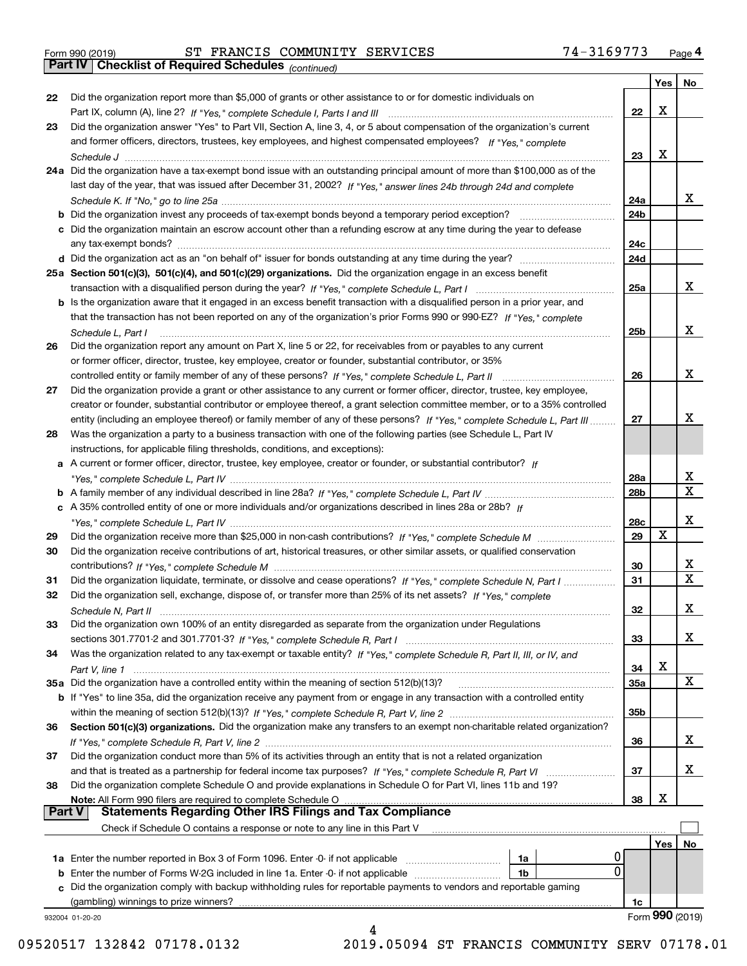| Form 990 (2019) |  |  |
|-----------------|--|--|

Form 990 (2019) ST FRANCIS COMMUNITY SERVICES 7 4-3169773 <sub>Page</sub> 4<br>**Part IV | Checklist of Required Schedules** <sub>(continued)</sub>

*(continued)*

|          |                                                                                                                              |                 | Yes | No                      |
|----------|------------------------------------------------------------------------------------------------------------------------------|-----------------|-----|-------------------------|
| 22       | Did the organization report more than \$5,000 of grants or other assistance to or for domestic individuals on                |                 |     |                         |
|          |                                                                                                                              | 22              | х   |                         |
| 23       | Did the organization answer "Yes" to Part VII, Section A, line 3, 4, or 5 about compensation of the organization's current   |                 |     |                         |
|          | and former officers, directors, trustees, key employees, and highest compensated employees? If "Yes," complete               |                 |     |                         |
|          |                                                                                                                              | 23              | х   |                         |
|          | 24a Did the organization have a tax-exempt bond issue with an outstanding principal amount of more than \$100,000 as of the  |                 |     |                         |
|          | last day of the year, that was issued after December 31, 2002? If "Yes," answer lines 24b through 24d and complete           |                 |     |                         |
|          |                                                                                                                              | 24a             |     | x                       |
|          | b Did the organization invest any proceeds of tax-exempt bonds beyond a temporary period exception?                          | 24b             |     |                         |
|          | c Did the organization maintain an escrow account other than a refunding escrow at any time during the year to defease       |                 |     |                         |
|          | any tax-exempt bonds?                                                                                                        | 24c             |     |                         |
|          | d Did the organization act as an "on behalf of" issuer for bonds outstanding at any time during the year?                    | 24d             |     |                         |
|          |                                                                                                                              |                 |     |                         |
|          | 25a Section 501(c)(3), 501(c)(4), and 501(c)(29) organizations. Did the organization engage in an excess benefit             |                 |     | x                       |
|          |                                                                                                                              | 25a             |     |                         |
|          | b Is the organization aware that it engaged in an excess benefit transaction with a disqualified person in a prior year, and |                 |     |                         |
|          | that the transaction has not been reported on any of the organization's prior Forms 990 or 990-EZ? If "Yes." complete        |                 |     |                         |
|          | Schedule L, Part I                                                                                                           | 25 <sub>b</sub> |     | x                       |
| 26       | Did the organization report any amount on Part X, line 5 or 22, for receivables from or payables to any current              |                 |     |                         |
|          | or former officer, director, trustee, key employee, creator or founder, substantial contributor, or 35%                      |                 |     |                         |
|          |                                                                                                                              | 26              |     | х                       |
| 27       | Did the organization provide a grant or other assistance to any current or former officer, director, trustee, key employee,  |                 |     |                         |
|          | creator or founder, substantial contributor or employee thereof, a grant selection committee member, or to a 35% controlled  |                 |     |                         |
|          | entity (including an employee thereof) or family member of any of these persons? If "Yes," complete Schedule L, Part III     | 27              |     | х                       |
| 28       | Was the organization a party to a business transaction with one of the following parties (see Schedule L, Part IV            |                 |     |                         |
|          | instructions, for applicable filing thresholds, conditions, and exceptions):                                                 |                 |     |                         |
|          | a A current or former officer, director, trustee, key employee, creator or founder, or substantial contributor? If           |                 |     |                         |
|          |                                                                                                                              | 28a             |     | x                       |
|          |                                                                                                                              | 28b             |     | $\mathbf X$             |
|          | c A 35% controlled entity of one or more individuals and/or organizations described in lines 28a or 28b? If                  |                 |     |                         |
|          |                                                                                                                              | 28c             |     | х                       |
| 29       |                                                                                                                              | 29              | x   |                         |
| 30       | Did the organization receive contributions of art, historical treasures, or other similar assets, or qualified conservation  |                 |     |                         |
|          |                                                                                                                              | 30              |     | X.                      |
| 31       | Did the organization liquidate, terminate, or dissolve and cease operations? If "Yes," complete Schedule N, Part I           | 31              |     | $\overline{\mathbf{x}}$ |
| 32       | Did the organization sell, exchange, dispose of, or transfer more than 25% of its net assets? If "Yes," complete             |                 |     |                         |
|          |                                                                                                                              |                 |     | х                       |
|          |                                                                                                                              | 32              |     |                         |
| 33       | Did the organization own 100% of an entity disregarded as separate from the organization under Regulations                   |                 |     |                         |
|          |                                                                                                                              | 33              |     | X                       |
| 34       | Was the organization related to any tax-exempt or taxable entity? If "Yes," complete Schedule R, Part II, III, or IV, and    |                 |     |                         |
|          |                                                                                                                              | 34              | X   |                         |
|          | 35a Did the organization have a controlled entity within the meaning of section 512(b)(13)?                                  | 35a             |     | x                       |
|          | b If "Yes" to line 35a, did the organization receive any payment from or engage in any transaction with a controlled entity  |                 |     |                         |
|          |                                                                                                                              | 35b             |     |                         |
| 36       | Section 501(c)(3) organizations. Did the organization make any transfers to an exempt non-charitable related organization?   |                 |     |                         |
|          |                                                                                                                              | 36              |     | X                       |
| 37       | Did the organization conduct more than 5% of its activities through an entity that is not a related organization             |                 |     |                         |
|          | and that is treated as a partnership for federal income tax purposes? If "Yes," complete Schedule R, Part VI                 | 37              |     | x                       |
| 38       | Did the organization complete Schedule O and provide explanations in Schedule O for Part VI, lines 11b and 19?               |                 |     |                         |
|          | Note: All Form 990 filers are required to complete Schedule O                                                                | 38              | х   |                         |
| ∣ Part V | <b>Statements Regarding Other IRS Filings and Tax Compliance</b>                                                             |                 |     |                         |
|          | Check if Schedule O contains a response or note to any line in this Part V                                                   |                 |     |                         |
|          |                                                                                                                              |                 | Yes | No.                     |
|          | 1a Enter the number reported in Box 3 of Form 1096. Enter -0- if not applicable<br>1a                                        |                 |     |                         |
|          | 0<br><b>b</b> Enter the number of Forms W-2G included in line 1a. Enter -0- if not applicable<br>1b                          |                 |     |                         |
|          | Did the organization comply with backup withholding rules for reportable payments to vendors and reportable gaming           |                 |     |                         |
|          | (gambling) winnings to prize winners?                                                                                        | 1c              |     |                         |
|          | 932004 01-20-20                                                                                                              |                 |     | Form 990 (2019)         |
|          |                                                                                                                              |                 |     |                         |

09520517 132842 07178.0132 2019.05094 ST FRANCIS COMMUNITY SERV 07178.01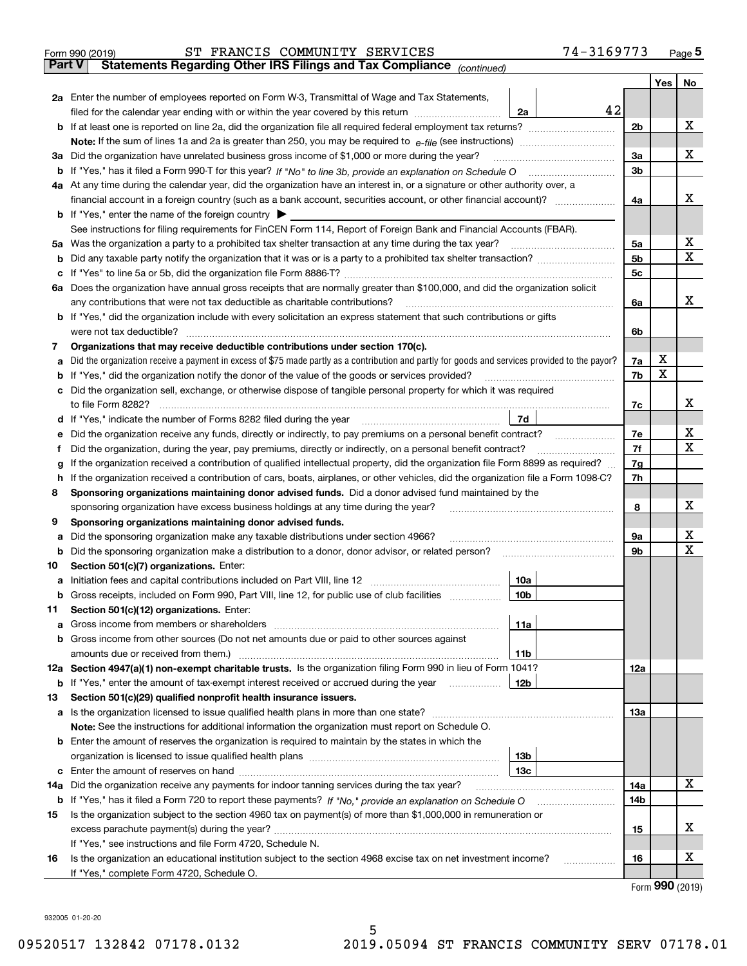| Form 990 (2019) |                                                                                                | ST FRANCIS COMMUNITY SERVICES |  | 74-3169773 | Page $5$ |
|-----------------|------------------------------------------------------------------------------------------------|-------------------------------|--|------------|----------|
|                 | <b>Part V</b> Statements Regarding Other IRS Filings and Tax Compliance <sub>(continued)</sub> |                               |  |            |          |

| ran v | Statements Regarding Other IRS Fillings and Tax Compilance $_{(continued)}$                                                                       |                |                 |    |  |  |  |  |  |  |
|-------|---------------------------------------------------------------------------------------------------------------------------------------------------|----------------|-----------------|----|--|--|--|--|--|--|
|       |                                                                                                                                                   |                | Yes             | No |  |  |  |  |  |  |
|       | 2a Enter the number of employees reported on Form W-3, Transmittal of Wage and Tax Statements,                                                    |                |                 |    |  |  |  |  |  |  |
|       | 42<br>filed for the calendar year ending with or within the year covered by this return<br>2a                                                     |                |                 |    |  |  |  |  |  |  |
|       |                                                                                                                                                   | 2 <sub>b</sub> |                 | х  |  |  |  |  |  |  |
|       |                                                                                                                                                   |                |                 |    |  |  |  |  |  |  |
|       | 3a Did the organization have unrelated business gross income of \$1,000 or more during the year?                                                  | 3a             |                 | х  |  |  |  |  |  |  |
| b     |                                                                                                                                                   | 3 <sub>b</sub> |                 |    |  |  |  |  |  |  |
|       | 4a At any time during the calendar year, did the organization have an interest in, or a signature or other authority over, a                      |                |                 |    |  |  |  |  |  |  |
|       | financial account in a foreign country (such as a bank account, securities account, or other financial account)?                                  | 4a             |                 | x  |  |  |  |  |  |  |
|       | <b>b</b> If "Yes," enter the name of the foreign country $\triangleright$                                                                         |                |                 |    |  |  |  |  |  |  |
|       | See instructions for filing requirements for FinCEN Form 114, Report of Foreign Bank and Financial Accounts (FBAR).                               |                |                 |    |  |  |  |  |  |  |
|       | 5a Was the organization a party to a prohibited tax shelter transaction at any time during the tax year?                                          |                |                 |    |  |  |  |  |  |  |
| b     |                                                                                                                                                   | 5 <sub>b</sub> |                 | х  |  |  |  |  |  |  |
| c     |                                                                                                                                                   | 5c             |                 |    |  |  |  |  |  |  |
|       | 6a Does the organization have annual gross receipts that are normally greater than \$100,000, and did the organization solicit                    |                |                 |    |  |  |  |  |  |  |
|       | any contributions that were not tax deductible as charitable contributions?                                                                       | 6a             |                 | x  |  |  |  |  |  |  |
|       | <b>b</b> If "Yes," did the organization include with every solicitation an express statement that such contributions or gifts                     |                |                 |    |  |  |  |  |  |  |
| 7     | were not tax deductible?<br>Organizations that may receive deductible contributions under section 170(c).                                         | 6b             |                 |    |  |  |  |  |  |  |
|       | a Did the organization receive a payment in excess of \$75 made partly as a contribution and partly for goods and services provided to the payor? | 7a             | х               |    |  |  |  |  |  |  |
|       | <b>b</b> If "Yes," did the organization notify the donor of the value of the goods or services provided?                                          | 7b             | x               |    |  |  |  |  |  |  |
|       | c Did the organization sell, exchange, or otherwise dispose of tangible personal property for which it was required                               |                |                 |    |  |  |  |  |  |  |
|       | to file Form 8282?                                                                                                                                | 7с             |                 | х  |  |  |  |  |  |  |
|       | d If "Yes," indicate the number of Forms 8282 filed during the year<br>7d                                                                         |                |                 |    |  |  |  |  |  |  |
| е     | Did the organization receive any funds, directly or indirectly, to pay premiums on a personal benefit contract?                                   | 7e             |                 | х  |  |  |  |  |  |  |
| f     | Did the organization, during the year, pay premiums, directly or indirectly, on a personal benefit contract?                                      | 7f             |                 | х  |  |  |  |  |  |  |
|       | If the organization received a contribution of qualified intellectual property, did the organization file Form 8899 as required?<br>g             |                |                 |    |  |  |  |  |  |  |
| h.    | If the organization received a contribution of cars, boats, airplanes, or other vehicles, did the organization file a Form 1098-C?                |                |                 |    |  |  |  |  |  |  |
| 8     | Sponsoring organizations maintaining donor advised funds. Did a donor advised fund maintained by the                                              |                |                 |    |  |  |  |  |  |  |
|       | sponsoring organization have excess business holdings at any time during the year?                                                                |                |                 |    |  |  |  |  |  |  |
| 9     | Sponsoring organizations maintaining donor advised funds.                                                                                         |                |                 |    |  |  |  |  |  |  |
| а     | Did the sponsoring organization make any taxable distributions under section 4966?                                                                | 9а             |                 | х  |  |  |  |  |  |  |
| b     | Did the sponsoring organization make a distribution to a donor, donor advisor, or related person?                                                 | 9b             |                 | x  |  |  |  |  |  |  |
| 10    | Section 501(c)(7) organizations. Enter:                                                                                                           |                |                 |    |  |  |  |  |  |  |
| а     | 10a                                                                                                                                               |                |                 |    |  |  |  |  |  |  |
| b     | Gross receipts, included on Form 990, Part VIII, line 12, for public use of club facilities<br>10 <sub>b</sub>                                    |                |                 |    |  |  |  |  |  |  |
| 11.   | Section 501(c)(12) organizations. Enter:                                                                                                          |                |                 |    |  |  |  |  |  |  |
|       | 11a                                                                                                                                               |                |                 |    |  |  |  |  |  |  |
|       | <b>b</b> Gross income from other sources (Do not net amounts due or paid to other sources against                                                 |                |                 |    |  |  |  |  |  |  |
|       | 11b                                                                                                                                               |                |                 |    |  |  |  |  |  |  |
|       | 12a Section 4947(a)(1) non-exempt charitable trusts. Is the organization filing Form 990 in lieu of Form 1041?                                    | 12a            |                 |    |  |  |  |  |  |  |
|       | 12b<br><b>b</b> If "Yes," enter the amount of tax-exempt interest received or accrued during the year                                             |                |                 |    |  |  |  |  |  |  |
| 13    | Section 501(c)(29) qualified nonprofit health insurance issuers.                                                                                  |                |                 |    |  |  |  |  |  |  |
| a     | Is the organization licensed to issue qualified health plans in more than one state?                                                              | 13a            |                 |    |  |  |  |  |  |  |
|       | Note: See the instructions for additional information the organization must report on Schedule O.                                                 |                |                 |    |  |  |  |  |  |  |
|       | <b>b</b> Enter the amount of reserves the organization is required to maintain by the states in which the                                         |                |                 |    |  |  |  |  |  |  |
|       | 13 <sub>b</sub>                                                                                                                                   |                |                 |    |  |  |  |  |  |  |
|       | 13с                                                                                                                                               |                |                 | х  |  |  |  |  |  |  |
| 14a   | Did the organization receive any payments for indoor tanning services during the tax year?                                                        | 14a            |                 |    |  |  |  |  |  |  |
| b     |                                                                                                                                                   | 14b            |                 |    |  |  |  |  |  |  |
| 15    | Is the organization subject to the section 4960 tax on payment(s) of more than \$1,000,000 in remuneration or                                     |                |                 | X  |  |  |  |  |  |  |
|       | If "Yes," see instructions and file Form 4720, Schedule N.                                                                                        | 15             |                 |    |  |  |  |  |  |  |
| 16    | Is the organization an educational institution subject to the section 4968 excise tax on net investment income?                                   | 16             |                 | х  |  |  |  |  |  |  |
|       | If "Yes," complete Form 4720, Schedule O.                                                                                                         |                |                 |    |  |  |  |  |  |  |
|       |                                                                                                                                                   |                | Form 990 (2019) |    |  |  |  |  |  |  |
|       |                                                                                                                                                   |                |                 |    |  |  |  |  |  |  |

932005 01-20-20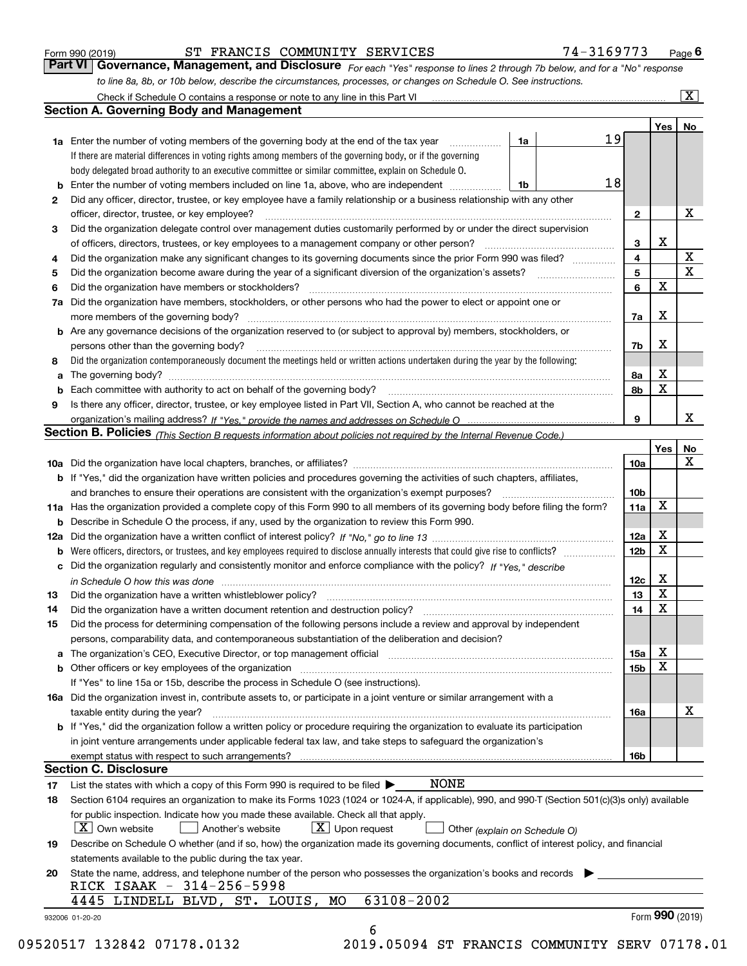|     | to line 8a, 8b, or 10b below, describe the circumstances, processes, or changes on Schedule O. See instructions.                                                                                                               |                 |     |                       |  |  |  |
|-----|--------------------------------------------------------------------------------------------------------------------------------------------------------------------------------------------------------------------------------|-----------------|-----|-----------------------|--|--|--|
|     | Check if Schedule O contains a response or note to any line in this Part VI                                                                                                                                                    |                 |     | $\overline{\text{X}}$ |  |  |  |
|     | <b>Section A. Governing Body and Management</b>                                                                                                                                                                                |                 |     |                       |  |  |  |
|     |                                                                                                                                                                                                                                |                 | Yes | No                    |  |  |  |
|     | 19<br>1a<br><b>1a</b> Enter the number of voting members of the governing body at the end of the tax year                                                                                                                      |                 |     |                       |  |  |  |
|     | If there are material differences in voting rights among members of the governing body, or if the governing                                                                                                                    |                 |     |                       |  |  |  |
|     | body delegated broad authority to an executive committee or similar committee, explain on Schedule O.                                                                                                                          |                 |     |                       |  |  |  |
| b   | 18<br>Enter the number of voting members included on line 1a, above, who are independent<br>1b                                                                                                                                 |                 |     |                       |  |  |  |
| 2   | Did any officer, director, trustee, or key employee have a family relationship or a business relationship with any other                                                                                                       |                 |     |                       |  |  |  |
|     | officer, director, trustee, or key employee?<br>.                                                                                                                                                                              | $\mathbf{2}$    |     | х                     |  |  |  |
| 3   | Did the organization delegate control over management duties customarily performed by or under the direct supervision                                                                                                          |                 |     |                       |  |  |  |
|     |                                                                                                                                                                                                                                | 3               | х   |                       |  |  |  |
| 4   | Did the organization make any significant changes to its governing documents since the prior Form 990 was filed?                                                                                                               | 4               |     | X                     |  |  |  |
| 5   |                                                                                                                                                                                                                                | 5               |     | $\mathbf X$           |  |  |  |
| 6   | Did the organization have members or stockholders?                                                                                                                                                                             | 6               | X   |                       |  |  |  |
| 7a  | Did the organization have members, stockholders, or other persons who had the power to elect or appoint one or                                                                                                                 |                 |     |                       |  |  |  |
|     |                                                                                                                                                                                                                                | 7a              | х   |                       |  |  |  |
|     | <b>b</b> Are any governance decisions of the organization reserved to (or subject to approval by) members, stockholders, or                                                                                                    |                 |     |                       |  |  |  |
|     | persons other than the governing body?                                                                                                                                                                                         | 7b              | X   |                       |  |  |  |
| 8   | Did the organization contemporaneously document the meetings held or written actions undertaken during the year by the following:                                                                                              |                 |     |                       |  |  |  |
| а   |                                                                                                                                                                                                                                | 8а              | х   |                       |  |  |  |
| b   |                                                                                                                                                                                                                                | 8b              | X   |                       |  |  |  |
| 9   | Is there any officer, director, trustee, or key employee listed in Part VII, Section A, who cannot be reached at the                                                                                                           |                 |     |                       |  |  |  |
|     |                                                                                                                                                                                                                                | 9               |     | x                     |  |  |  |
|     |                                                                                                                                                                                                                                |                 |     |                       |  |  |  |
|     | Section B. Policies (This Section B requests information about policies not required by the Internal Revenue Code.)                                                                                                            |                 |     |                       |  |  |  |
|     |                                                                                                                                                                                                                                |                 | Yes | No<br>x               |  |  |  |
|     |                                                                                                                                                                                                                                | 10a             |     |                       |  |  |  |
|     | <b>b</b> If "Yes," did the organization have written policies and procedures governing the activities of such chapters, affiliates,                                                                                            |                 |     |                       |  |  |  |
|     | and branches to ensure their operations are consistent with the organization's exempt purposes?                                                                                                                                | 10 <sub>b</sub> |     |                       |  |  |  |
|     | 11a Has the organization provided a complete copy of this Form 990 to all members of its governing body before filing the form?                                                                                                | 11a             | X   |                       |  |  |  |
| b   | Describe in Schedule O the process, if any, used by the organization to review this Form 990.                                                                                                                                  |                 |     |                       |  |  |  |
| 12a |                                                                                                                                                                                                                                |                 |     |                       |  |  |  |
| b   |                                                                                                                                                                                                                                |                 |     |                       |  |  |  |
| с   | Did the organization regularly and consistently monitor and enforce compliance with the policy? If "Yes." describe                                                                                                             |                 |     |                       |  |  |  |
|     | in Schedule O how this was done www.communication.com/www.communications.com/www.communications.com/                                                                                                                           | 12c             | х   |                       |  |  |  |
| 13  |                                                                                                                                                                                                                                | 13              | X   |                       |  |  |  |
| 14  |                                                                                                                                                                                                                                | 14              | X   |                       |  |  |  |
| 15  | Did the process for determining compensation of the following persons include a review and approval by independent                                                                                                             |                 |     |                       |  |  |  |
|     | persons, comparability data, and contemporaneous substantiation of the deliberation and decision?                                                                                                                              |                 |     |                       |  |  |  |
| а   | The organization's CEO, Executive Director, or top management official manufactured content content of the organization's CEO, Executive Director, or top management official manufactured content of the original manufacture | 15a             | х   |                       |  |  |  |
| b   | Other officers or key employees of the organization                                                                                                                                                                            | 15 <sub>b</sub> | х   |                       |  |  |  |
|     | If "Yes" to line 15a or 15b, describe the process in Schedule O (see instructions).                                                                                                                                            |                 |     |                       |  |  |  |
|     | 16a Did the organization invest in, contribute assets to, or participate in a joint venture or similar arrangement with a                                                                                                      |                 |     |                       |  |  |  |
|     | taxable entity during the year?                                                                                                                                                                                                | 16a             |     | x                     |  |  |  |
|     | b If "Yes," did the organization follow a written policy or procedure requiring the organization to evaluate its participation                                                                                                 |                 |     |                       |  |  |  |
|     | in joint venture arrangements under applicable federal tax law, and take steps to safeguard the organization's                                                                                                                 |                 |     |                       |  |  |  |
|     |                                                                                                                                                                                                                                | 16b             |     |                       |  |  |  |
|     | <b>Section C. Disclosure</b>                                                                                                                                                                                                   |                 |     |                       |  |  |  |
| 17  | NONE<br>List the states with which a copy of this Form 990 is required to be filed $\blacktriangleright$                                                                                                                       |                 |     |                       |  |  |  |
| 18  | Section 6104 requires an organization to make its Forms 1023 (1024 or 1024-A, if applicable), 990, and 990-T (Section 501(c)(3)s only) available                                                                               |                 |     |                       |  |  |  |
|     | for public inspection. Indicate how you made these available. Check all that apply.                                                                                                                                            |                 |     |                       |  |  |  |
|     | $\lfloor X \rfloor$ Own website<br>$X$ Upon request<br>Another's website<br>Other (explain on Schedule O)                                                                                                                      |                 |     |                       |  |  |  |
| 19  | Describe on Schedule O whether (and if so, how) the organization made its governing documents, conflict of interest policy, and financial                                                                                      |                 |     |                       |  |  |  |
|     | statements available to the public during the tax year.                                                                                                                                                                        |                 |     |                       |  |  |  |
| 20  | State the name, address, and telephone number of the person who possesses the organization's books and records                                                                                                                 |                 |     |                       |  |  |  |
|     | RICK ISAAK - 314-256-5998                                                                                                                                                                                                      |                 |     |                       |  |  |  |
|     | 63108-2002<br>MO<br>4445 LINDELL BLVD, ST. LOUIS,                                                                                                                                                                              |                 |     |                       |  |  |  |
|     |                                                                                                                                                                                                                                |                 |     | Form 990 (2019)       |  |  |  |
|     | 932006 01-20-20<br>6                                                                                                                                                                                                           |                 |     |                       |  |  |  |
|     |                                                                                                                                                                                                                                |                 |     |                       |  |  |  |

Form 990 (2019) **COLL ST FRANCIS COMMUNITY SERVICES** 74 – 3169773 Page 6<br>**Part VI Governance, Management, and Disclosure** *For each "Yes" response to lines 2 through 7b below, and for a "No" response* 

ST FRANCIS COMMUNITY SERVICES 74-3169773

09520517 132842 07178.0132 2019.05094 ST FRANCIS COMMUNITY SERV 07178.01

*For each "Yes" response to lines 2 through 7b below, and for a "No" response*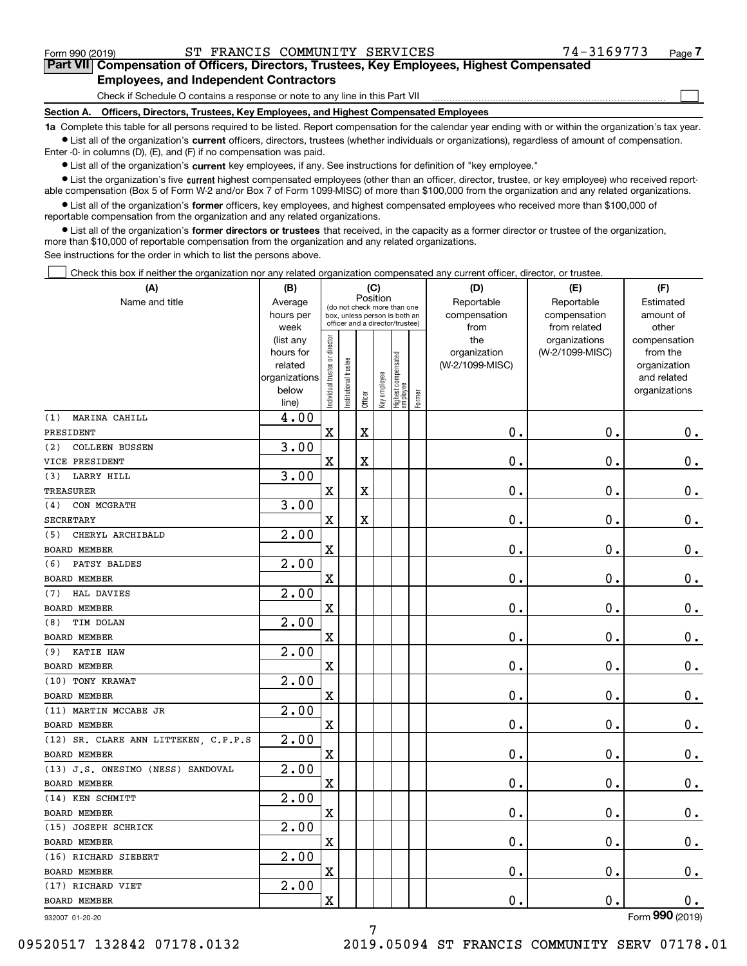$\mathcal{L}^{\text{max}}$ 

# **7Part VII Compensation of Officers, Directors, Trustees, Key Employees, Highest Compensated Employees, and Independent Contractors**

Check if Schedule O contains a response or note to any line in this Part VII

**Section A. Officers, Directors, Trustees, Key Employees, and Highest Compensated Employees**

**1a**  Complete this table for all persons required to be listed. Report compensation for the calendar year ending with or within the organization's tax year. **•** List all of the organization's current officers, directors, trustees (whether individuals or organizations), regardless of amount of compensation.

Enter -0- in columns (D), (E), and (F) if no compensation was paid.

 $\bullet$  List all of the organization's  $\,$ current key employees, if any. See instructions for definition of "key employee."

**•** List the organization's five current highest compensated employees (other than an officer, director, trustee, or key employee) who received reportable compensation (Box 5 of Form W-2 and/or Box 7 of Form 1099-MISC) of more than \$100,000 from the organization and any related organizations.

**•** List all of the organization's former officers, key employees, and highest compensated employees who received more than \$100,000 of reportable compensation from the organization and any related organizations.

**former directors or trustees**  ¥ List all of the organization's that received, in the capacity as a former director or trustee of the organization, more than \$10,000 of reportable compensation from the organization and any related organizations.

See instructions for the order in which to list the persons above.

Check this box if neither the organization nor any related organization compensated any current officer, director, or trustee.  $\mathcal{L}^{\text{max}}$ 

| (A)                                  | (B)                      | (C)                                     |                                                                  |         |              |                                  |        | (D)             | (E)             | (F)                         |  |  |
|--------------------------------------|--------------------------|-----------------------------------------|------------------------------------------------------------------|---------|--------------|----------------------------------|--------|-----------------|-----------------|-----------------------------|--|--|
| Name and title                       | Average                  | Position<br>(do not check more than one |                                                                  |         |              |                                  |        | Reportable      | Reportable      | Estimated                   |  |  |
|                                      | hours per                |                                         | box, unless person is both an<br>officer and a director/trustee) |         |              |                                  |        | compensation    | compensation    | amount of                   |  |  |
|                                      | week                     |                                         |                                                                  |         |              |                                  |        | from            | from related    | other                       |  |  |
|                                      | (list any                |                                         |                                                                  |         |              |                                  |        | the             | organizations   | compensation                |  |  |
|                                      | hours for                |                                         |                                                                  |         |              |                                  |        | organization    | (W-2/1099-MISC) | from the                    |  |  |
|                                      | related<br>organizations |                                         |                                                                  |         |              |                                  |        | (W-2/1099-MISC) |                 | organization<br>and related |  |  |
|                                      | below                    |                                         |                                                                  |         |              |                                  |        |                 |                 | organizations               |  |  |
|                                      | line)                    | Individual trustee or director          | Institutional trustee                                            | Officer | Key employee | Highest compensated<br> employee | Former |                 |                 |                             |  |  |
| MARINA CAHILL<br>(1)                 | 4.00                     |                                         |                                                                  |         |              |                                  |        |                 |                 |                             |  |  |
| PRESIDENT                            |                          | X                                       |                                                                  | X       |              |                                  |        | 0.              | $\mathbf 0$ .   | 0.                          |  |  |
| <b>COLLEEN BUSSEN</b><br>(2)         | 3.00                     |                                         |                                                                  |         |              |                                  |        |                 |                 |                             |  |  |
| VICE PRESIDENT                       |                          | X                                       |                                                                  | X       |              |                                  |        | 0.              | $\mathbf 0$ .   | 0.                          |  |  |
| LARRY HILL<br>(3)                    | 3.00                     |                                         |                                                                  |         |              |                                  |        |                 |                 |                             |  |  |
| TREASURER                            |                          | X                                       |                                                                  | X       |              |                                  |        | 0.              | $\mathbf 0$ .   | $\mathbf 0$ .               |  |  |
| CON MCGRATH<br>(4)                   | 3.00                     |                                         |                                                                  |         |              |                                  |        |                 |                 |                             |  |  |
| <b>SECRETARY</b>                     |                          | X                                       |                                                                  | X       |              |                                  |        | 0.              | $\mathbf 0$ .   | $\mathbf 0$ .               |  |  |
| CHERYL ARCHIBALD<br>(5)              | 2.00                     |                                         |                                                                  |         |              |                                  |        |                 |                 |                             |  |  |
| <b>BOARD MEMBER</b>                  |                          | X                                       |                                                                  |         |              |                                  |        | 0.              | $\mathbf 0$ .   | $\mathbf 0$ .               |  |  |
| PATSY BALDES<br>(6)                  | 2.00                     |                                         |                                                                  |         |              |                                  |        |                 |                 |                             |  |  |
| BOARD MEMBER                         |                          | X                                       |                                                                  |         |              |                                  |        | 0.              | $\mathbf 0$ .   | $\mathbf 0$ .               |  |  |
| HAL DAVIES<br>(7)                    | 2.00                     |                                         |                                                                  |         |              |                                  |        |                 |                 |                             |  |  |
| <b>BOARD MEMBER</b>                  |                          | X                                       |                                                                  |         |              |                                  |        | 0.              | $\mathbf 0$ .   | $\mathbf 0$ .               |  |  |
| TIM DOLAN<br>(8)                     | 2.00                     |                                         |                                                                  |         |              |                                  |        |                 |                 |                             |  |  |
| <b>BOARD MEMBER</b>                  |                          | X                                       |                                                                  |         |              |                                  |        | 0.              | $\mathbf 0$ .   | $\mathbf 0$ .               |  |  |
| <b>KATIE HAW</b><br>(9)              | 2.00                     |                                         |                                                                  |         |              |                                  |        |                 |                 |                             |  |  |
| BOARD MEMBER                         |                          | X                                       |                                                                  |         |              |                                  |        | 0.              | $\mathbf 0$ .   | $\mathbf 0$ .               |  |  |
| (10) TONY KRAWAT                     | 2.00                     |                                         |                                                                  |         |              |                                  |        |                 |                 |                             |  |  |
| <b>BOARD MEMBER</b>                  |                          | X                                       |                                                                  |         |              |                                  |        | 0.              | $\mathbf 0$ .   | $\mathbf 0$ .               |  |  |
| (11) MARTIN MCCABE JR                | 2.00                     |                                         |                                                                  |         |              |                                  |        |                 |                 |                             |  |  |
| BOARD MEMBER                         |                          | X                                       |                                                                  |         |              |                                  |        | 0.              | 0.              | $\mathbf 0$ .               |  |  |
| (12) SR. CLARE ANN LITTEKEN, C.P.P.S | $\overline{2.00}$        |                                         |                                                                  |         |              |                                  |        |                 |                 |                             |  |  |
| <b>BOARD MEMBER</b>                  |                          | X                                       |                                                                  |         |              |                                  |        | 0.              | 0.              | 0.                          |  |  |
| (13) J.S. ONESIMO (NESS) SANDOVAL    | $\overline{2}$ .00       |                                         |                                                                  |         |              |                                  |        |                 |                 |                             |  |  |
| BOARD MEMBER                         |                          | X                                       |                                                                  |         |              |                                  |        | 0.              | 0.              | 0.                          |  |  |
| (14) KEN SCHMITT                     | $\overline{2}$ .00       |                                         |                                                                  |         |              |                                  |        |                 |                 |                             |  |  |
| BOARD MEMBER                         |                          | X                                       |                                                                  |         |              |                                  |        | 0.              | $\mathbf 0$ .   | 0.                          |  |  |
| (15) JOSEPH SCHRICK                  | 2.00                     |                                         |                                                                  |         |              |                                  |        |                 |                 |                             |  |  |
| BOARD MEMBER                         |                          | X                                       |                                                                  |         |              |                                  |        | $\mathbf 0$ .   | $\mathbf 0$ .   | 0.                          |  |  |
| (16) RICHARD SIEBERT                 | 2.00                     |                                         |                                                                  |         |              |                                  |        |                 |                 |                             |  |  |
| BOARD MEMBER                         |                          | X                                       |                                                                  |         |              |                                  |        | 0.              | $\mathbf 0$ .   | $0_{.}$                     |  |  |
| (17) RICHARD VIET                    | 2.00                     |                                         |                                                                  |         |              |                                  |        |                 |                 |                             |  |  |
| BOARD MEMBER                         |                          | X                                       |                                                                  |         |              |                                  |        | 0.              | $\mathbf 0$ .   | 0.                          |  |  |
| 932007 01-20-20                      |                          |                                         |                                                                  |         |              |                                  |        |                 |                 | Form 990 (2019)             |  |  |

932007 01-20-20

09520517 132842 07178.0132 2019.05094 ST FRANCIS COMMUNITY SERV 07178.01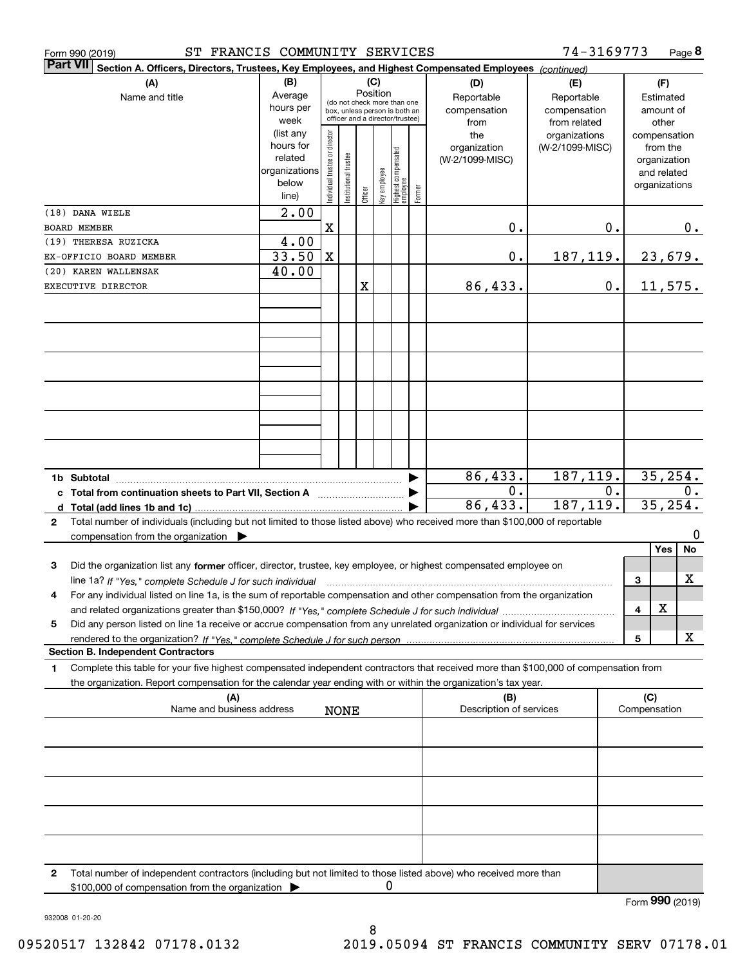|                 | ST FRANCIS COMMUNITY SERVICES<br>Form 990 (2019)                                                                                     |               |                                |                       |         |              |                                                              |        |                                | 74-3169773      |       |                     | Page 8          |
|-----------------|--------------------------------------------------------------------------------------------------------------------------------------|---------------|--------------------------------|-----------------------|---------|--------------|--------------------------------------------------------------|--------|--------------------------------|-----------------|-------|---------------------|-----------------|
| <b>Part VII</b> | Section A. Officers, Directors, Trustees, Key Employees, and Highest Compensated Employees (continued)                               |               |                                |                       |         |              |                                                              |        |                                |                 |       |                     |                 |
|                 | (A)                                                                                                                                  | (B)           |                                |                       |         | (C)          |                                                              |        | (D)                            | (E)             |       | (F)                 |                 |
|                 | Name and title                                                                                                                       | Average       |                                |                       |         | Position     |                                                              |        | Reportable                     | Reportable      |       | Estimated           |                 |
|                 |                                                                                                                                      | hours per     |                                |                       |         |              | (do not check more than one<br>box, unless person is both an |        | compensation                   | compensation    |       | amount of           |                 |
|                 |                                                                                                                                      | week          |                                |                       |         |              | officer and a director/trustee)                              |        | from                           | from related    |       | other               |                 |
|                 |                                                                                                                                      | (list any     |                                |                       |         |              |                                                              |        | the                            | organizations   |       | compensation        |                 |
|                 |                                                                                                                                      | hours for     |                                |                       |         |              |                                                              |        | organization                   | (W-2/1099-MISC) |       | from the            |                 |
|                 |                                                                                                                                      | related       |                                |                       |         |              |                                                              |        | (W-2/1099-MISC)                |                 |       | organization        |                 |
|                 |                                                                                                                                      | organizations | Individual trustee or director | Institutional trustee |         |              |                                                              |        |                                |                 |       | and related         |                 |
|                 |                                                                                                                                      | below         |                                |                       |         |              |                                                              |        |                                |                 |       | organizations       |                 |
|                 |                                                                                                                                      | line)         |                                |                       | Officer | Key employee | Highest compensated<br>  employee                            | Former |                                |                 |       |                     |                 |
|                 | (18) DANA WIELE                                                                                                                      | 2.00          |                                |                       |         |              |                                                              |        |                                |                 |       |                     |                 |
|                 | <b>BOARD MEMBER</b>                                                                                                                  |               | $\mathbf X$                    |                       |         |              |                                                              |        | 0.                             |                 | 0.    |                     | 0.              |
|                 | (19) THERESA RUZICKA                                                                                                                 | 4.00          |                                |                       |         |              |                                                              |        |                                |                 |       |                     |                 |
|                 | EX-OFFICIO BOARD MEMBER                                                                                                              | 33.50         | $\mathbf X$                    |                       |         |              |                                                              |        | 0.                             | 187,119.        |       |                     |                 |
|                 |                                                                                                                                      |               |                                |                       |         |              |                                                              |        |                                |                 |       |                     | 23,679.         |
|                 | (20) KAREN WALLENSAK                                                                                                                 | 40.00         |                                |                       |         |              |                                                              |        |                                |                 |       |                     |                 |
|                 | EXECUTIVE DIRECTOR                                                                                                                   |               |                                |                       | X       |              |                                                              |        | 86,433.                        |                 | 0.    |                     | 11,575.         |
|                 |                                                                                                                                      |               |                                |                       |         |              |                                                              |        |                                |                 |       |                     |                 |
|                 |                                                                                                                                      |               |                                |                       |         |              |                                                              |        |                                |                 |       |                     |                 |
|                 |                                                                                                                                      |               |                                |                       |         |              |                                                              |        |                                |                 |       |                     |                 |
|                 |                                                                                                                                      |               |                                |                       |         |              |                                                              |        |                                |                 |       |                     |                 |
|                 |                                                                                                                                      |               |                                |                       |         |              |                                                              |        |                                |                 |       |                     |                 |
|                 |                                                                                                                                      |               |                                |                       |         |              |                                                              |        |                                |                 |       |                     |                 |
|                 |                                                                                                                                      |               |                                |                       |         |              |                                                              |        |                                |                 |       |                     |                 |
|                 |                                                                                                                                      |               |                                |                       |         |              |                                                              |        |                                |                 |       |                     |                 |
|                 |                                                                                                                                      |               |                                |                       |         |              |                                                              |        |                                |                 |       |                     |                 |
|                 |                                                                                                                                      |               |                                |                       |         |              |                                                              |        |                                |                 |       |                     |                 |
|                 |                                                                                                                                      |               |                                |                       |         |              |                                                              |        |                                |                 |       |                     |                 |
|                 |                                                                                                                                      |               |                                |                       |         |              |                                                              |        |                                |                 |       |                     |                 |
|                 |                                                                                                                                      |               |                                |                       |         |              |                                                              |        |                                |                 |       |                     |                 |
|                 | 1b Subtotal                                                                                                                          |               |                                |                       |         |              |                                                              | ▶      | 86,433.                        | 187, 119.       |       |                     | 35, 254.        |
|                 | c Total from continuation sheets to Part VII, Section A <b>manual</b> Testion Structure 1                                            |               |                                |                       |         |              |                                                              |        | 0.                             |                 | $0$ . |                     | 0.              |
|                 |                                                                                                                                      |               |                                |                       |         |              |                                                              |        | 86,433.                        | 187, 119.       |       |                     | 35, 254.        |
| $\mathbf{2}$    | Total number of individuals (including but not limited to those listed above) who received more than \$100,000 of reportable         |               |                                |                       |         |              |                                                              |        |                                |                 |       |                     |                 |
|                 |                                                                                                                                      |               |                                |                       |         |              |                                                              |        |                                |                 |       |                     | 0               |
|                 | compensation from the organization $\blacktriangleright$                                                                             |               |                                |                       |         |              |                                                              |        |                                |                 |       | Yes                 | No              |
|                 |                                                                                                                                      |               |                                |                       |         |              |                                                              |        |                                |                 |       |                     |                 |
| 3               | Did the organization list any former officer, director, trustee, key employee, or highest compensated employee on                    |               |                                |                       |         |              |                                                              |        |                                |                 |       |                     |                 |
|                 | line 1a? If "Yes," complete Schedule J for such individual material content in the fact of the successive comp                       |               |                                |                       |         |              |                                                              |        |                                |                 |       | 3                   | X               |
|                 | For any individual listed on line 1a, is the sum of reportable compensation and other compensation from the organization             |               |                                |                       |         |              |                                                              |        |                                |                 |       |                     |                 |
|                 |                                                                                                                                      |               |                                |                       |         |              |                                                              |        |                                |                 |       | х<br>4              |                 |
| 5               | Did any person listed on line 1a receive or accrue compensation from any unrelated organization or individual for services           |               |                                |                       |         |              |                                                              |        |                                |                 |       |                     |                 |
|                 | rendered to the organization? If "Yes." complete Schedule J for such person                                                          |               |                                |                       |         |              |                                                              |        |                                |                 |       | 5                   | x               |
|                 | <b>Section B. Independent Contractors</b>                                                                                            |               |                                |                       |         |              |                                                              |        |                                |                 |       |                     |                 |
| 1.              | Complete this table for your five highest compensated independent contractors that received more than \$100,000 of compensation from |               |                                |                       |         |              |                                                              |        |                                |                 |       |                     |                 |
|                 | the organization. Report compensation for the calendar year ending with or within the organization's tax year.                       |               |                                |                       |         |              |                                                              |        |                                |                 |       |                     |                 |
|                 |                                                                                                                                      |               |                                |                       |         |              |                                                              |        |                                |                 |       |                     |                 |
|                 | (A)<br>Name and business address                                                                                                     |               |                                | <b>NONE</b>           |         |              |                                                              |        | (B)<br>Description of services |                 |       | (C)<br>Compensation |                 |
|                 |                                                                                                                                      |               |                                |                       |         |              |                                                              |        |                                |                 |       |                     |                 |
|                 |                                                                                                                                      |               |                                |                       |         |              |                                                              |        |                                |                 |       |                     |                 |
|                 |                                                                                                                                      |               |                                |                       |         |              |                                                              |        |                                |                 |       |                     |                 |
|                 |                                                                                                                                      |               |                                |                       |         |              |                                                              |        |                                |                 |       |                     |                 |
|                 |                                                                                                                                      |               |                                |                       |         |              |                                                              |        |                                |                 |       |                     |                 |
|                 |                                                                                                                                      |               |                                |                       |         |              |                                                              |        |                                |                 |       |                     |                 |
|                 |                                                                                                                                      |               |                                |                       |         |              |                                                              |        |                                |                 |       |                     |                 |
|                 |                                                                                                                                      |               |                                |                       |         |              |                                                              |        |                                |                 |       |                     |                 |
|                 |                                                                                                                                      |               |                                |                       |         |              |                                                              |        |                                |                 |       |                     |                 |
|                 |                                                                                                                                      |               |                                |                       |         |              |                                                              |        |                                |                 |       |                     |                 |
|                 |                                                                                                                                      |               |                                |                       |         |              |                                                              |        |                                |                 |       |                     |                 |
|                 |                                                                                                                                      |               |                                |                       |         |              |                                                              |        |                                |                 |       |                     |                 |
| 2               | Total number of independent contractors (including but not limited to those listed above) who received more than                     |               |                                |                       |         |              |                                                              |        |                                |                 |       |                     |                 |
|                 | \$100,000 of compensation from the organization                                                                                      |               |                                |                       |         | 0            |                                                              |        |                                |                 |       |                     |                 |
|                 |                                                                                                                                      |               |                                |                       |         |              |                                                              |        |                                |                 |       |                     | Form 990 (2019) |

932008 01-20-20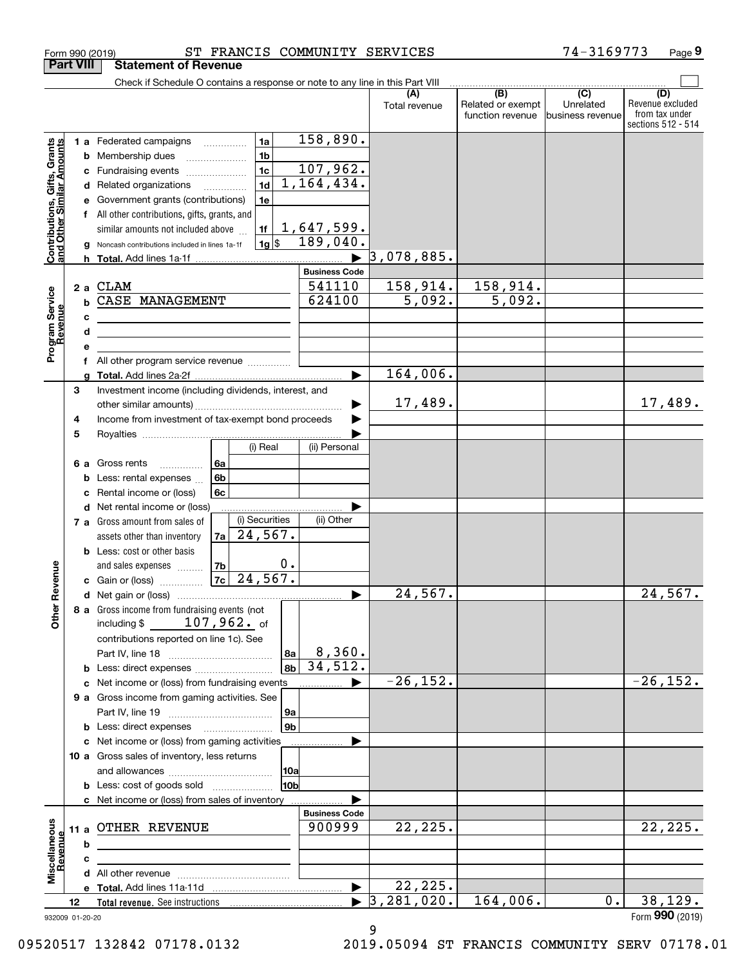|                                                                  |                                 | Check if Schedule O contains a response or note to any line in this Part VIII                                                                                                                                                                                               |                                                                                            |                                                                     |                                            |                                              |                                                  |                                                                 |
|------------------------------------------------------------------|---------------------------------|-----------------------------------------------------------------------------------------------------------------------------------------------------------------------------------------------------------------------------------------------------------------------------|--------------------------------------------------------------------------------------------|---------------------------------------------------------------------|--------------------------------------------|----------------------------------------------|--------------------------------------------------|-----------------------------------------------------------------|
|                                                                  |                                 |                                                                                                                                                                                                                                                                             |                                                                                            |                                                                     | Total revenue                              | (B)<br>Related or exempt<br>function revenue | $\overline{C}$<br>Unrelated<br>lbusiness revenue | (D)<br>Revenue excluded<br>from tax under<br>sections 512 - 514 |
| <b>Contributions, Gifts, Grants</b><br>and Other Similar Amounts | b<br>с<br>d<br>е<br>f<br>g<br>h | <b>1 a</b> Federated campaigns<br>Membership dues<br>Fundraising events<br>Related organizations<br>Government grants (contributions)<br>All other contributions, gifts, grants, and<br>similar amounts not included above<br>Noncash contributions included in lines 1a-1f | 1a<br>1 <sub>b</sub><br>1 <sub>c</sub><br>1 <sub>d</sub><br>1e<br>1f<br>$1g$ $\frac{1}{3}$ | 158,890.<br>107,962.<br>1,164,434.<br><u>1,647,599.</u><br>189,040. | 3,078,885.                                 |                                              |                                                  |                                                                 |
| Program Service<br>Revenue                                       | 2a<br>b<br>c<br>d               | CLAM<br>CASE MANAGEMENT<br><u> 1989 - Johann Stein, marwolaethau a bhann an t-Amhair an t-Amhair an t-Amhair an t-Amhair an t-Amhair an t-A</u>                                                                                                                             |                                                                                            | <b>Business Code</b><br>541110<br>624100                            | 158,914.<br>5,092.                         | 158,914.<br>$\overline{5,092}$ .             |                                                  |                                                                 |
|                                                                  | е<br>f<br>a<br>3                | All other program service revenue<br>Investment income (including dividends, interest, and                                                                                                                                                                                  |                                                                                            | ▶                                                                   | 164,006.                                   |                                              |                                                  |                                                                 |
|                                                                  | 4<br>5                          | Income from investment of tax-exempt bond proceeds                                                                                                                                                                                                                          | (i) Real                                                                                   | (ii) Personal                                                       | 17,489.                                    |                                              |                                                  | 17,489.                                                         |
|                                                                  | 6а<br>b<br>c<br>d               | 6a<br>Gross rents<br>.<br>6 <sub>b</sub><br>Less: rental expenses<br>6c<br>Rental income or (loss)<br>Net rental income or (loss)                                                                                                                                           |                                                                                            |                                                                     |                                            |                                              |                                                  |                                                                 |
|                                                                  |                                 | 7 a Gross amount from sales of<br>7a<br>assets other than inventory<br><b>b</b> Less: cost or other basis<br>7b<br>and sales expenses                                                                                                                                       | (i) Securities<br>24,567.<br>0.                                                            | (ii) Other                                                          |                                            |                                              |                                                  |                                                                 |
| ther Revenue                                                     |                                 | <b>c</b> Gain or (loss) $\ldots$<br>8 a Gross income from fundraising events (not                                                                                                                                                                                           | $7c$ 24,567.                                                                               |                                                                     | 24,567.                                    |                                              |                                                  | 24,567.                                                         |
| o                                                                | с                               | including $$107,962.$ of<br>contributions reported on line 1c). See<br><b>b</b> Less: direct expenses<br>Net income or (loss) from fundraising events                                                                                                                       | 8a<br>8b                                                                                   | 8,360.<br>34,512.                                                   | $-26, 152.$                                |                                              |                                                  | $-26, 152.$                                                     |
|                                                                  | c                               | 9 a Gross income from gaming activities. See<br><b>b</b> Less: direct expenses <b>manually</b><br>Net income or (loss) from gaming activities                                                                                                                               | 9a<br>9b                                                                                   |                                                                     |                                            |                                              |                                                  |                                                                 |
|                                                                  |                                 | 10 a Gross sales of inventory, less returns<br><b>b</b> Less: cost of goods sold<br>c Net income or (loss) from sales of inventory                                                                                                                                          | 10a<br>10b                                                                                 |                                                                     |                                            |                                              |                                                  |                                                                 |
| Miscellaneous<br>Revenue                                         | 11 a<br>b                       | OTHER REVENUE                                                                                                                                                                                                                                                               |                                                                                            | <b>Business Code</b><br>900999                                      | 22,225.                                    |                                              |                                                  | 22, 225.                                                        |
|                                                                  | с                               |                                                                                                                                                                                                                                                                             |                                                                                            | $\blacktriangleright$                                               | 22, 225.<br>, 281, 020.<br>$\vert 3 \vert$ | 164,006.                                     | 0.                                               | 38, 129.                                                        |
|                                                                  | 12<br>932009 01-20-20           |                                                                                                                                                                                                                                                                             |                                                                                            |                                                                     |                                            |                                              |                                                  | Form 990 (2019)                                                 |

Form 990 (2019) ST FRANCIS COMMUNITY SERVICES 74-3169773 Page

**9**

**Part VIII Statement of Revenue**

09520517 132842 07178.0132 2019.05094 ST FRANCIS COMMUNITY SERV 07178.01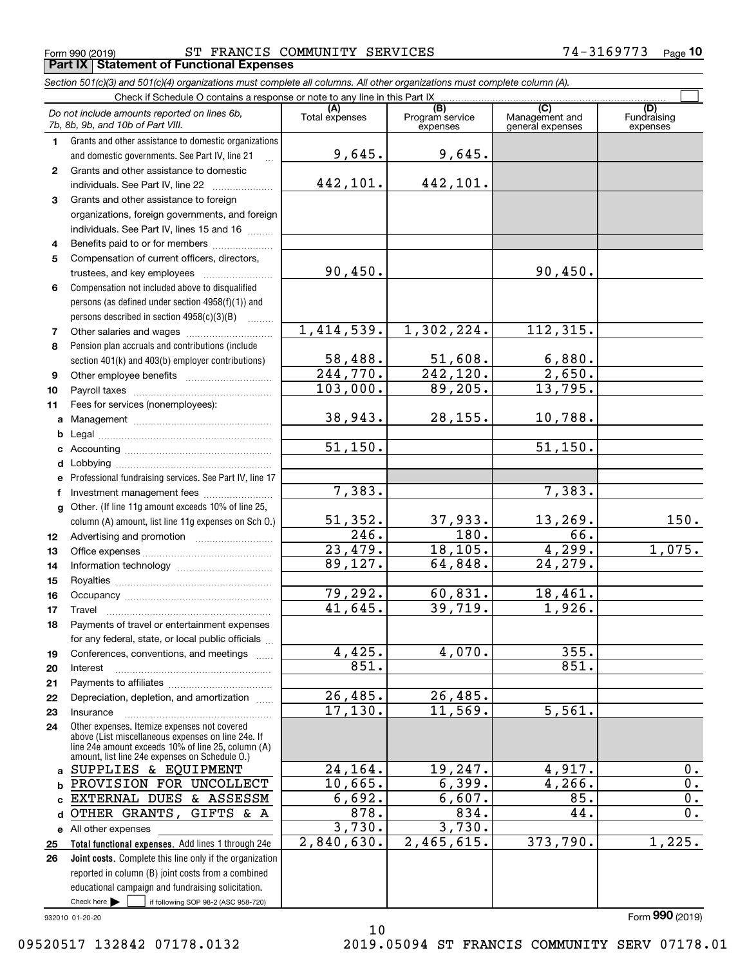Form 990 (2019) ST FRANCIS COMMUNITY SERVICES 74-3169773 <sub>Page</sub> **Part IX Statement of Functional Expenses**

*Section 501(c)(3) and 501(c)(4) organizations must complete all columns. All other organizations must complete column (A).*

|              | Check if Schedule O contains a response or note to any line in this Part IX                          |                                   |                                    |                                           |                         |  |  |  |  |
|--------------|------------------------------------------------------------------------------------------------------|-----------------------------------|------------------------------------|-------------------------------------------|-------------------------|--|--|--|--|
|              | Do not include amounts reported on lines 6b,<br>7b, 8b, 9b, and 10b of Part VIII.                    | Total expenses                    | (B)<br>Program service<br>expenses | (C)<br>Management and<br>general expenses | Fundraising<br>expenses |  |  |  |  |
| 1.           | Grants and other assistance to domestic organizations                                                |                                   |                                    |                                           |                         |  |  |  |  |
|              | and domestic governments. See Part IV, line 21                                                       | 9,645.                            | 9,645.                             |                                           |                         |  |  |  |  |
| $\mathbf{2}$ | Grants and other assistance to domestic                                                              |                                   |                                    |                                           |                         |  |  |  |  |
|              | individuals. See Part IV, line 22                                                                    | 442,101.                          | 442,101.                           |                                           |                         |  |  |  |  |
| 3            | Grants and other assistance to foreign                                                               |                                   |                                    |                                           |                         |  |  |  |  |
|              | organizations, foreign governments, and foreign                                                      |                                   |                                    |                                           |                         |  |  |  |  |
|              | individuals. See Part IV, lines 15 and 16                                                            |                                   |                                    |                                           |                         |  |  |  |  |
| 4            | Benefits paid to or for members                                                                      |                                   |                                    |                                           |                         |  |  |  |  |
| 5            | Compensation of current officers, directors,                                                         |                                   |                                    |                                           |                         |  |  |  |  |
|              | trustees, and key employees                                                                          | 90,450.                           |                                    | 90,450.                                   |                         |  |  |  |  |
| 6            | Compensation not included above to disqualified                                                      |                                   |                                    |                                           |                         |  |  |  |  |
|              | persons (as defined under section 4958(f)(1)) and                                                    |                                   |                                    |                                           |                         |  |  |  |  |
|              | persons described in section 4958(c)(3)(B)<br>$\overline{\phantom{a}}$                               |                                   |                                    |                                           |                         |  |  |  |  |
| 7            |                                                                                                      | 1,414,539.                        | 1,302,224.                         | 112, 315.                                 |                         |  |  |  |  |
| 8            | Pension plan accruals and contributions (include                                                     |                                   |                                    |                                           |                         |  |  |  |  |
|              | section 401(k) and 403(b) employer contributions)                                                    | 58,488.<br>$\overline{244,770}$ . | 51,608.<br>$\overline{242,120}$ .  | 6,880.<br>2,650.                          |                         |  |  |  |  |
| 9            |                                                                                                      | 103,000.                          | 89,205.                            | 13,795.                                   |                         |  |  |  |  |
| 10           |                                                                                                      |                                   |                                    |                                           |                         |  |  |  |  |
| 11           | Fees for services (nonemployees):                                                                    | 38,943.                           | 28, 155.                           | 10,788.                                   |                         |  |  |  |  |
| a            |                                                                                                      |                                   |                                    |                                           |                         |  |  |  |  |
| b            |                                                                                                      | 51, 150.                          |                                    | 51,150.                                   |                         |  |  |  |  |
| с<br>d       |                                                                                                      |                                   |                                    |                                           |                         |  |  |  |  |
| е            | Professional fundraising services. See Part IV, line 17                                              |                                   |                                    |                                           |                         |  |  |  |  |
|              |                                                                                                      | 7,383.                            |                                    | 7,383.                                    |                         |  |  |  |  |
|              | g Other. (If line 11g amount exceeds 10% of line 25,                                                 |                                   |                                    |                                           |                         |  |  |  |  |
|              | column (A) amount, list line 11g expenses on Sch O.)                                                 | 51,352.                           | 37,933.                            | 13, 269.                                  | 150.                    |  |  |  |  |
| 12           |                                                                                                      | 246.                              | 180.                               | 66.                                       |                         |  |  |  |  |
| 13           |                                                                                                      | 23,479.                           | 18, 105.                           | 4,299.                                    | 1,075.                  |  |  |  |  |
| 14           |                                                                                                      | 89,127.                           | 64,848.                            | 24,279.                                   |                         |  |  |  |  |
| 15           |                                                                                                      |                                   |                                    |                                           |                         |  |  |  |  |
| 16           |                                                                                                      | 79,292.                           | 60,831.                            | 18,461.                                   |                         |  |  |  |  |
| 17           | Travel                                                                                               | 41,645.                           | 39,719.                            | 1,926.                                    |                         |  |  |  |  |
| 18           | Payments of travel or entertainment expenses                                                         |                                   |                                    |                                           |                         |  |  |  |  |
|              | for any federal, state, or local public officials                                                    |                                   |                                    |                                           |                         |  |  |  |  |
| 19           | Conferences, conventions, and meetings                                                               | 4,425.                            | 4,070.                             | 355.                                      |                         |  |  |  |  |
| 20           | Interest                                                                                             | 851.                              |                                    | 851.                                      |                         |  |  |  |  |
| 21           |                                                                                                      | 26,485.                           | 26,485.                            |                                           |                         |  |  |  |  |
| 22           | Depreciation, depletion, and amortization                                                            | 17, 130.                          | 11,569.                            | 5,561.                                    |                         |  |  |  |  |
| 23<br>24     | Insurance<br>Other expenses. Itemize expenses not covered                                            |                                   |                                    |                                           |                         |  |  |  |  |
|              | above (List miscellaneous expenses on line 24e. If                                                   |                                   |                                    |                                           |                         |  |  |  |  |
|              | line 24e amount exceeds 10% of line 25, column (A)<br>amount, list line 24e expenses on Schedule O.) |                                   |                                    |                                           |                         |  |  |  |  |
| a            | SUPPLIES & EQUIPMENT                                                                                 | 24,164.                           | 19,247.                            | 4,917.                                    | 0.                      |  |  |  |  |
| b            | PROVISION FOR UNCOLLECT                                                                              | 10,665.                           | 6, 399.                            | 4,266.                                    | $\overline{0}$ .        |  |  |  |  |
| c            | EXTERNAL DUES & ASSESSM                                                                              | 6,692.                            | 6,607.                             | 85.                                       | $\overline{0}$ .        |  |  |  |  |
| d            | OTHER GRANTS,<br>GIFTS & A                                                                           | 878.                              | 834.                               | 44.                                       | $\overline{0}$ .        |  |  |  |  |
|              | e All other expenses                                                                                 | 3,730.                            | 3,730.                             |                                           |                         |  |  |  |  |
| 25           | Total functional expenses. Add lines 1 through 24e                                                   | 2,840,630.                        | 2,465,615.                         | 373,790.                                  | 1,225.                  |  |  |  |  |
| 26           | Joint costs. Complete this line only if the organization                                             |                                   |                                    |                                           |                         |  |  |  |  |
|              | reported in column (B) joint costs from a combined                                                   |                                   |                                    |                                           |                         |  |  |  |  |
|              | educational campaign and fundraising solicitation.                                                   |                                   |                                    |                                           |                         |  |  |  |  |
|              | Check here $\blacktriangleright$<br>if following SOP 98-2 (ASC 958-720)                              |                                   |                                    |                                           |                         |  |  |  |  |

10

932010 01-20-20

Form (2019) **990**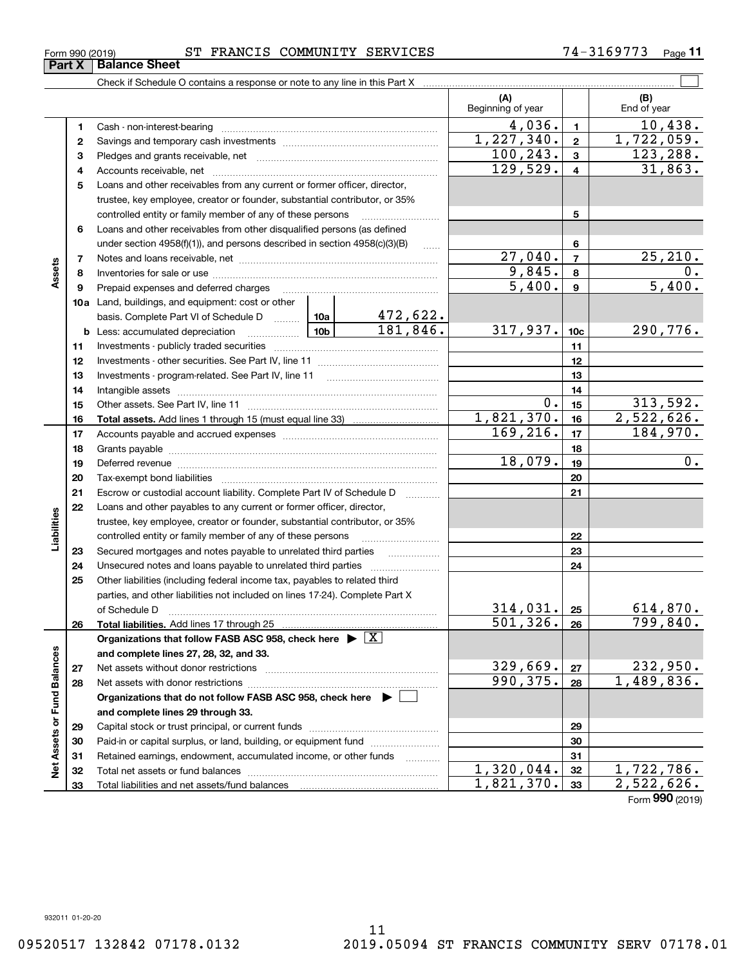**33**

Total liabilities and net assets/fund balances

**33**

 $1,821,370.$  33  $2,522,626.$ 

Form (2019) **990**

| Form 990 (2019) | ST FRANCIS COMMUNITY SERVICES |  |  | 74-3169773 | Page |
|-----------------|-------------------------------|--|--|------------|------|
|-----------------|-------------------------------|--|--|------------|------|

 $\mathcal{L}^{\text{max}}$ Check if Schedule O contains a response or note to any line in this Part X **(A) (B)** Beginning of year  $\begin{array}{|c|c|c|c|c|}\n\hline\n\end{array}$  End of year  $4,036$ .  $1$   $10,438$ . **11**Cash - non-interest-bearing ~~~~~~~~~~~~~~~~~~~~~~~~~  $1,227,340.$   $2 \mid 1,722,059.$ **22**Savings and temporary cash investments ~~~~~~~~~~~~~~~~~~ $100, 243.$   $3 \mid 123, 288.$ **33**Pledges and grants receivable, net ~~~~~~~~~~~~~~~~~~~~~ 129,529. 4 31,863. Accounts receivable, net ~~~~~~~~~~~~~~~~~~~~~~~~~~ **445**Loans and other receivables from any current or former officer, director, trustee, key employee, creator or founder, substantial contributor, or 35% controlled entity or family member of any of these persons ............................ **5**Loans and other receivables from other disqualified persons (as defined **6**under section 4958(f)(1)), and persons described in section 4958(c)(3)(B) **6** $27,040.7$   $25,210.$ **77**Notes and loans receivable, net ~~~~~~~~~~~~~~~~~~~~~~~**Assets**  $9,845. | 8 | 0.$ **88**Inventories for sale or use ~~~~~~~~~~~~~~~~~~~~~~~~~~ 5,400. 5,400. **99**Prepaid expenses and deferred charges ~~~~~~~~~~~~~~~~~~ **10a**Land, buildings, and equipment: cost or other 472,622. basis. Complete Part VI of Schedule D ......... Letting  $181,846.$  317,937.  $10c$  290,776. **10cb** Less: accumulated depreciation  $\ldots$  **10b 1111**Investments - publicly traded securities ~~~~~~~~~~~~~~~~~~~ **1212**Investments - other securities. See Part IV, line 11 ~~~~~~~~~~~~~~ **1313** Investments - program-related. See Part IV, line 11 ~~~~~~~~~~~~~**1414**Intangible assets ~~~~~~~~~~~~~~~~~~~~~~~~~~~~~~ Other assets. See Part IV, line 11 ~~~~~~~~~~~~~~~~~~~~~~  $0.15$  313,592. **1515** $1,821,370.$  16 2,522,626. **1616Total assets.**  Add lines 1 through 15 (must equal line 33)  $169, 216$ .  $17$   $184, 970$ . **1717**Accounts payable and accrued expenses ~~~~~~~~~~~~~~~~~~ **1818**Grants payable ~~~~~~~~~~~~~~~~~~~~~~~~~~~~~~~  $18,079.$  19  $0.$ **1919**Deferred revenue ~~~~~~~~~~~~~~~~~~~~~~~~~~~~~~ **2020**Tax-exempt bond liabilities …………………………………………………………… Escrow or custodial account liability. Complete Part IV of Schedule D **212122**Loans and other payables to any current or former officer, director, iabilities **Liabilities** trustee, key employee, creator or founder, substantial contributor, or 35% controlled entity or family member of any of these persons ~~~~~~~~~**2223**Secured mortgages and notes payable to unrelated third parties **23**Unsecured notes and loans payable to unrelated third parties ~~~~~~~~ **242425**Other liabilities (including federal income tax, payables to related third parties, and other liabilities not included on lines 17-24). Complete Part X of Schedule D ~~~~~~~~~~~~~~~~~~~~~~~~~~~~~~~  $314,031.$   $25$  614,870. **25**501,326. 799,840. **2626Total liabilities.**  Add lines 17 through 25 **Organizations that follow FASB ASC 958, check here** | X Assets or Fund Balances **Net Assets or Fund Balances and complete lines 27, 28, 32, and 33.**  $329,669$ .  $232,950$ . **2727**Net assets without donor restrictions <sub>…………………………………………………</sub>……  $990, 375. |28 | 1,489,836.$ **2828**Net assets with donor restrictions ~~~~~~~~~~~~~~~~~~~~~~**Organizations that do not follow FASB ASC 958, check here** | **and complete lines 29 through 33. 2929**Capital stock or trust principal, or current funds ~~~~~~~~~~~~~~~ **3030**Paid-in or capital surplus, or land, building, or equipment fund www.commun.com **31**Retained earnings, endowment, accumulated income, or other funds **31**ğ Total net assets or fund balances ~~~~~~~~~~~~~~~~~~~~~~  $1,320,044.$   $32$   $1,722,786.$ **3232**

**Part X** | Balance Sheet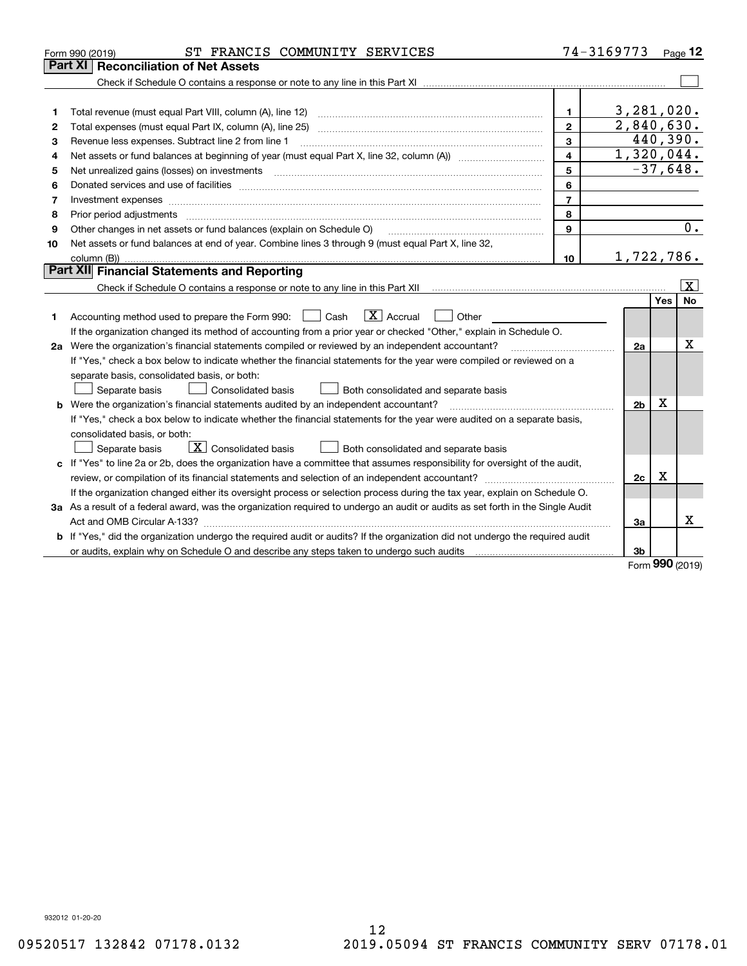|    | ST FRANCIS COMMUNITY SERVICES<br>Form 990 (2019)                                                                                |                | 74-3169773     |             | Page $12$               |
|----|---------------------------------------------------------------------------------------------------------------------------------|----------------|----------------|-------------|-------------------------|
|    | Part XI   Reconciliation of Net Assets                                                                                          |                |                |             |                         |
|    |                                                                                                                                 |                |                |             |                         |
|    |                                                                                                                                 |                |                |             |                         |
| 1  |                                                                                                                                 | 1.             | 3,281,020.     |             |                         |
| 2  |                                                                                                                                 | $\overline{2}$ | 2,840,630.     |             |                         |
| з  | Revenue less expenses. Subtract line 2 from line 1                                                                              | 3              |                |             | 440,390.                |
| 4  |                                                                                                                                 | 4              | 1,320,044.     |             |                         |
| 5  | Net unrealized gains (losses) on investments                                                                                    | 5              |                |             | $-37,648.$              |
| 6  |                                                                                                                                 | 6              |                |             |                         |
| 7  |                                                                                                                                 | $\overline{7}$ |                |             |                         |
| 8  |                                                                                                                                 | 8              |                |             |                         |
| 9  | Other changes in net assets or fund balances (explain on Schedule O)                                                            | 9              |                |             | $\overline{0}$ .        |
| 10 | Net assets or fund balances at end of year. Combine lines 3 through 9 (must equal Part X, line 32,                              |                |                |             |                         |
|    |                                                                                                                                 | 10             | 1,722,786.     |             |                         |
|    | Part XII Financial Statements and Reporting                                                                                     |                |                |             |                         |
|    |                                                                                                                                 |                |                |             | $\overline{\mathbf{x}}$ |
|    |                                                                                                                                 |                |                | Yes         | <b>No</b>               |
| 1  | $\boxed{\mathbf{X}}$ Accrual<br>Accounting method used to prepare the Form 990: <u>[</u> Cash<br>Other                          |                |                |             |                         |
|    | If the organization changed its method of accounting from a prior year or checked "Other," explain in Schedule O.               |                |                |             |                         |
|    | 2a Were the organization's financial statements compiled or reviewed by an independent accountant?                              |                | 2a             |             | х                       |
|    | If "Yes," check a box below to indicate whether the financial statements for the year were compiled or reviewed on a            |                |                |             |                         |
|    | separate basis, consolidated basis, or both:                                                                                    |                |                |             |                         |
|    | Separate basis<br>Both consolidated and separate basis<br>Consolidated basis                                                    |                |                |             |                         |
|    | <b>b</b> Were the organization's financial statements audited by an independent accountant?                                     |                | 2 <sub>b</sub> | х           |                         |
|    | If "Yes," check a box below to indicate whether the financial statements for the year were audited on a separate basis,         |                |                |             |                         |
|    | consolidated basis, or both:                                                                                                    |                |                |             |                         |
|    | $\overline{X}$ Consolidated basis<br>Both consolidated and separate basis<br>Separate basis                                     |                |                |             |                         |
|    | c If "Yes" to line 2a or 2b, does the organization have a committee that assumes responsibility for oversight of the audit,     |                |                |             |                         |
|    |                                                                                                                                 |                | 2 <sub>c</sub> | $\mathbf X$ |                         |
|    | If the organization changed either its oversight process or selection process during the tax year, explain on Schedule O.       |                |                |             |                         |
|    | 3a As a result of a federal award, was the organization required to undergo an audit or audits as set forth in the Single Audit |                |                |             |                         |
|    |                                                                                                                                 |                | 3a             |             | x                       |
|    | b If "Yes," did the organization undergo the required audit or audits? If the organization did not undergo the required audit   |                |                |             |                         |
|    |                                                                                                                                 |                | 3b             | <b>nnn</b>  |                         |

Form (2019) **990**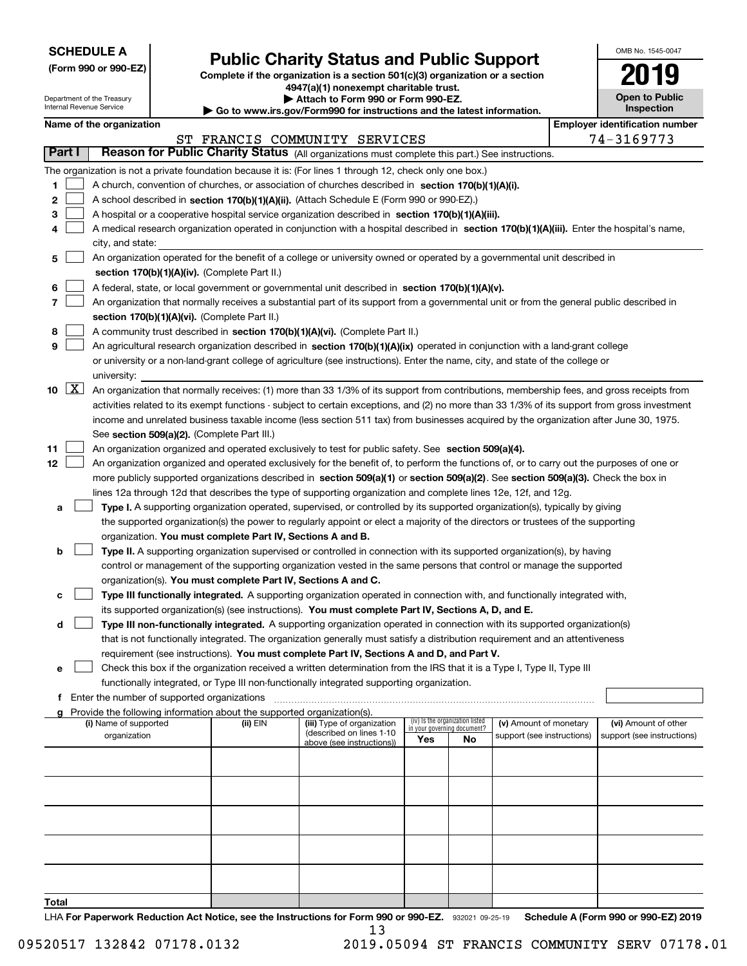| <b>SCHEDULE A</b> |
|-------------------|
|-------------------|

**(Form 990 or 990-EZ)**

# **Public Charity Status and Public Support**

**Complete if the organization is a section 501(c)(3) organization or a section 4947(a)(1) nonexempt charitable trust.**

**| Attach to Form 990 or Form 990-EZ.** 

| OMB No. 1545-0047                   |
|-------------------------------------|
| 2019                                |
| <b>Open to Public</b><br>Inspection |

| Department of the Treasury<br>▶ Attach to Form 990 or Form 990-EZ.<br>Internal Revenue Service<br>Go to www.irs.gov/Form990 for instructions and the latest information. |                     |                          |                                             |                                                                        |                                                                                                                                               | <b>Open to Public</b><br><b>Inspection</b> |                                 |                            |  |                                       |
|--------------------------------------------------------------------------------------------------------------------------------------------------------------------------|---------------------|--------------------------|---------------------------------------------|------------------------------------------------------------------------|-----------------------------------------------------------------------------------------------------------------------------------------------|--------------------------------------------|---------------------------------|----------------------------|--|---------------------------------------|
|                                                                                                                                                                          |                     | Name of the organization |                                             |                                                                        |                                                                                                                                               |                                            |                                 |                            |  | <b>Employer identification number</b> |
|                                                                                                                                                                          |                     |                          |                                             |                                                                        | ST FRANCIS COMMUNITY SERVICES                                                                                                                 |                                            |                                 |                            |  | 74-3169773                            |
| Part I                                                                                                                                                                   |                     |                          |                                             |                                                                        | Reason for Public Charity Status (All organizations must complete this part.) See instructions.                                               |                                            |                                 |                            |  |                                       |
|                                                                                                                                                                          |                     |                          |                                             |                                                                        |                                                                                                                                               |                                            |                                 |                            |  |                                       |
|                                                                                                                                                                          |                     |                          |                                             |                                                                        | The organization is not a private foundation because it is: (For lines 1 through 12, check only one box.)                                     |                                            |                                 |                            |  |                                       |
| 1                                                                                                                                                                        |                     |                          |                                             |                                                                        | A church, convention of churches, or association of churches described in section 170(b)(1)(A)(i).                                            |                                            |                                 |                            |  |                                       |
| 2                                                                                                                                                                        |                     |                          |                                             |                                                                        | A school described in section 170(b)(1)(A)(ii). (Attach Schedule E (Form 990 or 990-EZ).)                                                     |                                            |                                 |                            |  |                                       |
| 3                                                                                                                                                                        |                     |                          |                                             |                                                                        | A hospital or a cooperative hospital service organization described in section 170(b)(1)(A)(iii).                                             |                                            |                                 |                            |  |                                       |
| 4                                                                                                                                                                        |                     |                          |                                             |                                                                        | A medical research organization operated in conjunction with a hospital described in section 170(b)(1)(A)(iii). Enter the hospital's name,    |                                            |                                 |                            |  |                                       |
|                                                                                                                                                                          |                     | city, and state:         |                                             |                                                                        |                                                                                                                                               |                                            |                                 |                            |  |                                       |
| 5                                                                                                                                                                        |                     |                          |                                             |                                                                        | An organization operated for the benefit of a college or university owned or operated by a governmental unit described in                     |                                            |                                 |                            |  |                                       |
|                                                                                                                                                                          |                     |                          |                                             | section 170(b)(1)(A)(iv). (Complete Part II.)                          |                                                                                                                                               |                                            |                                 |                            |  |                                       |
| 6                                                                                                                                                                        |                     |                          |                                             |                                                                        | A federal, state, or local government or governmental unit described in section 170(b)(1)(A)(v).                                              |                                            |                                 |                            |  |                                       |
| 7                                                                                                                                                                        |                     |                          |                                             |                                                                        | An organization that normally receives a substantial part of its support from a governmental unit or from the general public described in     |                                            |                                 |                            |  |                                       |
|                                                                                                                                                                          |                     |                          |                                             | section 170(b)(1)(A)(vi). (Complete Part II.)                          |                                                                                                                                               |                                            |                                 |                            |  |                                       |
| 8                                                                                                                                                                        |                     |                          |                                             |                                                                        | A community trust described in section 170(b)(1)(A)(vi). (Complete Part II.)                                                                  |                                            |                                 |                            |  |                                       |
| 9                                                                                                                                                                        |                     |                          |                                             |                                                                        | An agricultural research organization described in section 170(b)(1)(A)(ix) operated in conjunction with a land-grant college                 |                                            |                                 |                            |  |                                       |
|                                                                                                                                                                          |                     |                          |                                             |                                                                        | or university or a non-land-grant college of agriculture (see instructions). Enter the name, city, and state of the college or                |                                            |                                 |                            |  |                                       |
|                                                                                                                                                                          |                     | university:              |                                             |                                                                        |                                                                                                                                               |                                            |                                 |                            |  |                                       |
| 10                                                                                                                                                                       | $\lfloor x \rfloor$ |                          |                                             |                                                                        | An organization that normally receives: (1) more than 33 1/3% of its support from contributions, membership fees, and gross receipts from     |                                            |                                 |                            |  |                                       |
|                                                                                                                                                                          |                     |                          |                                             |                                                                        | activities related to its exempt functions - subject to certain exceptions, and (2) no more than 33 1/3% of its support from gross investment |                                            |                                 |                            |  |                                       |
|                                                                                                                                                                          |                     |                          |                                             |                                                                        | income and unrelated business taxable income (less section 511 tax) from businesses acquired by the organization after June 30, 1975.         |                                            |                                 |                            |  |                                       |
|                                                                                                                                                                          |                     |                          |                                             | See section 509(a)(2). (Complete Part III.)                            |                                                                                                                                               |                                            |                                 |                            |  |                                       |
| 11                                                                                                                                                                       |                     |                          |                                             |                                                                        | An organization organized and operated exclusively to test for public safety. See section 509(a)(4).                                          |                                            |                                 |                            |  |                                       |
| 12                                                                                                                                                                       |                     |                          |                                             |                                                                        | An organization organized and operated exclusively for the benefit of, to perform the functions of, or to carry out the purposes of one or    |                                            |                                 |                            |  |                                       |
|                                                                                                                                                                          |                     |                          |                                             |                                                                        | more publicly supported organizations described in section 509(a)(1) or section 509(a)(2). See section 509(a)(3). Check the box in            |                                            |                                 |                            |  |                                       |
|                                                                                                                                                                          |                     |                          |                                             |                                                                        | lines 12a through 12d that describes the type of supporting organization and complete lines 12e, 12f, and 12g.                                |                                            |                                 |                            |  |                                       |
| а                                                                                                                                                                        |                     |                          |                                             |                                                                        | Type I. A supporting organization operated, supervised, or controlled by its supported organization(s), typically by giving                   |                                            |                                 |                            |  |                                       |
|                                                                                                                                                                          |                     |                          |                                             |                                                                        | the supported organization(s) the power to regularly appoint or elect a majority of the directors or trustees of the supporting               |                                            |                                 |                            |  |                                       |
|                                                                                                                                                                          |                     |                          |                                             | organization. You must complete Part IV, Sections A and B.             |                                                                                                                                               |                                            |                                 |                            |  |                                       |
| b                                                                                                                                                                        |                     |                          |                                             |                                                                        | Type II. A supporting organization supervised or controlled in connection with its supported organization(s), by having                       |                                            |                                 |                            |  |                                       |
|                                                                                                                                                                          |                     |                          |                                             |                                                                        | control or management of the supporting organization vested in the same persons that control or manage the supported                          |                                            |                                 |                            |  |                                       |
|                                                                                                                                                                          |                     |                          |                                             | organization(s). You must complete Part IV, Sections A and C.          |                                                                                                                                               |                                            |                                 |                            |  |                                       |
| с                                                                                                                                                                        |                     |                          |                                             |                                                                        | Type III functionally integrated. A supporting organization operated in connection with, and functionally integrated with,                    |                                            |                                 |                            |  |                                       |
|                                                                                                                                                                          |                     |                          |                                             |                                                                        | its supported organization(s) (see instructions). You must complete Part IV, Sections A, D, and E.                                            |                                            |                                 |                            |  |                                       |
| d                                                                                                                                                                        |                     |                          |                                             |                                                                        | Type III non-functionally integrated. A supporting organization operated in connection with its supported organization(s)                     |                                            |                                 |                            |  |                                       |
|                                                                                                                                                                          |                     |                          |                                             |                                                                        | that is not functionally integrated. The organization generally must satisfy a distribution requirement and an attentiveness                  |                                            |                                 |                            |  |                                       |
|                                                                                                                                                                          |                     |                          |                                             |                                                                        | requirement (see instructions). You must complete Part IV, Sections A and D, and Part V.                                                      |                                            |                                 |                            |  |                                       |
| е                                                                                                                                                                        |                     |                          |                                             |                                                                        | Check this box if the organization received a written determination from the IRS that it is a Type I, Type II, Type III                       |                                            |                                 |                            |  |                                       |
|                                                                                                                                                                          |                     |                          |                                             |                                                                        | functionally integrated, or Type III non-functionally integrated supporting organization.                                                     |                                            |                                 |                            |  |                                       |
| f                                                                                                                                                                        |                     |                          | Enter the number of supported organizations |                                                                        |                                                                                                                                               |                                            |                                 |                            |  |                                       |
| a                                                                                                                                                                        |                     |                          |                                             | Provide the following information about the supported organization(s). |                                                                                                                                               |                                            |                                 |                            |  |                                       |
|                                                                                                                                                                          |                     | (i) Name of supported    |                                             | (ii) EIN                                                               | (iii) Type of organization                                                                                                                    | in your governing document?                | (iv) Is the organization listed | (v) Amount of monetary     |  | (vi) Amount of other                  |
|                                                                                                                                                                          |                     | organization             |                                             |                                                                        | (described on lines 1-10<br>above (see instructions))                                                                                         | Yes                                        | No                              | support (see instructions) |  | support (see instructions)            |
|                                                                                                                                                                          |                     |                          |                                             |                                                                        |                                                                                                                                               |                                            |                                 |                            |  |                                       |
|                                                                                                                                                                          |                     |                          |                                             |                                                                        |                                                                                                                                               |                                            |                                 |                            |  |                                       |
|                                                                                                                                                                          |                     |                          |                                             |                                                                        |                                                                                                                                               |                                            |                                 |                            |  |                                       |
|                                                                                                                                                                          |                     |                          |                                             |                                                                        |                                                                                                                                               |                                            |                                 |                            |  |                                       |
|                                                                                                                                                                          |                     |                          |                                             |                                                                        |                                                                                                                                               |                                            |                                 |                            |  |                                       |
|                                                                                                                                                                          |                     |                          |                                             |                                                                        |                                                                                                                                               |                                            |                                 |                            |  |                                       |
|                                                                                                                                                                          |                     |                          |                                             |                                                                        |                                                                                                                                               |                                            |                                 |                            |  |                                       |
|                                                                                                                                                                          |                     |                          |                                             |                                                                        |                                                                                                                                               |                                            |                                 |                            |  |                                       |
|                                                                                                                                                                          |                     |                          |                                             |                                                                        |                                                                                                                                               |                                            |                                 |                            |  |                                       |
|                                                                                                                                                                          |                     |                          |                                             |                                                                        |                                                                                                                                               |                                            |                                 |                            |  |                                       |
|                                                                                                                                                                          |                     |                          |                                             |                                                                        |                                                                                                                                               |                                            |                                 |                            |  |                                       |

**Total**

LHA For Paperwork Reduction Act Notice, see the Instructions for Form 990 or 990-EZ. 932021 09-25-19 Schedule A (Form 990 or 990-EZ) 2019 13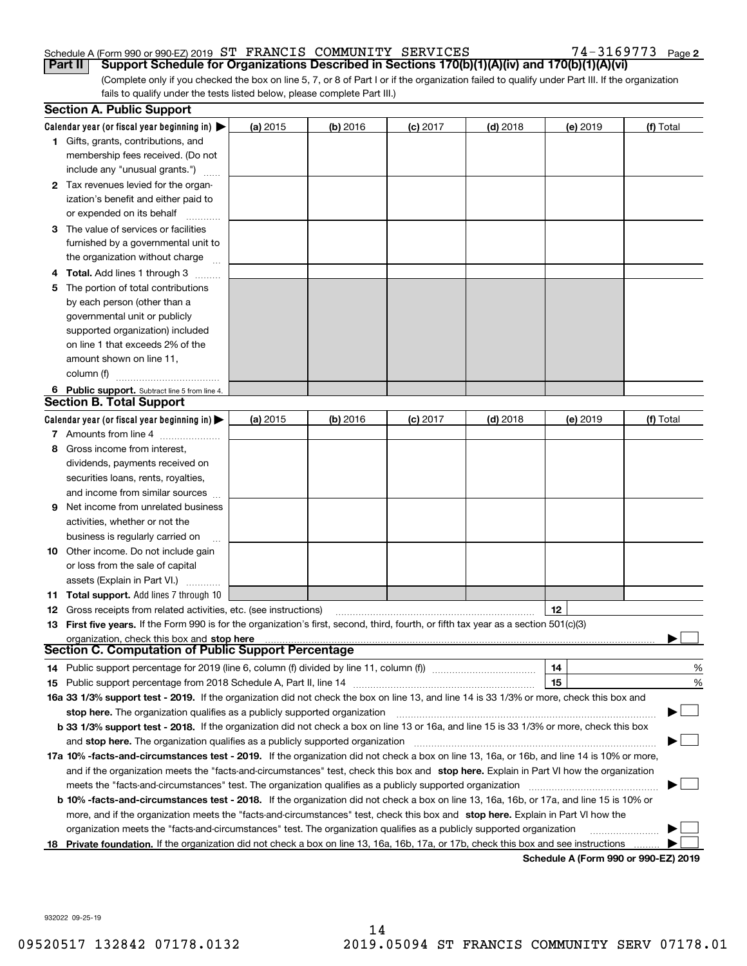# Schedule A (Form 990 or 990-EZ) 2019 Page ST FRANCIS COMMUNITY SERVICES 74-3169773

**2**

(Complete only if you checked the box on line 5, 7, or 8 of Part I or if the organization failed to qualify under Part III. If the organization fails to qualify under the tests listed below, please complete Part III.) **Part II Support Schedule for Organizations Described in Sections 170(b)(1)(A)(iv) and 170(b)(1)(A)(vi)**

|    | <b>Section A. Public Support</b>                                                                                                               |          |            |            |            |            |                                      |
|----|------------------------------------------------------------------------------------------------------------------------------------------------|----------|------------|------------|------------|------------|--------------------------------------|
|    | Calendar year (or fiscal year beginning in) $\blacktriangleright$                                                                              | (a) 2015 | $(b)$ 2016 | $(c)$ 2017 | $(d)$ 2018 | $(e)$ 2019 | (f) Total                            |
|    | <b>1</b> Gifts, grants, contributions, and                                                                                                     |          |            |            |            |            |                                      |
|    | membership fees received. (Do not                                                                                                              |          |            |            |            |            |                                      |
|    | include any "unusual grants.")                                                                                                                 |          |            |            |            |            |                                      |
|    | 2 Tax revenues levied for the organ-                                                                                                           |          |            |            |            |            |                                      |
|    | ization's benefit and either paid to                                                                                                           |          |            |            |            |            |                                      |
|    | or expended on its behalf                                                                                                                      |          |            |            |            |            |                                      |
|    | 3 The value of services or facilities                                                                                                          |          |            |            |            |            |                                      |
|    | furnished by a governmental unit to                                                                                                            |          |            |            |            |            |                                      |
|    | the organization without charge                                                                                                                |          |            |            |            |            |                                      |
|    | 4 Total. Add lines 1 through 3                                                                                                                 |          |            |            |            |            |                                      |
| 5  | The portion of total contributions                                                                                                             |          |            |            |            |            |                                      |
|    | by each person (other than a                                                                                                                   |          |            |            |            |            |                                      |
|    | governmental unit or publicly                                                                                                                  |          |            |            |            |            |                                      |
|    | supported organization) included                                                                                                               |          |            |            |            |            |                                      |
|    | on line 1 that exceeds 2% of the                                                                                                               |          |            |            |            |            |                                      |
|    | amount shown on line 11,                                                                                                                       |          |            |            |            |            |                                      |
|    | column (f)                                                                                                                                     |          |            |            |            |            |                                      |
|    | 6 Public support. Subtract line 5 from line 4.                                                                                                 |          |            |            |            |            |                                      |
|    | Section B. Total Support                                                                                                                       |          |            |            |            |            |                                      |
|    | Calendar year (or fiscal year beginning in) $\blacktriangleright$                                                                              | (a) 2015 | (b) 2016   | $(c)$ 2017 | $(d)$ 2018 | $(e)$ 2019 | (f) Total                            |
|    | 7 Amounts from line 4                                                                                                                          |          |            |            |            |            |                                      |
|    | 8 Gross income from interest,                                                                                                                  |          |            |            |            |            |                                      |
|    | dividends, payments received on                                                                                                                |          |            |            |            |            |                                      |
|    | securities loans, rents, royalties,                                                                                                            |          |            |            |            |            |                                      |
|    | and income from similar sources                                                                                                                |          |            |            |            |            |                                      |
| 9. | Net income from unrelated business                                                                                                             |          |            |            |            |            |                                      |
|    | activities, whether or not the                                                                                                                 |          |            |            |            |            |                                      |
|    | business is regularly carried on                                                                                                               |          |            |            |            |            |                                      |
|    | <b>10</b> Other income. Do not include gain                                                                                                    |          |            |            |            |            |                                      |
|    | or loss from the sale of capital                                                                                                               |          |            |            |            |            |                                      |
|    | assets (Explain in Part VI.)                                                                                                                   |          |            |            |            |            |                                      |
|    | 11 Total support. Add lines 7 through 10                                                                                                       |          |            |            |            |            |                                      |
|    | <b>12</b> Gross receipts from related activities, etc. (see instructions)                                                                      |          |            |            |            | 12         |                                      |
|    | 13 First five years. If the Form 990 is for the organization's first, second, third, fourth, or fifth tax year as a section 501(c)(3)          |          |            |            |            |            |                                      |
|    | organization, check this box and stop here                                                                                                     |          |            |            |            |            |                                      |
|    | Section C. Computation of Public Support Percentage                                                                                            |          |            |            |            |            |                                      |
|    | 14 Public support percentage for 2019 (line 6, column (f) divided by line 11, column (f) <i>manumumumumum</i>                                  |          |            |            |            | 14         | %                                    |
|    |                                                                                                                                                |          |            |            |            | 15         | %                                    |
|    | 16a 33 1/3% support test - 2019. If the organization did not check the box on line 13, and line 14 is 33 1/3% or more, check this box and      |          |            |            |            |            |                                      |
|    | stop here. The organization qualifies as a publicly supported organization                                                                     |          |            |            |            |            |                                      |
|    | b 33 1/3% support test - 2018. If the organization did not check a box on line 13 or 16a, and line 15 is 33 1/3% or more, check this box       |          |            |            |            |            |                                      |
|    | and stop here. The organization qualifies as a publicly supported organization                                                                 |          |            |            |            |            |                                      |
|    | 17a 10% -facts-and-circumstances test - 2019. If the organization did not check a box on line 13, 16a, or 16b, and line 14 is 10% or more,     |          |            |            |            |            |                                      |
|    | and if the organization meets the "facts-and-circumstances" test, check this box and stop here. Explain in Part VI how the organization        |          |            |            |            |            |                                      |
|    | meets the "facts-and-circumstances" test. The organization qualifies as a publicly supported organization                                      |          |            |            |            |            |                                      |
|    | <b>b 10% -facts-and-circumstances test - 2018.</b> If the organization did not check a box on line 13, 16a, 16b, or 17a, and line 15 is 10% or |          |            |            |            |            |                                      |
|    | more, and if the organization meets the "facts-and-circumstances" test, check this box and stop here. Explain in Part VI how the               |          |            |            |            |            |                                      |
|    | organization meets the "facts-and-circumstances" test. The organization qualifies as a publicly supported organization                         |          |            |            |            |            |                                      |
| 18 | Private foundation. If the organization did not check a box on line 13, 16a, 16b, 17a, or 17b, check this box and see instructions             |          |            |            |            |            |                                      |
|    |                                                                                                                                                |          |            |            |            |            | Schodule A (Form 000 or 000 F7) 2010 |

**Schedule A (Form 990 or 990-EZ) 2019**

932022 09-25-19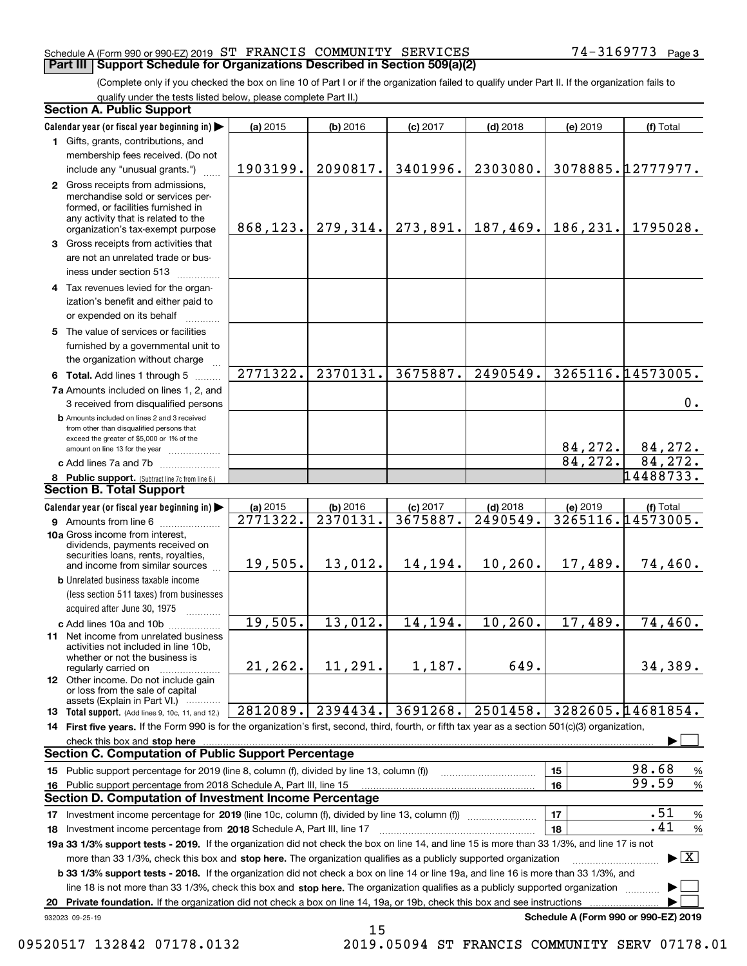### Schedule A (Form 990 or 990-EZ) 2019 Page ST FRANCIS COMMUNITY SERVICES 74-3169773 **Part III Support Schedule for Organizations Described in Section 509(a)(2)**

(Complete only if you checked the box on line 10 of Part I or if the organization failed to qualify under Part II. If the organization fails to qualify under the tests listed below, please complete Part II.)

|    | <b>Section A. Public Support</b>                                                                                                                                                                                               |          |                                 |            |            |          |                                          |
|----|--------------------------------------------------------------------------------------------------------------------------------------------------------------------------------------------------------------------------------|----------|---------------------------------|------------|------------|----------|------------------------------------------|
|    | Calendar year (or fiscal year beginning in)                                                                                                                                                                                    | (a) 2015 | (b) 2016                        | $(c)$ 2017 | $(d)$ 2018 | (e) 2019 | (f) Total                                |
|    | 1 Gifts, grants, contributions, and                                                                                                                                                                                            |          |                                 |            |            |          |                                          |
|    | membership fees received. (Do not                                                                                                                                                                                              |          |                                 |            |            |          |                                          |
|    | include any "unusual grants.")                                                                                                                                                                                                 | 1903199. | 2090817.                        | 3401996.   | 2303080.   |          | 3078885.12777977.                        |
|    | 2 Gross receipts from admissions,<br>merchandise sold or services per-<br>formed, or facilities furnished in<br>any activity that is related to the<br>organization's tax-exempt purpose                                       |          | $868, 123.$ 279, 314. 273, 891. |            | 187, 469.  | 186,231. | 1795028.                                 |
|    | 3 Gross receipts from activities that<br>are not an unrelated trade or bus-<br>iness under section 513                                                                                                                         |          |                                 |            |            |          |                                          |
|    | 4 Tax revenues levied for the organ-<br>ization's benefit and either paid to<br>or expended on its behalf                                                                                                                      |          |                                 |            |            |          |                                          |
|    | 5 The value of services or facilities<br>furnished by a governmental unit to<br>the organization without charge                                                                                                                |          |                                 |            |            |          |                                          |
|    | 6 Total. Add lines 1 through 5                                                                                                                                                                                                 | 2771322. | 2370131.                        | 3675887.   | 2490549.   |          | 3265116.14573005.                        |
|    | 7a Amounts included on lines 1, 2, and<br>3 received from disqualified persons                                                                                                                                                 |          |                                 |            |            |          | 0.                                       |
|    | <b>b</b> Amounts included on lines 2 and 3 received<br>from other than disqualified persons that<br>exceed the greater of \$5,000 or 1% of the<br>amount on line 13 for the year                                               |          |                                 |            |            | 84,272.  | 84,272.                                  |
|    | c Add lines 7a and 7b                                                                                                                                                                                                          |          |                                 |            |            | 84,272.  | 84, 272.                                 |
|    | 8 Public support. (Subtract line 7c from line 6.)                                                                                                                                                                              |          |                                 |            |            |          | 14488733.                                |
|    | <b>Section B. Total Support</b>                                                                                                                                                                                                |          |                                 |            |            |          |                                          |
|    | Calendar year (or fiscal year beginning in)                                                                                                                                                                                    | (a) 2015 | (b) 2016                        | $(c)$ 2017 | $(d)$ 2018 | (e) 2019 | (f) Total                                |
|    | 9 Amounts from line 6                                                                                                                                                                                                          | 2771322. | 2370131.                        | 3675887.   | 2490549.   |          | 3265116.14573005.                        |
|    | 10a Gross income from interest,<br>dividends, payments received on<br>securities loans, rents, royalties,<br>and income from similar sources                                                                                   | 19,505.  | 13,012.                         | 14,194.    | 10, 260.   | 17,489.  | 74,460.                                  |
|    | <b>b</b> Unrelated business taxable income<br>(less section 511 taxes) from businesses                                                                                                                                         |          |                                 |            |            |          |                                          |
|    | acquired after June 30, 1975                                                                                                                                                                                                   |          |                                 |            |            |          |                                          |
|    | c Add lines 10a and 10b                                                                                                                                                                                                        | 19,505.  | 13,012.                         | 14,194.    | 10, 260.   | 17,489.  | 74,460.                                  |
|    | 11 Net income from unrelated business<br>activities not included in line 10b,<br>whether or not the business is<br>regularly carried on                                                                                        | 21, 262. | 11,291.                         | 1,187.     | 649.       |          | 34,389.                                  |
|    | <b>12</b> Other income. Do not include gain<br>or loss from the sale of capital<br>assets (Explain in Part VI.)                                                                                                                |          |                                 |            |            |          |                                          |
|    | 13 Total support. (Add lines 9, 10c, 11, and 12.)                                                                                                                                                                              | 2812089. | 2394434.                        | 3691268.   | 2501458.   |          | 3282605.14681854.                        |
|    | 14 First five years. If the Form 990 is for the organization's first, second, third, fourth, or fifth tax year as a section 501(c)(3) organization,                                                                            |          |                                 |            |            |          |                                          |
|    | check this box and stop here with the continuum control to the control of the control of the control of the control of the control of the control of the control of the control of the control of the control of the control o |          |                                 |            |            |          |                                          |
|    | <b>Section C. Computation of Public Support Percentage</b>                                                                                                                                                                     |          |                                 |            |            |          |                                          |
|    | 15 Public support percentage for 2019 (line 8, column (f), divided by line 13, column (f))                                                                                                                                     |          |                                 |            |            | 15       | 98.68<br>$\%$                            |
|    | 16 Public support percentage from 2018 Schedule A, Part III, line 15                                                                                                                                                           |          |                                 |            |            | 16       | 99.59<br>$\%$                            |
|    | Section D. Computation of Investment Income Percentage                                                                                                                                                                         |          |                                 |            |            |          |                                          |
|    | 17 Investment income percentage for 2019 (line 10c, column (f), divided by line 13, column (f))                                                                                                                                |          |                                 |            |            | 17       | .51<br>%                                 |
|    | <b>18</b> Investment income percentage from <b>2018</b> Schedule A, Part III, line 17                                                                                                                                          |          |                                 |            |            | 18       | .41<br>%                                 |
|    | 19a 33 1/3% support tests - 2019. If the organization did not check the box on line 14, and line 15 is more than 33 1/3%, and line 17 is not                                                                                   |          |                                 |            |            |          |                                          |
|    | more than 33 1/3%, check this box and stop here. The organization qualifies as a publicly supported organization                                                                                                               |          |                                 |            |            |          | $\blacktriangleright$ $\boxed{\text{X}}$ |
|    | <b>b 33 1/3% support tests - 2018.</b> If the organization did not check a box on line 14 or line 19a, and line 16 is more than 33 1/3%, and                                                                                   |          |                                 |            |            |          |                                          |
|    | line 18 is not more than 33 1/3%, check this box and stop here. The organization qualifies as a publicly supported organization                                                                                                |          |                                 |            |            |          |                                          |
| 20 | Private foundation. If the organization did not check a box on line 14, 19a, or 19b, check this box and see instructions                                                                                                       |          |                                 |            |            |          |                                          |
|    | 932023 09-25-19                                                                                                                                                                                                                |          |                                 |            |            |          | Schedule A (Form 990 or 990-EZ) 2019     |

15

09520517 132842 07178.0132 2019.05094 ST FRANCIS COMMUNITY SERV 07178.01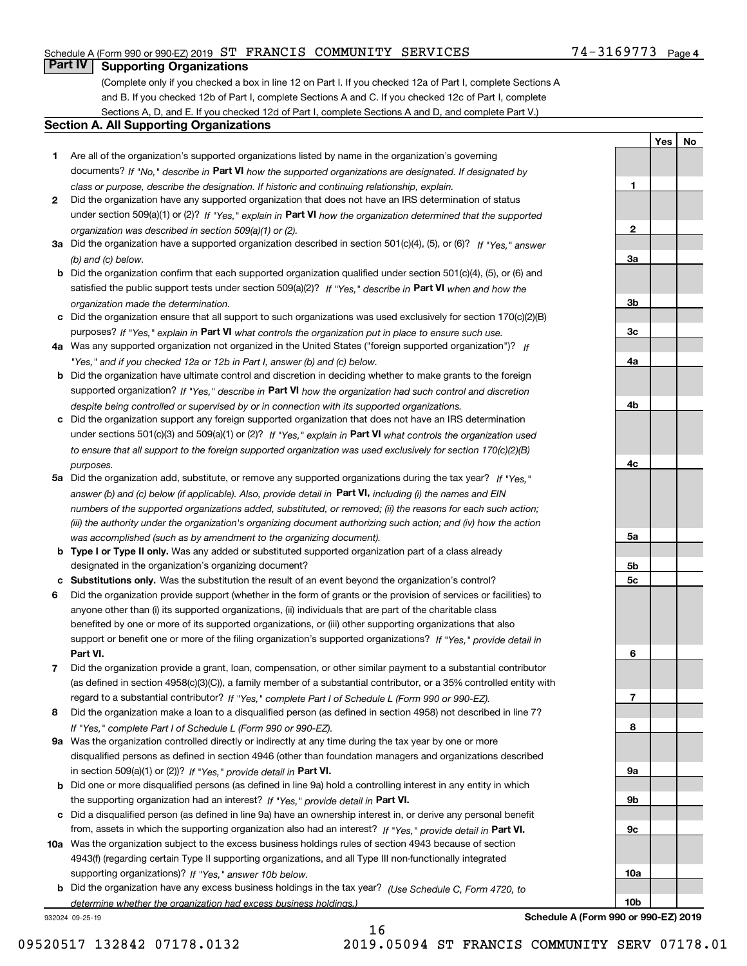# Schedule A (Form 990 or 990-EZ) 2019 Page ST FRANCIS COMMUNITY SERVICES 74-3169773

# **Part IV Supporting Organizations**

(Complete only if you checked a box in line 12 on Part I. If you checked 12a of Part I, complete Sections A and B. If you checked 12b of Part I, complete Sections A and C. If you checked 12c of Part I, complete Sections A, D, and E. If you checked 12d of Part I, complete Sections A and D, and complete Part V.)

## **Section A. All Supporting Organizations**

- **1** Are all of the organization's supported organizations listed by name in the organization's governing documents? If "No," describe in **Part VI** how the supported organizations are designated. If designated by *class or purpose, describe the designation. If historic and continuing relationship, explain.*
- **2** Did the organization have any supported organization that does not have an IRS determination of status under section 509(a)(1) or (2)? If "Yes," explain in Part VI how the organization determined that the supported *organization was described in section 509(a)(1) or (2).*
- **3a** Did the organization have a supported organization described in section 501(c)(4), (5), or (6)? If "Yes," answer *(b) and (c) below.*
- **b** Did the organization confirm that each supported organization qualified under section 501(c)(4), (5), or (6) and satisfied the public support tests under section 509(a)(2)? If "Yes," describe in **Part VI** when and how the *organization made the determination.*
- **c**Did the organization ensure that all support to such organizations was used exclusively for section 170(c)(2)(B) purposes? If "Yes," explain in **Part VI** what controls the organization put in place to ensure such use.
- **4a***If* Was any supported organization not organized in the United States ("foreign supported organization")? *"Yes," and if you checked 12a or 12b in Part I, answer (b) and (c) below.*
- **b** Did the organization have ultimate control and discretion in deciding whether to make grants to the foreign supported organization? If "Yes," describe in **Part VI** how the organization had such control and discretion *despite being controlled or supervised by or in connection with its supported organizations.*
- **c** Did the organization support any foreign supported organization that does not have an IRS determination under sections 501(c)(3) and 509(a)(1) or (2)? If "Yes," explain in **Part VI** what controls the organization used *to ensure that all support to the foreign supported organization was used exclusively for section 170(c)(2)(B) purposes.*
- **5a** Did the organization add, substitute, or remove any supported organizations during the tax year? If "Yes," answer (b) and (c) below (if applicable). Also, provide detail in **Part VI,** including (i) the names and EIN *numbers of the supported organizations added, substituted, or removed; (ii) the reasons for each such action; (iii) the authority under the organization's organizing document authorizing such action; and (iv) how the action was accomplished (such as by amendment to the organizing document).*
- **b** Type I or Type II only. Was any added or substituted supported organization part of a class already designated in the organization's organizing document?
- **cSubstitutions only.**  Was the substitution the result of an event beyond the organization's control?
- **6** Did the organization provide support (whether in the form of grants or the provision of services or facilities) to **Part VI.** *If "Yes," provide detail in* support or benefit one or more of the filing organization's supported organizations? anyone other than (i) its supported organizations, (ii) individuals that are part of the charitable class benefited by one or more of its supported organizations, or (iii) other supporting organizations that also
- **7**Did the organization provide a grant, loan, compensation, or other similar payment to a substantial contributor *If "Yes," complete Part I of Schedule L (Form 990 or 990-EZ).* regard to a substantial contributor? (as defined in section 4958(c)(3)(C)), a family member of a substantial contributor, or a 35% controlled entity with
- **8** Did the organization make a loan to a disqualified person (as defined in section 4958) not described in line 7? *If "Yes," complete Part I of Schedule L (Form 990 or 990-EZ).*
- **9a** Was the organization controlled directly or indirectly at any time during the tax year by one or more in section 509(a)(1) or (2))? If "Yes," *provide detail in* <code>Part VI.</code> disqualified persons as defined in section 4946 (other than foundation managers and organizations described
- **b** Did one or more disqualified persons (as defined in line 9a) hold a controlling interest in any entity in which the supporting organization had an interest? If "Yes," provide detail in P**art VI**.
- **c**Did a disqualified person (as defined in line 9a) have an ownership interest in, or derive any personal benefit from, assets in which the supporting organization also had an interest? If "Yes," provide detail in P**art VI.**
- **10a** Was the organization subject to the excess business holdings rules of section 4943 because of section supporting organizations)? If "Yes," answer 10b below. 4943(f) (regarding certain Type II supporting organizations, and all Type III non-functionally integrated
- **b** Did the organization have any excess business holdings in the tax year? (Use Schedule C, Form 4720, to *determine whether the organization had excess business holdings.)*

932024 09-25-19

**Schedule A (Form 990 or 990-EZ) 2019**

**1**

**2**

**3a**

**3b**

**3c**

**4a**

**4b**

**4c**

**5a**

**5b5c**

**6**

**7**

**8**

**9a**

**9b**

**9c**

**10a**

**10b**

**YesNo**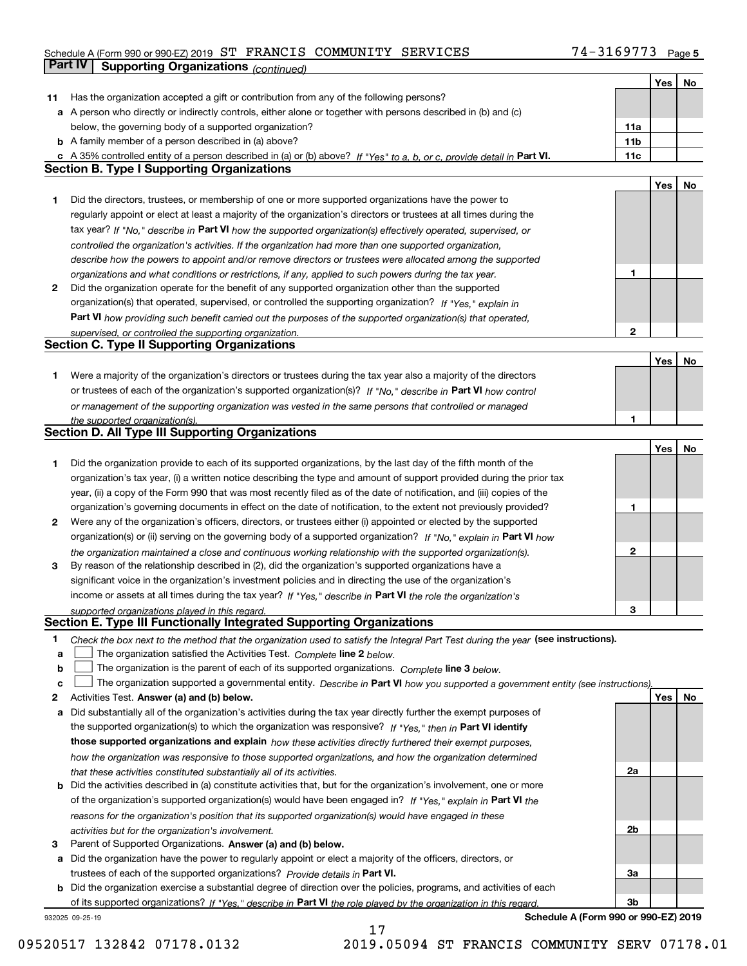# Schedule A (Form 990 or 990-EZ) 2019 Page ST FRANCIS COMMUNITY SERVICES 74-3169773 **Part IV Supporting Organizations** *(continued)*

|    |                                                                                                                                   |                 | Yes | No |
|----|-----------------------------------------------------------------------------------------------------------------------------------|-----------------|-----|----|
| 11 | Has the organization accepted a gift or contribution from any of the following persons?                                           |                 |     |    |
|    | a A person who directly or indirectly controls, either alone or together with persons described in (b) and (c)                    |                 |     |    |
|    | below, the governing body of a supported organization?                                                                            | 11a             |     |    |
|    | <b>b</b> A family member of a person described in (a) above?                                                                      | 11 <sub>b</sub> |     |    |
|    | c A 35% controlled entity of a person described in (a) or (b) above? If "Yes" to a, b, or c, provide detail in Part VI.           | 11c             |     |    |
|    | <b>Section B. Type I Supporting Organizations</b>                                                                                 |                 |     |    |
|    |                                                                                                                                   |                 | Yes | No |
| 1  | Did the directors, trustees, or membership of one or more supported organizations have the power to                               |                 |     |    |
|    | regularly appoint or elect at least a majority of the organization's directors or trustees at all times during the                |                 |     |    |
|    | tax year? If "No," describe in Part VI how the supported organization(s) effectively operated, supervised, or                     |                 |     |    |
|    | controlled the organization's activities. If the organization had more than one supported organization,                           |                 |     |    |
|    | describe how the powers to appoint and/or remove directors or trustees were allocated among the supported                         |                 |     |    |
|    | organizations and what conditions or restrictions, if any, applied to such powers during the tax year.                            | 1               |     |    |
| 2  | Did the organization operate for the benefit of any supported organization other than the supported                               |                 |     |    |
|    | organization(s) that operated, supervised, or controlled the supporting organization? If "Yes," explain in                        |                 |     |    |
|    | Part VI how providing such benefit carried out the purposes of the supported organization(s) that operated,                       |                 |     |    |
|    | supervised, or controlled the supporting organization.                                                                            | 2               |     |    |
|    | <b>Section C. Type II Supporting Organizations</b>                                                                                |                 |     |    |
|    |                                                                                                                                   |                 | Yes | No |
| 1  | Were a majority of the organization's directors or trustees during the tax year also a majority of the directors                  |                 |     |    |
|    | or trustees of each of the organization's supported organization(s)? If "No," describe in Part VI how control                     |                 |     |    |
|    | or management of the supporting organization was vested in the same persons that controlled or managed                            |                 |     |    |
|    | the supported organization(s).                                                                                                    | 1               |     |    |
|    | Section D. All Type III Supporting Organizations                                                                                  |                 |     |    |
|    |                                                                                                                                   |                 | Yes | No |
| 1  | Did the organization provide to each of its supported organizations, by the last day of the fifth month of the                    |                 |     |    |
|    | organization's tax year, (i) a written notice describing the type and amount of support provided during the prior tax             |                 |     |    |
|    | year, (ii) a copy of the Form 990 that was most recently filed as of the date of notification, and (iii) copies of the            |                 |     |    |
|    | organization's governing documents in effect on the date of notification, to the extent not previously provided?                  | 1               |     |    |
| 2  | Were any of the organization's officers, directors, or trustees either (i) appointed or elected by the supported                  |                 |     |    |
|    | organization(s) or (ii) serving on the governing body of a supported organization? If "No," explain in Part VI how                |                 |     |    |
|    | the organization maintained a close and continuous working relationship with the supported organization(s).                       | 2               |     |    |
| 3  | By reason of the relationship described in (2), did the organization's supported organizations have a                             |                 |     |    |
|    | significant voice in the organization's investment policies and in directing the use of the organization's                        |                 |     |    |
|    | income or assets at all times during the tax year? If "Yes," describe in Part VI the role the organization's                      |                 |     |    |
|    | supported organizations played in this regard.                                                                                    | з               |     |    |
|    | Section E. Type III Functionally Integrated Supporting Organizations                                                              |                 |     |    |
| 1  | Check the box next to the method that the organization used to satisfy the Integral Part Test during the year (see instructions). |                 |     |    |
| а  | The organization satisfied the Activities Test. Complete line 2 below.                                                            |                 |     |    |
| b  | The organization is the parent of each of its supported organizations. Complete line 3 below.                                     |                 |     |    |
| c  | The organization supported a governmental entity. Describe in Part VI how you supported a government entity (see instructions),   |                 |     |    |
| 2  | Activities Test. Answer (a) and (b) below.                                                                                        |                 | Yes | No |
| а  | Did substantially all of the organization's activities during the tax year directly further the exempt purposes of                |                 |     |    |
|    | the supported organization(s) to which the organization was responsive? If "Yes," then in Part VI identify                        |                 |     |    |
|    | those supported organizations and explain how these activities directly furthered their exempt purposes,                          |                 |     |    |
|    | how the organization was responsive to those supported organizations, and how the organization determined                         |                 |     |    |
|    | that these activities constituted substantially all of its activities.                                                            | 2a              |     |    |
|    | <b>b</b> Did the activities described in (a) constitute activities that, but for the organization's involvement, one or more      |                 |     |    |
|    | of the organization's supported organization(s) would have been engaged in? If "Yes," explain in Part VI the                      |                 |     |    |
|    | reasons for the organization's position that its supported organization(s) would have engaged in these                            |                 |     |    |
|    | activities but for the organization's involvement.                                                                                | 2b              |     |    |
| з  | Parent of Supported Organizations. Answer (a) and (b) below.                                                                      |                 |     |    |
|    | a Did the organization have the power to regularly appoint or elect a majority of the officers, directors, or                     |                 |     |    |
|    | trustees of each of the supported organizations? Provide details in Part VI.                                                      | За              |     |    |
|    | <b>b</b> Did the organization exercise a substantial degree of direction over the policies, programs, and activities of each      |                 |     |    |
|    | of its supported organizations? If "Yes." describe in Part VI the role played by the organization in this regard.                 | 3b              |     |    |
|    | Schedule A (Form 990 or 990-EZ) 2019<br>932025 09-25-19                                                                           |                 |     |    |

17

**Schedule A (Form 990 or 990-EZ) 2019**

09520517 132842 07178.0132 2019.05094 ST FRANCIS COMMUNITY SERV 07178.01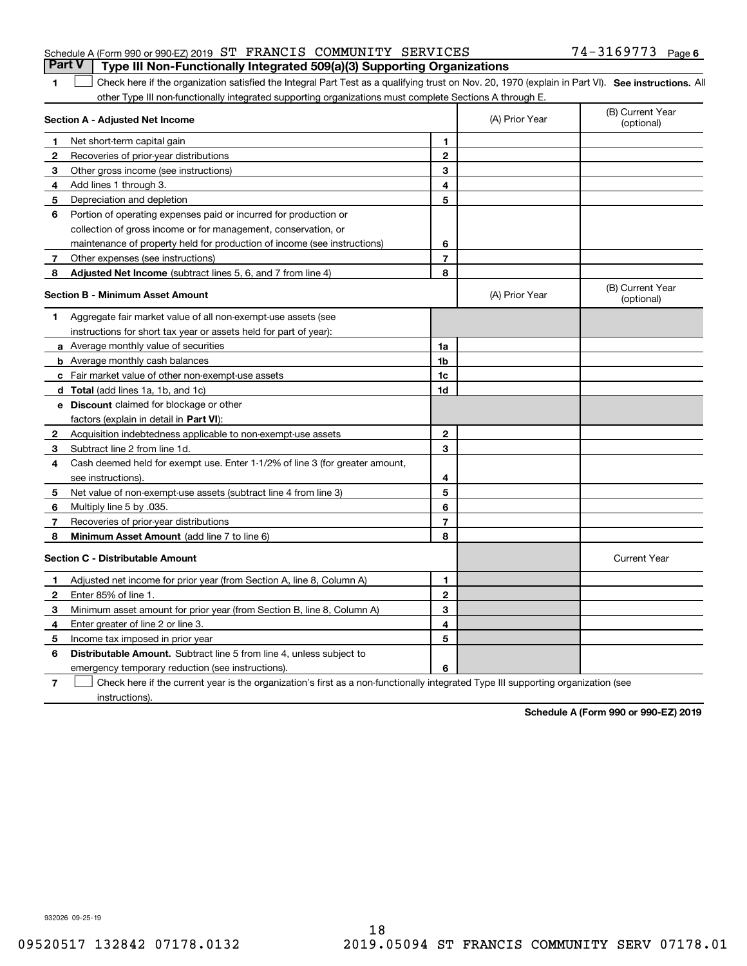# Schedule A (Form 990 or 990-EZ) 2019 Page ST FRANCIS COMMUNITY SERVICES 74-3169773 **Part V Type III Non-Functionally Integrated 509(a)(3) Supporting Organizations**

# 1 Check here if the organization satisfied the Integral Part Test as a qualifying trust on Nov. 20, 1970 (explain in Part VI). See instructions. All other Type III non-functionally integrated supporting organizations must complete Sections A through E.

|   | Section A - Adjusted Net Income                                                                                                   | (A) Prior Year | (B) Current Year<br>(optional) |                                |
|---|-----------------------------------------------------------------------------------------------------------------------------------|----------------|--------------------------------|--------------------------------|
| 1 | Net short-term capital gain                                                                                                       | 1              |                                |                                |
| 2 | Recoveries of prior-year distributions                                                                                            | $\overline{2}$ |                                |                                |
| 3 | Other gross income (see instructions)                                                                                             | 3              |                                |                                |
| 4 | Add lines 1 through 3.                                                                                                            | 4              |                                |                                |
| 5 | Depreciation and depletion                                                                                                        | 5              |                                |                                |
| 6 | Portion of operating expenses paid or incurred for production or                                                                  |                |                                |                                |
|   | collection of gross income or for management, conservation, or                                                                    |                |                                |                                |
|   | maintenance of property held for production of income (see instructions)                                                          | 6              |                                |                                |
| 7 | Other expenses (see instructions)                                                                                                 | $\overline{7}$ |                                |                                |
| 8 | Adjusted Net Income (subtract lines 5, 6, and 7 from line 4)                                                                      | 8              |                                |                                |
|   | <b>Section B - Minimum Asset Amount</b>                                                                                           |                | (A) Prior Year                 | (B) Current Year<br>(optional) |
| 1 | Aggregate fair market value of all non-exempt-use assets (see                                                                     |                |                                |                                |
|   | instructions for short tax year or assets held for part of year):                                                                 |                |                                |                                |
|   | <b>a</b> Average monthly value of securities                                                                                      | 1a             |                                |                                |
|   | <b>b</b> Average monthly cash balances                                                                                            | 1b             |                                |                                |
|   | c Fair market value of other non-exempt-use assets                                                                                | 1c             |                                |                                |
|   | <b>d</b> Total (add lines 1a, 1b, and 1c)                                                                                         | 1d             |                                |                                |
|   | e Discount claimed for blockage or other                                                                                          |                |                                |                                |
|   | factors (explain in detail in Part VI):                                                                                           |                |                                |                                |
| 2 | Acquisition indebtedness applicable to non-exempt-use assets                                                                      | 2              |                                |                                |
| 3 | Subtract line 2 from line 1d.                                                                                                     | 3              |                                |                                |
| 4 | Cash deemed held for exempt use. Enter 1-1/2% of line 3 (for greater amount,                                                      |                |                                |                                |
|   | see instructions)                                                                                                                 | 4              |                                |                                |
| 5 | Net value of non-exempt-use assets (subtract line 4 from line 3)                                                                  | 5              |                                |                                |
| 6 | Multiply line 5 by .035.                                                                                                          | 6              |                                |                                |
| 7 | Recoveries of prior-year distributions                                                                                            | 7              |                                |                                |
| 8 | <b>Minimum Asset Amount</b> (add line 7 to line 6)                                                                                | 8              |                                |                                |
|   | <b>Section C - Distributable Amount</b>                                                                                           |                |                                | <b>Current Year</b>            |
| 1 | Adjusted net income for prior year (from Section A, line 8, Column A)                                                             | 1              |                                |                                |
| 2 | Enter 85% of line 1.                                                                                                              | $\overline{2}$ |                                |                                |
| 3 | Minimum asset amount for prior year (from Section B, line 8, Column A)                                                            | 3              |                                |                                |
| 4 | Enter greater of line 2 or line 3.                                                                                                | 4              |                                |                                |
| 5 | Income tax imposed in prior year                                                                                                  | 5              |                                |                                |
| 6 | <b>Distributable Amount.</b> Subtract line 5 from line 4, unless subject to                                                       |                |                                |                                |
|   | emergency temporary reduction (see instructions).                                                                                 | 6              |                                |                                |
| 7 | Check here if the current year is the organization's first as a non-functionally integrated Type III supporting organization (see |                |                                |                                |

instructions).

**1**

**Schedule A (Form 990 or 990-EZ) 2019**

932026 09-25-19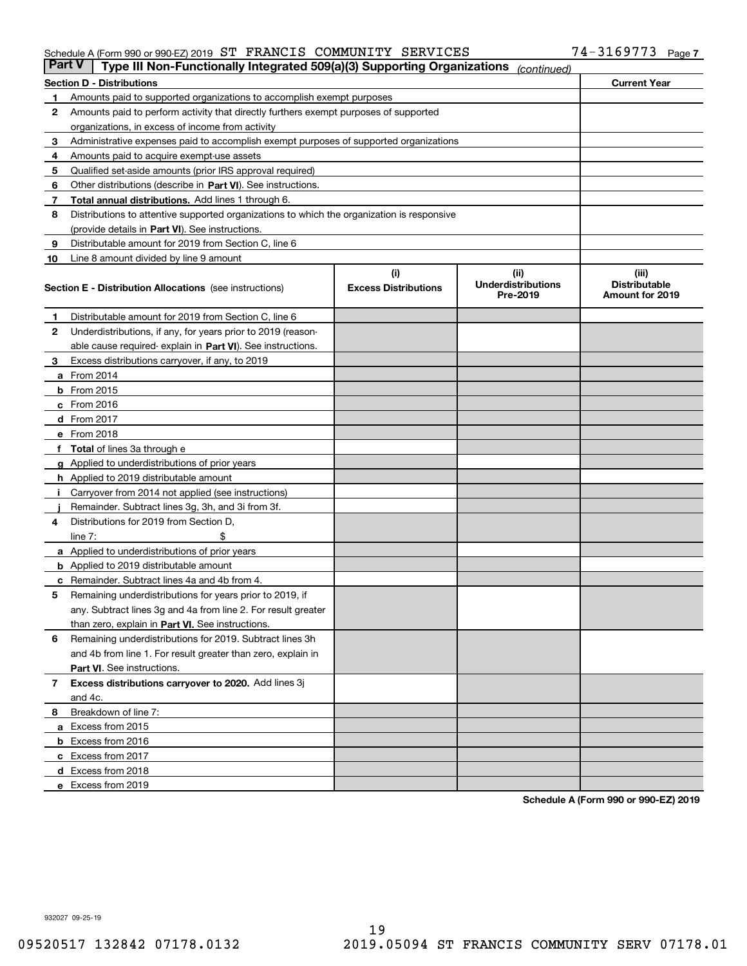#### Schedule A (Form 990 or 990-EZ) 2019 S'I' F'RANCIS COMMUNITY SERVICES 74-3I69773 Page ST FRANCIS COMMUNITY SERVICES 74-3169773

| <b>Part V</b> | Type III Non-Functionally Integrated 509(a)(3) Supporting Organizations                    |                             | (continued)                           |                                         |
|---------------|--------------------------------------------------------------------------------------------|-----------------------------|---------------------------------------|-----------------------------------------|
|               | <b>Section D - Distributions</b>                                                           |                             |                                       | <b>Current Year</b>                     |
| 1             | Amounts paid to supported organizations to accomplish exempt purposes                      |                             |                                       |                                         |
| 2             | Amounts paid to perform activity that directly furthers exempt purposes of supported       |                             |                                       |                                         |
|               | organizations, in excess of income from activity                                           |                             |                                       |                                         |
| 3             | Administrative expenses paid to accomplish exempt purposes of supported organizations      |                             |                                       |                                         |
| 4             | Amounts paid to acquire exempt-use assets                                                  |                             |                                       |                                         |
| 5             | Qualified set-aside amounts (prior IRS approval required)                                  |                             |                                       |                                         |
| 6             | Other distributions (describe in Part VI). See instructions.                               |                             |                                       |                                         |
| 7             | <b>Total annual distributions.</b> Add lines 1 through 6.                                  |                             |                                       |                                         |
| 8             | Distributions to attentive supported organizations to which the organization is responsive |                             |                                       |                                         |
|               | (provide details in Part VI). See instructions.                                            |                             |                                       |                                         |
| 9             | Distributable amount for 2019 from Section C, line 6                                       |                             |                                       |                                         |
| 10            | Line 8 amount divided by line 9 amount                                                     |                             |                                       |                                         |
|               |                                                                                            | (i)                         | (iii)                                 | (iii)                                   |
|               | <b>Section E - Distribution Allocations</b> (see instructions)                             | <b>Excess Distributions</b> | <b>Underdistributions</b><br>Pre-2019 | <b>Distributable</b><br>Amount for 2019 |
| 1             | Distributable amount for 2019 from Section C, line 6                                       |                             |                                       |                                         |
| 2             | Underdistributions, if any, for years prior to 2019 (reason-                               |                             |                                       |                                         |
|               | able cause required- explain in Part VI). See instructions.                                |                             |                                       |                                         |
| З             | Excess distributions carryover, if any, to 2019                                            |                             |                                       |                                         |
|               | <b>a</b> From 2014                                                                         |                             |                                       |                                         |
|               | <b>b</b> From 2015                                                                         |                             |                                       |                                         |
|               | $c$ From 2016                                                                              |                             |                                       |                                         |
|               | d From 2017                                                                                |                             |                                       |                                         |
|               | e From 2018                                                                                |                             |                                       |                                         |
|               | Total of lines 3a through e                                                                |                             |                                       |                                         |
| g             | Applied to underdistributions of prior years                                               |                             |                                       |                                         |
|               | <b>h</b> Applied to 2019 distributable amount                                              |                             |                                       |                                         |
|               | Carryover from 2014 not applied (see instructions)                                         |                             |                                       |                                         |
|               | Remainder. Subtract lines 3g, 3h, and 3i from 3f.                                          |                             |                                       |                                         |
| 4             | Distributions for 2019 from Section D,                                                     |                             |                                       |                                         |
|               | line $7:$                                                                                  |                             |                                       |                                         |
|               | <b>a</b> Applied to underdistributions of prior years                                      |                             |                                       |                                         |
|               | <b>b</b> Applied to 2019 distributable amount                                              |                             |                                       |                                         |
|               | c Remainder. Subtract lines 4a and 4b from 4.                                              |                             |                                       |                                         |
| 5             | Remaining underdistributions for years prior to 2019, if                                   |                             |                                       |                                         |
|               | any. Subtract lines 3g and 4a from line 2. For result greater                              |                             |                                       |                                         |
|               | than zero, explain in Part VI. See instructions.                                           |                             |                                       |                                         |
| 6             | Remaining underdistributions for 2019. Subtract lines 3h                                   |                             |                                       |                                         |
|               | and 4b from line 1. For result greater than zero, explain in                               |                             |                                       |                                         |
|               | Part VI. See instructions.                                                                 |                             |                                       |                                         |
| 7             | Excess distributions carryover to 2020. Add lines 3j                                       |                             |                                       |                                         |
|               | and 4c.                                                                                    |                             |                                       |                                         |
| 8             | Breakdown of line 7:                                                                       |                             |                                       |                                         |
|               | a Excess from 2015                                                                         |                             |                                       |                                         |
|               | <b>b</b> Excess from 2016                                                                  |                             |                                       |                                         |
|               | c Excess from 2017                                                                         |                             |                                       |                                         |
|               | d Excess from 2018                                                                         |                             |                                       |                                         |
|               | e Excess from 2019                                                                         |                             |                                       |                                         |

**Schedule A (Form 990 or 990-EZ) 2019**

932027 09-25-19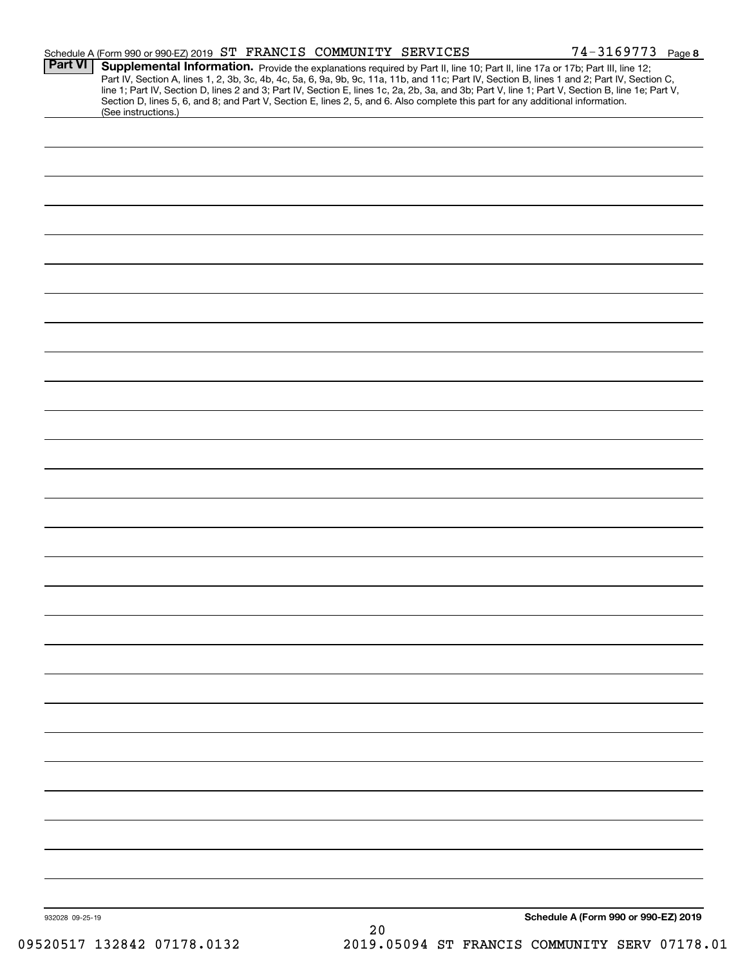|                 | Schedule A (Form 990 or 990-EZ) 2019 ST FRANCIS COMMUNITY SERVICES                                                                                                                                                                                                                                                                                                                                                                                                                                                                                                                          |    | $74 - 3169773$ Page 8                |
|-----------------|---------------------------------------------------------------------------------------------------------------------------------------------------------------------------------------------------------------------------------------------------------------------------------------------------------------------------------------------------------------------------------------------------------------------------------------------------------------------------------------------------------------------------------------------------------------------------------------------|----|--------------------------------------|
| <b>Part VI</b>  | Supplemental Information. Provide the explanations required by Part II, line 10; Part II, line 17a or 17b; Part III, line 12;<br>Part IV, Section A, lines 1, 2, 3b, 3c, 4b, 4c, 5a, 6, 9a, 9b, 9c, 11a, 11b, and 11c; Part IV, Section B, lines 1 and 2; Part IV, Section C,<br>line 1; Part IV, Section D, lines 2 and 3; Part IV, Section E, lines 1c, 2a, 2b, 3a, and 3b; Part V, line 1; Part V, Section B, line 1e; Part V,<br>Section D, lines 5, 6, and 8; and Part V, Section E, lines 2, 5, and 6. Also complete this part for any additional information.<br>(See instructions.) |    |                                      |
|                 |                                                                                                                                                                                                                                                                                                                                                                                                                                                                                                                                                                                             |    |                                      |
|                 |                                                                                                                                                                                                                                                                                                                                                                                                                                                                                                                                                                                             |    |                                      |
|                 |                                                                                                                                                                                                                                                                                                                                                                                                                                                                                                                                                                                             |    |                                      |
|                 |                                                                                                                                                                                                                                                                                                                                                                                                                                                                                                                                                                                             |    |                                      |
|                 |                                                                                                                                                                                                                                                                                                                                                                                                                                                                                                                                                                                             |    |                                      |
|                 |                                                                                                                                                                                                                                                                                                                                                                                                                                                                                                                                                                                             |    |                                      |
|                 |                                                                                                                                                                                                                                                                                                                                                                                                                                                                                                                                                                                             |    |                                      |
|                 |                                                                                                                                                                                                                                                                                                                                                                                                                                                                                                                                                                                             |    |                                      |
|                 |                                                                                                                                                                                                                                                                                                                                                                                                                                                                                                                                                                                             |    |                                      |
|                 |                                                                                                                                                                                                                                                                                                                                                                                                                                                                                                                                                                                             |    |                                      |
|                 |                                                                                                                                                                                                                                                                                                                                                                                                                                                                                                                                                                                             |    |                                      |
|                 |                                                                                                                                                                                                                                                                                                                                                                                                                                                                                                                                                                                             |    |                                      |
|                 |                                                                                                                                                                                                                                                                                                                                                                                                                                                                                                                                                                                             |    |                                      |
|                 |                                                                                                                                                                                                                                                                                                                                                                                                                                                                                                                                                                                             |    |                                      |
|                 |                                                                                                                                                                                                                                                                                                                                                                                                                                                                                                                                                                                             |    |                                      |
|                 |                                                                                                                                                                                                                                                                                                                                                                                                                                                                                                                                                                                             |    |                                      |
|                 |                                                                                                                                                                                                                                                                                                                                                                                                                                                                                                                                                                                             |    |                                      |
|                 |                                                                                                                                                                                                                                                                                                                                                                                                                                                                                                                                                                                             |    |                                      |
|                 |                                                                                                                                                                                                                                                                                                                                                                                                                                                                                                                                                                                             |    |                                      |
|                 |                                                                                                                                                                                                                                                                                                                                                                                                                                                                                                                                                                                             |    |                                      |
|                 |                                                                                                                                                                                                                                                                                                                                                                                                                                                                                                                                                                                             |    |                                      |
|                 |                                                                                                                                                                                                                                                                                                                                                                                                                                                                                                                                                                                             |    |                                      |
|                 |                                                                                                                                                                                                                                                                                                                                                                                                                                                                                                                                                                                             |    |                                      |
|                 |                                                                                                                                                                                                                                                                                                                                                                                                                                                                                                                                                                                             |    |                                      |
|                 |                                                                                                                                                                                                                                                                                                                                                                                                                                                                                                                                                                                             |    |                                      |
|                 |                                                                                                                                                                                                                                                                                                                                                                                                                                                                                                                                                                                             |    |                                      |
|                 |                                                                                                                                                                                                                                                                                                                                                                                                                                                                                                                                                                                             |    |                                      |
|                 |                                                                                                                                                                                                                                                                                                                                                                                                                                                                                                                                                                                             |    |                                      |
|                 |                                                                                                                                                                                                                                                                                                                                                                                                                                                                                                                                                                                             |    |                                      |
|                 |                                                                                                                                                                                                                                                                                                                                                                                                                                                                                                                                                                                             |    |                                      |
|                 |                                                                                                                                                                                                                                                                                                                                                                                                                                                                                                                                                                                             |    |                                      |
|                 |                                                                                                                                                                                                                                                                                                                                                                                                                                                                                                                                                                                             |    |                                      |
| 932028 09-25-19 |                                                                                                                                                                                                                                                                                                                                                                                                                                                                                                                                                                                             |    | Schedule A (Form 990 or 990-EZ) 2019 |
|                 |                                                                                                                                                                                                                                                                                                                                                                                                                                                                                                                                                                                             | 20 |                                      |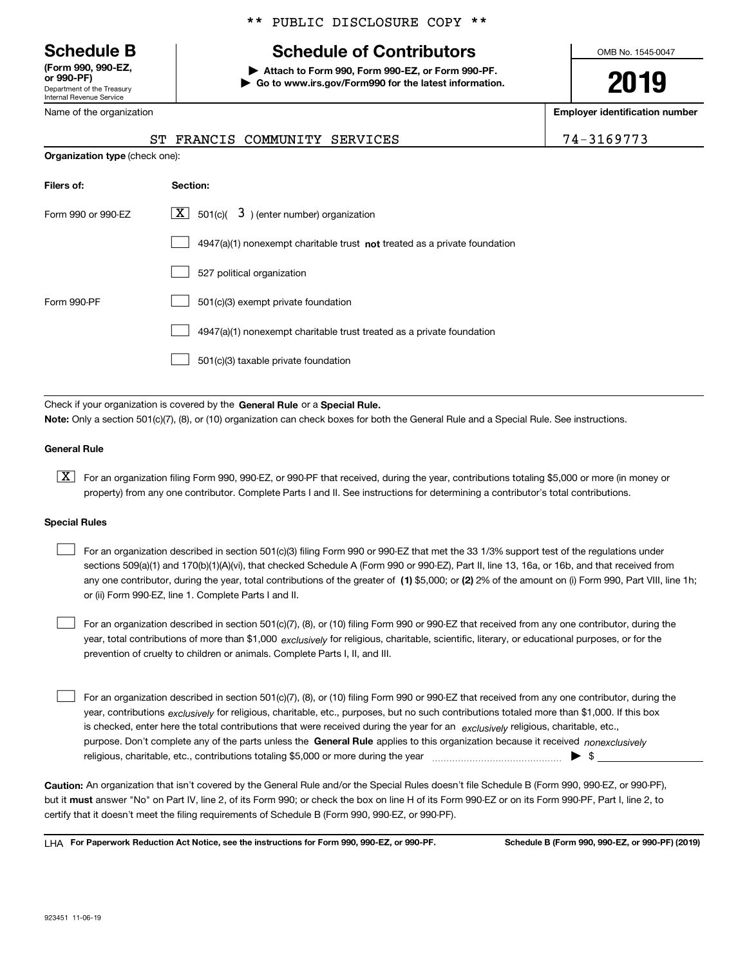Department of the Treasury Internal Revenue Service **(Form 990, 990-EZ, or 990-PF)**

Name of the organization

# \*\* PUBLIC DISCLOSURE COPY \*\*

# **Schedule B Schedule of Contributors**

**| Attach to Form 990, Form 990-EZ, or Form 990-PF. | Go to www.irs.gov/Form990 for the latest information.** OMB No. 1545-0047

**2019**

**Employer identification number**

|--|

| <b>Organization type (check one):</b> |                                                                                    |
|---------------------------------------|------------------------------------------------------------------------------------|
| Filers of:                            | Section:                                                                           |
| Form 990 or 990-EZ                    | $ \mathbf{X} $ 501(c)( 3) (enter number) organization                              |
|                                       | $4947(a)(1)$ nonexempt charitable trust <b>not</b> treated as a private foundation |
|                                       | 527 political organization                                                         |
| Form 990-PF                           | 501(c)(3) exempt private foundation                                                |
|                                       | 4947(a)(1) nonexempt charitable trust treated as a private foundation              |
|                                       | 501(c)(3) taxable private foundation                                               |

ST FRANCIS COMMUNITY SERVICES

Check if your organization is covered by the **General Rule** or a **Special Rule. Note:**  Only a section 501(c)(7), (8), or (10) organization can check boxes for both the General Rule and a Special Rule. See instructions.

### **General Rule**

 $\boxed{\textbf{X}}$  For an organization filing Form 990, 990-EZ, or 990-PF that received, during the year, contributions totaling \$5,000 or more (in money or property) from any one contributor. Complete Parts I and II. See instructions for determining a contributor's total contributions.

#### **Special Rules**

any one contributor, during the year, total contributions of the greater of  $\,$  (1) \$5,000; or **(2)** 2% of the amount on (i) Form 990, Part VIII, line 1h; For an organization described in section 501(c)(3) filing Form 990 or 990-EZ that met the 33 1/3% support test of the regulations under sections 509(a)(1) and 170(b)(1)(A)(vi), that checked Schedule A (Form 990 or 990-EZ), Part II, line 13, 16a, or 16b, and that received from or (ii) Form 990-EZ, line 1. Complete Parts I and II.  $\mathcal{L}^{\text{max}}$ 

year, total contributions of more than \$1,000 *exclusively* for religious, charitable, scientific, literary, or educational purposes, or for the For an organization described in section 501(c)(7), (8), or (10) filing Form 990 or 990-EZ that received from any one contributor, during the prevention of cruelty to children or animals. Complete Parts I, II, and III.  $\mathcal{L}^{\text{max}}$ 

purpose. Don't complete any of the parts unless the **General Rule** applies to this organization because it received *nonexclusively* year, contributions <sub>exclusively</sub> for religious, charitable, etc., purposes, but no such contributions totaled more than \$1,000. If this box is checked, enter here the total contributions that were received during the year for an  $\;$ exclusively religious, charitable, etc., For an organization described in section 501(c)(7), (8), or (10) filing Form 990 or 990-EZ that received from any one contributor, during the religious, charitable, etc., contributions totaling \$5,000 or more during the year  $\Box$ — $\Box$   $\Box$  $\mathcal{L}^{\text{max}}$ 

**Caution:**  An organization that isn't covered by the General Rule and/or the Special Rules doesn't file Schedule B (Form 990, 990-EZ, or 990-PF),  **must** but it answer "No" on Part IV, line 2, of its Form 990; or check the box on line H of its Form 990-EZ or on its Form 990-PF, Part I, line 2, to certify that it doesn't meet the filing requirements of Schedule B (Form 990, 990-EZ, or 990-PF).

**For Paperwork Reduction Act Notice, see the instructions for Form 990, 990-EZ, or 990-PF. Schedule B (Form 990, 990-EZ, or 990-PF) (2019)** LHA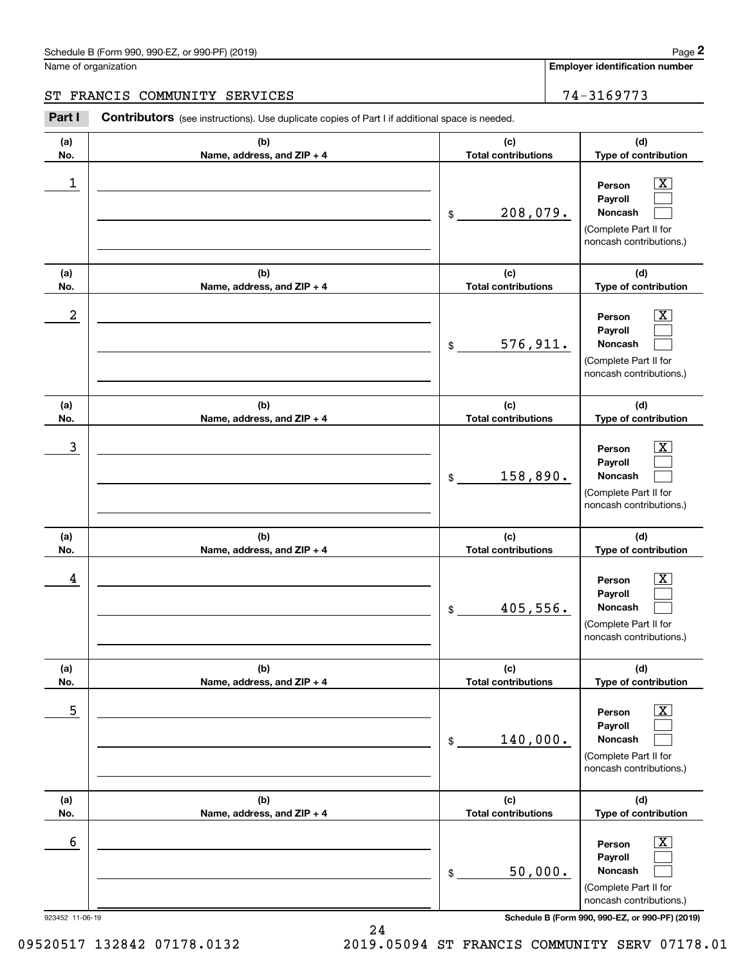**Employer identification number**

**(a)No.(b)Name, address, and ZIP + 4 (c)Total contributions (d)Type of contribution PersonPayrollNoncash (a)No.(b)Name, address, and ZIP + 4 (c)Total contributions (d)Type of contribution PersonPayrollNoncash (a)No.(b)Name, address, and ZIP + 4 (c)Total contributions (d)Type of contribution PersonPayrollNoncash (a) No.(b) Name, address, and ZIP + 4 (c) Total contributions (d) Type of contribution PersonPayrollNoncash (a) No.(b) Name, address, and ZIP + 4 (c) Total contributions (d) Type of contribution PersonPayrollNoncash (a) No.(b)Name, address, and ZIP + 4 (c) Total contributions (d)Type of contribution PersonPayrollNoncash** Contributors (see instructions). Use duplicate copies of Part I if additional space is needed. \$(Complete Part II for noncash contributions.) \$(Complete Part II for noncash contributions.) \$(Complete Part II for noncash contributions.) \$(Complete Part II for noncash contributions.) \$(Complete Part II for noncash contributions.) \$(Complete Part II for Chedule B (Form 990, 990-EZ, or 990-PF) (2019)<br>Iame of organization<br>**2Part I 2Part I Contributors** (see instructions). Use duplicate copies of Part I if additional space is needed.  $|X|$  $\mathcal{L}^{\text{max}}$  $\mathcal{L}^{\text{max}}$  $\boxed{\text{X}}$  $\mathcal{L}^{\text{max}}$  $\mathcal{L}^{\text{max}}$  $|X|$  $\mathcal{L}^{\text{max}}$  $\mathcal{L}^{\text{max}}$  $\boxed{\text{X}}$  $\mathcal{L}^{\text{max}}$  $\mathcal{L}^{\text{max}}$  $\boxed{\text{X}}$  $\mathcal{L}^{\text{max}}$  $\mathcal{L}^{\text{max}}$  $\boxed{\text{X}}$  $\mathcal{L}^{\text{max}}$  $\mathcal{L}^{\text{max}}$  $\begin{array}{c|c|c|c|c|c} 1 & \hspace{1.5cm} & \hspace{1.5cm} & \hspace{1.5cm} & \hspace{1.5cm} & \hspace{1.5cm} & \hspace{1.5cm} & \hspace{1.5cm} & \hspace{1.5cm} & \hspace{1.5cm} & \hspace{1.5cm} & \hspace{1.5cm} & \hspace{1.5cm} & \hspace{1.5cm} & \hspace{1.5cm} & \hspace{1.5cm} & \hspace{1.5cm} & \hspace{1.5cm} & \hspace{1.5cm} & \hspace{1.5cm} & \hspace{1.5cm} &$ 208,079.  $2$  | Person  $\overline{\text{X}}$ 576,911.  $\overline{3}$  | Person  $\overline{X}$ 158,890.  $4$  | Person  $\overline{\text{X}}$ 405,556.  $\sim$  5 | Person X 140,000.  $\sim$  6 | Person X 50,000. ST FRANCIS COMMUNITY SERVICES 74-3169773

923452 11-06-19 **Schedule B (Form 990, 990-EZ, or 990-PF) (2019)**

noncash contributions.)

09520517 132842 07178.0132 2019.05094 ST FRANCIS COMMUNITY SERV 07178.01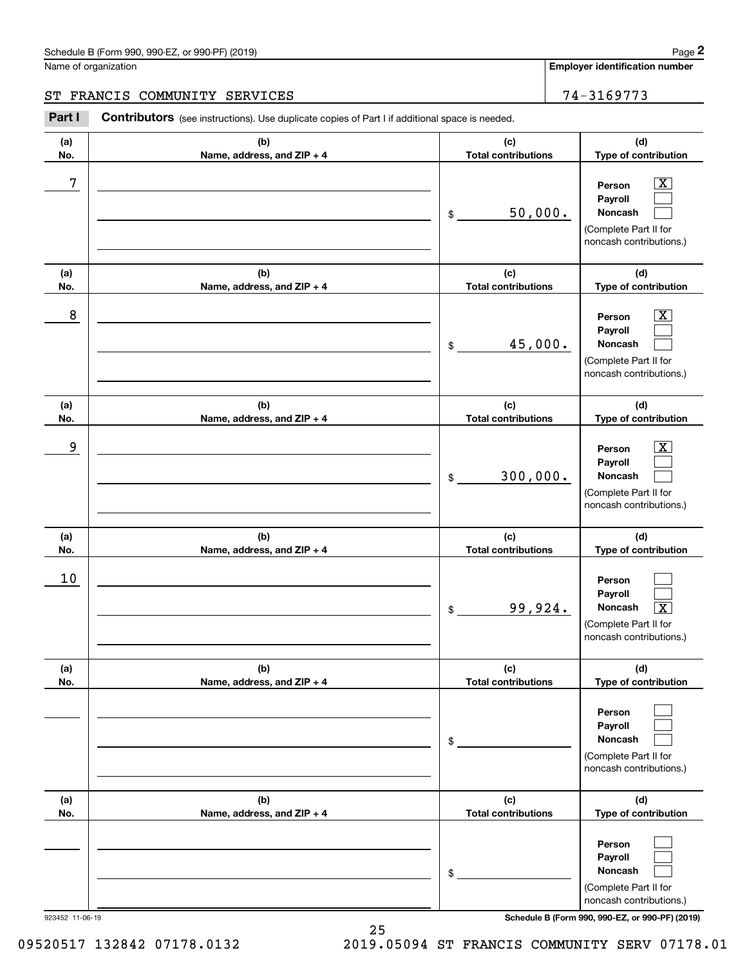**Employer identification number**

**(d)**

 $|X|$  $\mathcal{L}^{\text{max}}$  $\mathcal{L}^{\text{max}}$ 

 $\boxed{\text{X}}$  $\mathcal{L}^{\text{max}}$  $\mathcal{L}^{\text{max}}$ 

 $|X|$  $\mathcal{L}^{\text{max}}$  $\mathcal{L}^{\text{max}}$ 

 $\mathcal{L}^{\text{max}}$  $\mathcal{L}^{\text{max}}$  $\overline{\mathbf{X}}$ 

 $\mathcal{L}^{\text{max}}$  $\mathcal{L}^{\text{max}}$  $\mathcal{L}^{\text{max}}$ 

**(d)**

**(d)**

**(d)**

**(d)**

**(a)No.(b)Name, address, and ZIP + 4 (c)Total contributions Type of contribution PersonPayrollNoncash (a)No.(b)Name, address, and ZIP + 4 (c)Total contributions Type of contribution PersonPayrollNoncash (a)No.(b)Name, address, and ZIP + 4 (c)Total contributions Type of contribution PersonPayrollNoncash (a) No.(b) Name, address, and ZIP + 4 (c) Total contributions Type of contribution PersonPayrollNoncash(a) No.(b) Name, address, and ZIP + 4 (c) Total contributions Type of contribution PersonPayrollNoncash(a)** Schedule B (Form 990, 990-EZ, or 990-PF) (2019) **Page 2** Page 1 and 2011 **Page 2** Page 2 **Page 2** Page 1 and 2011 **Page 2** Name of organization Contributors (see instructions). Use duplicate copies of Part I if additional space is needed. \$(Complete Part II for noncash contributions.) \$(Complete Part II for noncash contributions.) \$(Complete Part II for noncash contributions.) \$(Complete Part II for noncash contributions.) \$(Complete Part II for noncash contributions.) Chedule B (Form 990, 990-EZ, or 990-PF) (2019)<br>Iame of organization<br>**2Part I 2Part I Contributors** (see instructions). Use duplicate copies of Part I if additional space is needed. 7 X 50,000. 8 X 45,000. example and the set of the set of the set of the set of the set of the set of the set of the set of the set of 300,000. 10 99,924. X ST FRANCIS COMMUNITY SERVICES 74-3169773

**(b)Name, address, and ZIP + 4 (c) Total contributions (d)Type of contribution PersonPayrollNoncash** \$(Complete Part II for noncash contributions.)  $\mathcal{L}^{\text{max}}$  $\mathcal{L}^{\text{max}}$  $\mathcal{L}^{\text{max}}$ 

923452 11-06-19 **Schedule B (Form 990, 990-EZ, or 990-PF) (2019)**

**No.**

09520517 132842 07178.0132 2019.05094 ST FRANCIS COMMUNITY SERV 07178.01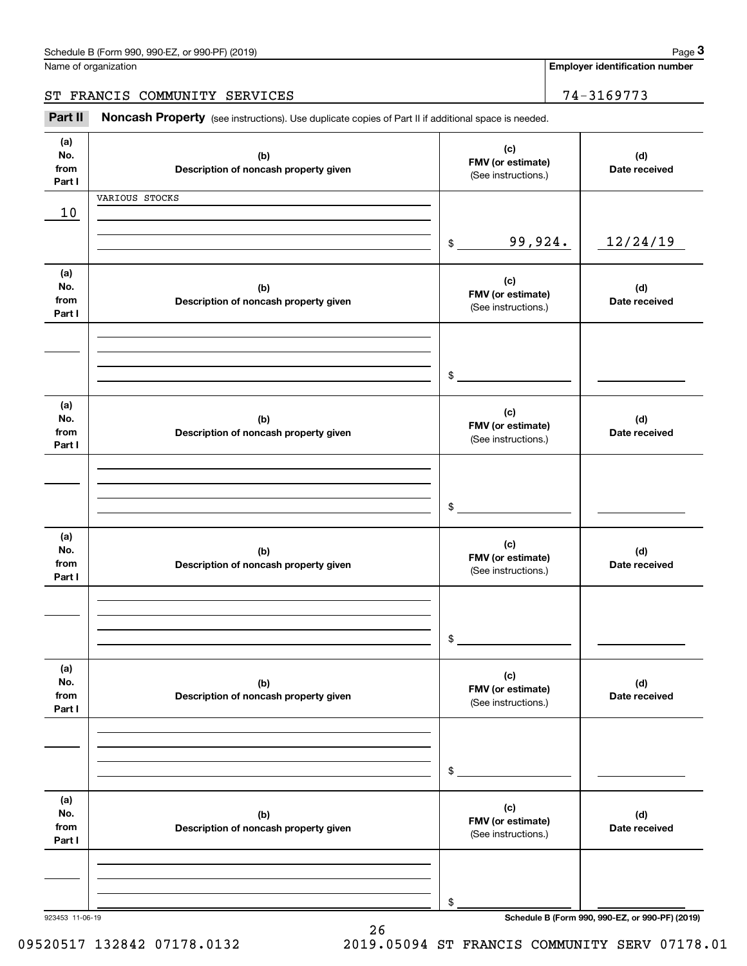| Schedule B (Form 990. 990-EZ. or 990-PF) (2019) | Page |
|-------------------------------------------------|------|
|-------------------------------------------------|------|

Name of organization

**Employer identification number**

ST FRANCIS COMMUNITY SERVICES | 74-3169773

Chedule B (Form 990, 990-EZ, or 990-PF) (2019)<br> **3Part II is additional space is needed.**<br> **3Part II is Noncash Property** (see instructions). Use duplicate copies of Part II if additional space is needed.

| (a)<br>No.<br>from<br>Part I | (b)<br>Description of noncash property given | (c)<br>FMV (or estimate)<br>(See instructions.) | (d)<br>Date received                            |
|------------------------------|----------------------------------------------|-------------------------------------------------|-------------------------------------------------|
| 10                           | VARIOUS STOCKS                               |                                                 |                                                 |
|                              |                                              |                                                 |                                                 |
|                              |                                              | 99,924.<br>$\frac{1}{2}$                        | 12/24/19                                        |
| (a)<br>No.<br>from<br>Part I | (b)<br>Description of noncash property given | (c)<br>FMV (or estimate)<br>(See instructions.) | (d)<br>Date received                            |
|                              |                                              | $\frac{1}{2}$                                   |                                                 |
| (a)<br>No.<br>from<br>Part I | (b)<br>Description of noncash property given | (c)<br>FMV (or estimate)<br>(See instructions.) | (d)<br>Date received                            |
|                              |                                              | $$\overbrace{\hspace{2.5cm}}$                   |                                                 |
| (a)<br>No.<br>from<br>Part I | (b)<br>Description of noncash property given | (c)<br>FMV (or estimate)<br>(See instructions.) | (d)<br>Date received                            |
|                              |                                              | $$\overbrace{\hspace{2.5cm}}$                   |                                                 |
| (a)<br>No.<br>from<br>Part I | (b)<br>Description of noncash property given | (c)<br>FMV (or estimate)<br>(See instructions.) | (d)<br>Date received                            |
|                              |                                              | \$                                              |                                                 |
| (a)<br>No.<br>from<br>Part I | (b)<br>Description of noncash property given | (c)<br>FMV (or estimate)<br>(See instructions.) | (d)<br>Date received                            |
| 923453 11-06-19              |                                              | \$                                              | Schedule B (Form 990, 990-EZ, or 990-PF) (2019) |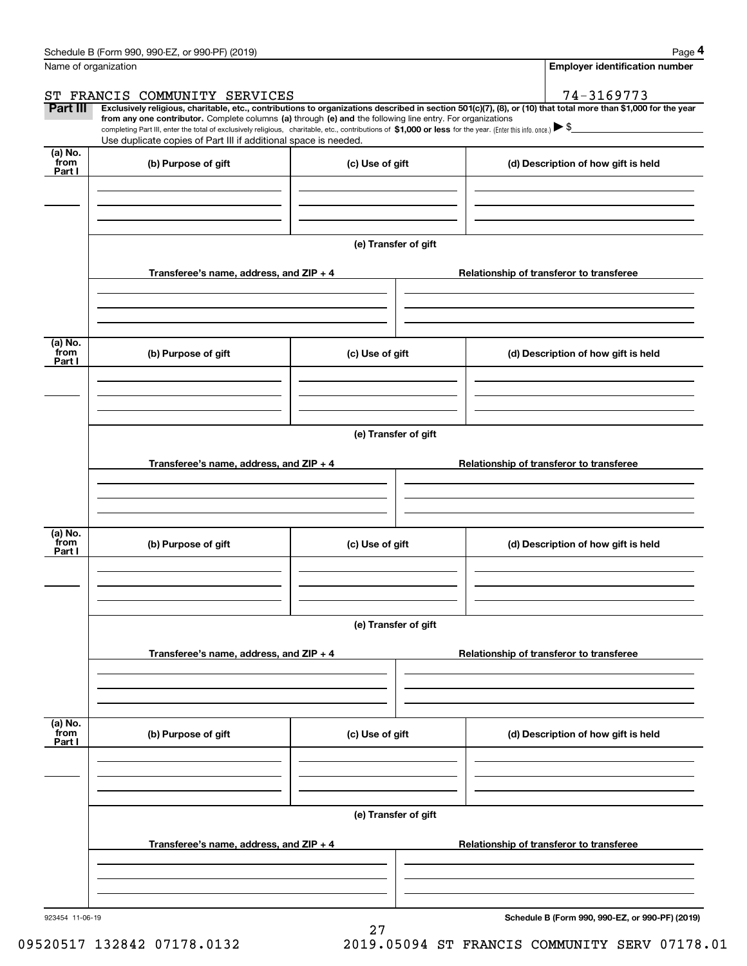|                           | Schedule B (Form 990, 990-EZ, or 990-PF) (2019)                                                                                                                                                                                                                                                                                                                                                                                                                                                                                      |                      |                                          | Page 4                                   |  |  |
|---------------------------|--------------------------------------------------------------------------------------------------------------------------------------------------------------------------------------------------------------------------------------------------------------------------------------------------------------------------------------------------------------------------------------------------------------------------------------------------------------------------------------------------------------------------------------|----------------------|------------------------------------------|------------------------------------------|--|--|
|                           | Name of organization                                                                                                                                                                                                                                                                                                                                                                                                                                                                                                                 |                      |                                          | <b>Employer identification number</b>    |  |  |
|                           | ST FRANCIS COMMUNITY SERVICES                                                                                                                                                                                                                                                                                                                                                                                                                                                                                                        |                      |                                          | 74-3169773                               |  |  |
| Part III                  | Exclusively religious, charitable, etc., contributions to organizations described in section 501(c)(7), (8), or (10) that total more than \$1,000 for the year<br>from any one contributor. Complete columns (a) through (e) and the following line entry. For organizations<br>completing Part III, enter the total of exclusively religious, charitable, etc., contributions of \$1,000 or less for the year. (Enter this info. once.) $\blacktriangleright$ \$<br>Use duplicate copies of Part III if additional space is needed. |                      |                                          |                                          |  |  |
| (a) No.<br>from<br>Part I | (b) Purpose of gift                                                                                                                                                                                                                                                                                                                                                                                                                                                                                                                  | (c) Use of gift      |                                          | (d) Description of how gift is held      |  |  |
|                           |                                                                                                                                                                                                                                                                                                                                                                                                                                                                                                                                      |                      |                                          |                                          |  |  |
|                           |                                                                                                                                                                                                                                                                                                                                                                                                                                                                                                                                      | (e) Transfer of gift |                                          |                                          |  |  |
|                           | Transferee's name, address, and $ZIP + 4$                                                                                                                                                                                                                                                                                                                                                                                                                                                                                            |                      |                                          | Relationship of transferor to transferee |  |  |
| (a) No.                   |                                                                                                                                                                                                                                                                                                                                                                                                                                                                                                                                      |                      |                                          |                                          |  |  |
| from<br>Part I            | (b) Purpose of gift                                                                                                                                                                                                                                                                                                                                                                                                                                                                                                                  | (c) Use of gift      |                                          | (d) Description of how gift is held      |  |  |
|                           |                                                                                                                                                                                                                                                                                                                                                                                                                                                                                                                                      |                      |                                          |                                          |  |  |
|                           |                                                                                                                                                                                                                                                                                                                                                                                                                                                                                                                                      | (e) Transfer of gift |                                          |                                          |  |  |
|                           | Transferee's name, address, and ZIP + 4                                                                                                                                                                                                                                                                                                                                                                                                                                                                                              |                      |                                          | Relationship of transferor to transferee |  |  |
|                           |                                                                                                                                                                                                                                                                                                                                                                                                                                                                                                                                      |                      |                                          |                                          |  |  |
| (a) No.<br>from<br>Part I | (b) Purpose of gift                                                                                                                                                                                                                                                                                                                                                                                                                                                                                                                  | (c) Use of gift      |                                          | (d) Description of how gift is held      |  |  |
|                           |                                                                                                                                                                                                                                                                                                                                                                                                                                                                                                                                      |                      |                                          |                                          |  |  |
|                           |                                                                                                                                                                                                                                                                                                                                                                                                                                                                                                                                      | (e) Transfer of gift |                                          |                                          |  |  |
|                           | Transferee's name, address, and $ZIP + 4$                                                                                                                                                                                                                                                                                                                                                                                                                                                                                            |                      |                                          | Relationship of transferor to transferee |  |  |
|                           |                                                                                                                                                                                                                                                                                                                                                                                                                                                                                                                                      |                      |                                          |                                          |  |  |
| (a) No.<br>from<br>Part I | (b) Purpose of gift                                                                                                                                                                                                                                                                                                                                                                                                                                                                                                                  | (c) Use of gift      |                                          | (d) Description of how gift is held      |  |  |
|                           |                                                                                                                                                                                                                                                                                                                                                                                                                                                                                                                                      |                      |                                          |                                          |  |  |
|                           |                                                                                                                                                                                                                                                                                                                                                                                                                                                                                                                                      | (e) Transfer of gift |                                          |                                          |  |  |
|                           | Transferee's name, address, and ZIP + 4                                                                                                                                                                                                                                                                                                                                                                                                                                                                                              |                      | Relationship of transferor to transferee |                                          |  |  |
|                           |                                                                                                                                                                                                                                                                                                                                                                                                                                                                                                                                      |                      |                                          |                                          |  |  |
|                           |                                                                                                                                                                                                                                                                                                                                                                                                                                                                                                                                      |                      |                                          |                                          |  |  |

27

923454 11-06-19

**Schedule B (Form 990, 990-EZ, or 990-PF) (2019)**

09520517 132842 07178.0132 2019.05094 ST FRANCIS COMMUNITY SERV 07178.01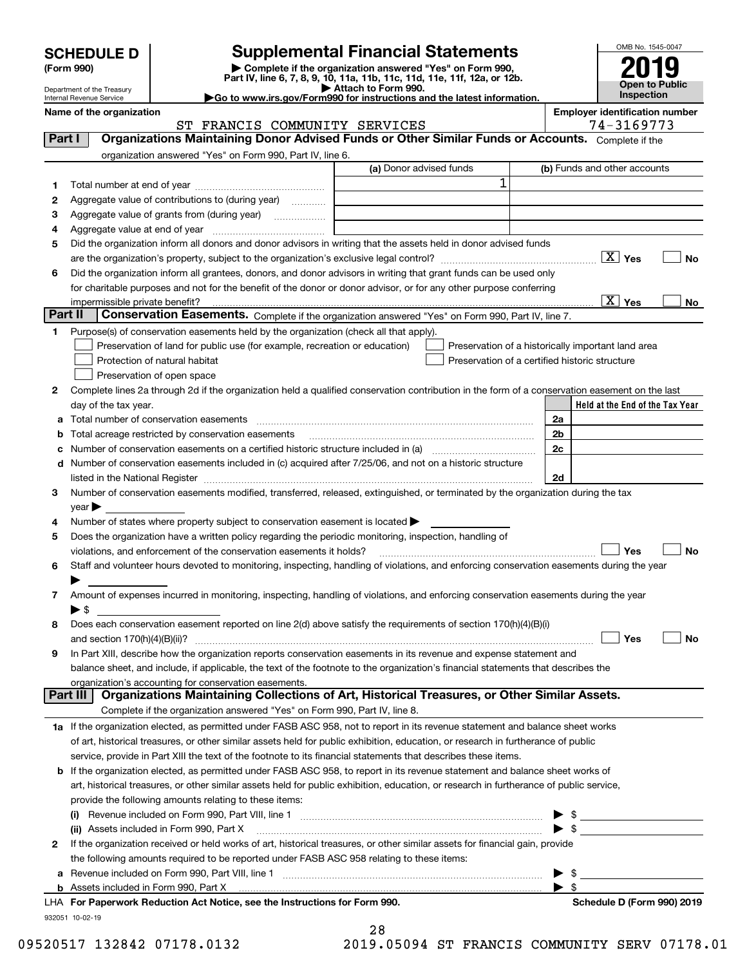| <b>SCHEDULE D</b> |  |
|-------------------|--|
|-------------------|--|

| (Form 990) |  |
|------------|--|
|------------|--|

# **Supplemental Financial Statements**

(Form 990)<br>
Pepartment of the Treasury<br>
Department of the Treasury<br>
Department of the Treasury<br>
Department of the Treasury<br> **Co to www.irs.gov/Form990 for instructions and the latest information.**<br> **Co to www.irs.gov/Form9** 

ST FRANCIS COMMUNITY SERVICES | 74-3169773



Department of the Treasury Internal Revenue Service

**Name of the organization Employer identification number**

| Part I  |                            | Organizations Maintaining Donor Advised Funds or Other Similar Funds or Accounts. Complete if the                                                                                                                             |                         |                                                    |
|---------|----------------------------|-------------------------------------------------------------------------------------------------------------------------------------------------------------------------------------------------------------------------------|-------------------------|----------------------------------------------------|
|         |                            | organization answered "Yes" on Form 990, Part IV, line 6.                                                                                                                                                                     |                         |                                                    |
|         |                            |                                                                                                                                                                                                                               | (a) Donor advised funds | (b) Funds and other accounts                       |
| 1       |                            |                                                                                                                                                                                                                               | 1                       |                                                    |
| 2       |                            | Aggregate value of contributions to (during year)                                                                                                                                                                             |                         |                                                    |
| з       |                            | Aggregate value of grants from (during year)                                                                                                                                                                                  |                         |                                                    |
| 4       |                            |                                                                                                                                                                                                                               |                         |                                                    |
| 5       |                            | Did the organization inform all donors and donor advisors in writing that the assets held in donor advised funds                                                                                                              |                         |                                                    |
|         |                            |                                                                                                                                                                                                                               |                         | $\boxed{\text{X}}$ Yes<br>No                       |
| 6       |                            | Did the organization inform all grantees, donors, and donor advisors in writing that grant funds can be used only                                                                                                             |                         |                                                    |
|         |                            | for charitable purposes and not for the benefit of the donor or donor advisor, or for any other purpose conferring                                                                                                            |                         |                                                    |
|         |                            | impermissible private benefit?                                                                                                                                                                                                |                         | $\boxed{\text{X}}$ Yes<br>No                       |
| Part II |                            | Conservation Easements. Complete if the organization answered "Yes" on Form 990, Part IV, line 7.                                                                                                                             |                         |                                                    |
| 1       |                            | Purpose(s) of conservation easements held by the organization (check all that apply).                                                                                                                                         |                         |                                                    |
|         |                            | Preservation of land for public use (for example, recreation or education)                                                                                                                                                    |                         | Preservation of a historically important land area |
|         |                            | Protection of natural habitat                                                                                                                                                                                                 |                         | Preservation of a certified historic structure     |
|         |                            | Preservation of open space                                                                                                                                                                                                    |                         |                                                    |
| 2       |                            | Complete lines 2a through 2d if the organization held a qualified conservation contribution in the form of a conservation easement on the last                                                                                |                         |                                                    |
|         |                            | day of the tax year.                                                                                                                                                                                                          |                         | Held at the End of the Tax Year                    |
|         |                            | Total number of conservation easements                                                                                                                                                                                        |                         | 2a                                                 |
|         |                            | Total acreage restricted by conservation easements                                                                                                                                                                            |                         | 2b                                                 |
|         |                            |                                                                                                                                                                                                                               |                         | 2 <sub>c</sub>                                     |
| d       |                            | Number of conservation easements included in (c) acquired after 7/25/06, and not on a historic structure                                                                                                                      |                         |                                                    |
|         |                            | listed in the National Register [111] Marshall Register [11] Marshall Register [11] Marshall Register [11] Marshall Register [11] Marshall Register [11] Marshall Register [11] Marshall Register [11] Marshall Register [11] |                         | 2d                                                 |
| з       |                            | Number of conservation easements modified, transferred, released, extinguished, or terminated by the organization during the tax                                                                                              |                         |                                                    |
|         | $year \blacktriangleright$ |                                                                                                                                                                                                                               |                         |                                                    |
| 4       |                            | Number of states where property subject to conservation easement is located $\blacktriangleright$                                                                                                                             |                         |                                                    |
| 5       |                            | Does the organization have a written policy regarding the periodic monitoring, inspection, handling of                                                                                                                        |                         |                                                    |
|         |                            | violations, and enforcement of the conservation easements it holds?                                                                                                                                                           |                         | Yes<br>No                                          |
| 6       |                            | Staff and volunteer hours devoted to monitoring, inspecting, handling of violations, and enforcing conservation easements during the year                                                                                     |                         |                                                    |
|         |                            | Amount of expenses incurred in monitoring, inspecting, handling of violations, and enforcing conservation easements during the year                                                                                           |                         |                                                    |
| 7.      | $\blacktriangleright$ \$   |                                                                                                                                                                                                                               |                         |                                                    |
| 8       |                            | Does each conservation easement reported on line 2(d) above satisfy the requirements of section 170(h)(4)(B)(i)                                                                                                               |                         |                                                    |
|         |                            |                                                                                                                                                                                                                               |                         | Yes<br>No                                          |
| 9       |                            | In Part XIII, describe how the organization reports conservation easements in its revenue and expense statement and                                                                                                           |                         |                                                    |
|         |                            | balance sheet, and include, if applicable, the text of the footnote to the organization's financial statements that describes the                                                                                             |                         |                                                    |
|         |                            | organization's accounting for conservation easements.                                                                                                                                                                         |                         |                                                    |
|         | Part III                   | Organizations Maintaining Collections of Art, Historical Treasures, or Other Similar Assets.                                                                                                                                  |                         |                                                    |
|         |                            | Complete if the organization answered "Yes" on Form 990, Part IV, line 8.                                                                                                                                                     |                         |                                                    |
|         |                            | 1a If the organization elected, as permitted under FASB ASC 958, not to report in its revenue statement and balance sheet works                                                                                               |                         |                                                    |
|         |                            | of art, historical treasures, or other similar assets held for public exhibition, education, or research in furtherance of public                                                                                             |                         |                                                    |
|         |                            | service, provide in Part XIII the text of the footnote to its financial statements that describes these items.                                                                                                                |                         |                                                    |
|         |                            | <b>b</b> If the organization elected, as permitted under FASB ASC 958, to report in its revenue statement and balance sheet works of                                                                                          |                         |                                                    |
|         |                            | art, historical treasures, or other similar assets held for public exhibition, education, or research in furtherance of public service,                                                                                       |                         |                                                    |
|         |                            | provide the following amounts relating to these items:                                                                                                                                                                        |                         |                                                    |
|         |                            |                                                                                                                                                                                                                               |                         |                                                    |
|         |                            | (ii) Assets included in Form 990, Part X                                                                                                                                                                                      |                         | $\blacktriangleright$ \$                           |
| 2       |                            | If the organization received or held works of art, historical treasures, or other similar assets for financial gain, provide                                                                                                  |                         |                                                    |
|         |                            | the following amounts required to be reported under FASB ASC 958 relating to these items:                                                                                                                                     |                         |                                                    |
| а       |                            |                                                                                                                                                                                                                               |                         | \$                                                 |
| b       |                            | Assets included in Form 990, Part X                                                                                                                                                                                           |                         | -\$                                                |
|         |                            | LHA For Paperwork Reduction Act Notice, see the Instructions for Form 990.                                                                                                                                                    |                         | Schedule D (Form 990) 2019                         |

932051 10-02-19

28

09520517 132842 07178.0132 2019.05094 ST FRANCIS COMMUNITY SERV 07178.01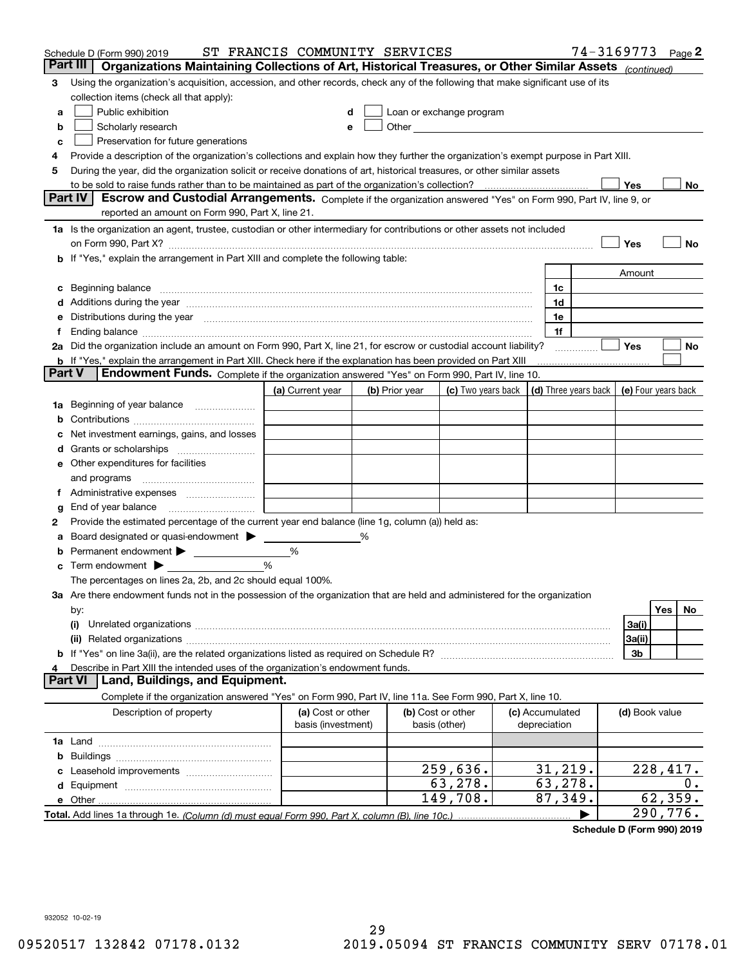|          | Schedule D (Form 990) 2019                                                                                                                                                                                                     | ST FRANCIS COMMUNITY SERVICES |   |                |                                                                                                                                                                                                                               |                      | 74-3169773     | Page $2$            |
|----------|--------------------------------------------------------------------------------------------------------------------------------------------------------------------------------------------------------------------------------|-------------------------------|---|----------------|-------------------------------------------------------------------------------------------------------------------------------------------------------------------------------------------------------------------------------|----------------------|----------------|---------------------|
| Part III | Organizations Maintaining Collections of Art, Historical Treasures, or Other Similar Assets (continued)                                                                                                                        |                               |   |                |                                                                                                                                                                                                                               |                      |                |                     |
| 3        | Using the organization's acquisition, accession, and other records, check any of the following that make significant use of its                                                                                                |                               |   |                |                                                                                                                                                                                                                               |                      |                |                     |
|          | collection items (check all that apply):                                                                                                                                                                                       |                               |   |                |                                                                                                                                                                                                                               |                      |                |                     |
| a        | Public exhibition                                                                                                                                                                                                              | d                             |   |                | Loan or exchange program                                                                                                                                                                                                      |                      |                |                     |
| b        | Scholarly research                                                                                                                                                                                                             | е                             |   |                | Other and the contract of the contract of the contract of the contract of the contract of the contract of the contract of the contract of the contract of the contract of the contract of the contract of the contract of the |                      |                |                     |
| c        | Preservation for future generations                                                                                                                                                                                            |                               |   |                |                                                                                                                                                                                                                               |                      |                |                     |
| 4        | Provide a description of the organization's collections and explain how they further the organization's exempt purpose in Part XIII.                                                                                           |                               |   |                |                                                                                                                                                                                                                               |                      |                |                     |
| 5        | During the year, did the organization solicit or receive donations of art, historical treasures, or other similar assets                                                                                                       |                               |   |                |                                                                                                                                                                                                                               |                      |                |                     |
|          | to be sold to raise funds rather than to be maintained as part of the organization's collection?                                                                                                                               |                               |   |                |                                                                                                                                                                                                                               |                      | Yes            | No                  |
|          | <b>Part IV</b><br>Escrow and Custodial Arrangements. Complete if the organization answered "Yes" on Form 990, Part IV, line 9, or                                                                                              |                               |   |                |                                                                                                                                                                                                                               |                      |                |                     |
|          | reported an amount on Form 990, Part X, line 21.                                                                                                                                                                               |                               |   |                |                                                                                                                                                                                                                               |                      |                |                     |
|          | 1a Is the organization an agent, trustee, custodian or other intermediary for contributions or other assets not included                                                                                                       |                               |   |                |                                                                                                                                                                                                                               |                      |                |                     |
|          | on Form 990, Part X? [11] matter and the contract of the contract of the contract of the contract of the contract of the contract of the contract of the contract of the contract of the contract of the contract of the contr |                               |   |                |                                                                                                                                                                                                                               |                      | Yes            | No                  |
|          | If "Yes," explain the arrangement in Part XIII and complete the following table:                                                                                                                                               |                               |   |                |                                                                                                                                                                                                                               |                      |                |                     |
|          |                                                                                                                                                                                                                                |                               |   |                |                                                                                                                                                                                                                               |                      | Amount         |                     |
| c        | Beginning balance                                                                                                                                                                                                              |                               |   |                |                                                                                                                                                                                                                               | 1c                   |                |                     |
| d        | Additions during the year manufactured and an annual contract of the year manufactured and all the year manufactured and all the year manufactured and all the year manufactured and all the year manufactured and all the yea |                               |   |                |                                                                                                                                                                                                                               | 1d                   |                |                     |
| е        | Distributions during the year measurement contains and all the state of the state of the state of the state of                                                                                                                 |                               |   |                |                                                                                                                                                                                                                               | 1e                   |                |                     |
|          | Ending balance manufactured and contact the contract of the contract of the contract of the contract of the contract of the contract of the contract of the contract of the contract of the contract of the contract of the co |                               |   |                |                                                                                                                                                                                                                               | 1f                   |                |                     |
|          | 2a Did the organization include an amount on Form 990, Part X, line 21, for escrow or custodial account liability?                                                                                                             |                               |   |                |                                                                                                                                                                                                                               |                      | Yes            | No                  |
| Part V   | <b>b</b> If "Yes," explain the arrangement in Part XIII. Check here if the explanation has been provided on Part XIII                                                                                                          |                               |   |                |                                                                                                                                                                                                                               |                      |                |                     |
|          | Endowment Funds. Complete if the organization answered "Yes" on Form 990, Part IV, line 10.                                                                                                                                    |                               |   |                |                                                                                                                                                                                                                               |                      |                |                     |
|          |                                                                                                                                                                                                                                | (a) Current year              |   | (b) Prior year | (c) Two years back                                                                                                                                                                                                            | (d) Three years back |                | (e) Four years back |
| 1a       | Beginning of year balance                                                                                                                                                                                                      |                               |   |                |                                                                                                                                                                                                                               |                      |                |                     |
| b        |                                                                                                                                                                                                                                |                               |   |                |                                                                                                                                                                                                                               |                      |                |                     |
|          | Net investment earnings, gains, and losses                                                                                                                                                                                     |                               |   |                |                                                                                                                                                                                                                               |                      |                |                     |
| a        |                                                                                                                                                                                                                                |                               |   |                |                                                                                                                                                                                                                               |                      |                |                     |
| е        | Other expenditures for facilities                                                                                                                                                                                              |                               |   |                |                                                                                                                                                                                                                               |                      |                |                     |
|          | and programs                                                                                                                                                                                                                   |                               |   |                |                                                                                                                                                                                                                               |                      |                |                     |
| Ť.       | Administrative expenses                                                                                                                                                                                                        |                               |   |                |                                                                                                                                                                                                                               |                      |                |                     |
| g        | End of year balance                                                                                                                                                                                                            |                               |   |                |                                                                                                                                                                                                                               |                      |                |                     |
| 2        | Provide the estimated percentage of the current year end balance (line 1g, column (a)) held as:                                                                                                                                |                               |   |                |                                                                                                                                                                                                                               |                      |                |                     |
|          | Board designated or quasi-endowment > ____                                                                                                                                                                                     | %                             | % |                |                                                                                                                                                                                                                               |                      |                |                     |
| b        | Term endowment $\blacktriangleright$                                                                                                                                                                                           | %                             |   |                |                                                                                                                                                                                                                               |                      |                |                     |
| c        | The percentages on lines 2a, 2b, and 2c should equal 100%.                                                                                                                                                                     |                               |   |                |                                                                                                                                                                                                                               |                      |                |                     |
|          | 3a Are there endowment funds not in the possession of the organization that are held and administered for the organization                                                                                                     |                               |   |                |                                                                                                                                                                                                                               |                      |                |                     |
|          | by:                                                                                                                                                                                                                            |                               |   |                |                                                                                                                                                                                                                               |                      |                | Yes<br>No           |
|          | (i)                                                                                                                                                                                                                            |                               |   |                |                                                                                                                                                                                                                               |                      | 3a(i)          |                     |
|          |                                                                                                                                                                                                                                |                               |   |                |                                                                                                                                                                                                                               |                      | 3a(ii)         |                     |
|          |                                                                                                                                                                                                                                |                               |   |                |                                                                                                                                                                                                                               |                      | 3b             |                     |
|          | Describe in Part XIII the intended uses of the organization's endowment funds.                                                                                                                                                 |                               |   |                |                                                                                                                                                                                                                               |                      |                |                     |
|          | Land, Buildings, and Equipment.<br>Part VI                                                                                                                                                                                     |                               |   |                |                                                                                                                                                                                                                               |                      |                |                     |
|          | Complete if the organization answered "Yes" on Form 990, Part IV, line 11a. See Form 990, Part X, line 10.                                                                                                                     |                               |   |                |                                                                                                                                                                                                                               |                      |                |                     |
|          | Description of property                                                                                                                                                                                                        | (a) Cost or other             |   |                | (b) Cost or other                                                                                                                                                                                                             | (c) Accumulated      | (d) Book value |                     |
|          |                                                                                                                                                                                                                                | basis (investment)            |   |                | basis (other)                                                                                                                                                                                                                 | depreciation         |                |                     |
|          |                                                                                                                                                                                                                                |                               |   |                |                                                                                                                                                                                                                               |                      |                |                     |
| b        |                                                                                                                                                                                                                                |                               |   |                |                                                                                                                                                                                                                               |                      |                |                     |
|          |                                                                                                                                                                                                                                |                               |   |                | 259,636.                                                                                                                                                                                                                      | 31,219.              |                | 228,417.            |
| d        |                                                                                                                                                                                                                                |                               |   |                | 63,278.                                                                                                                                                                                                                       | 63,278.              |                | 0.                  |
|          | e Other                                                                                                                                                                                                                        |                               |   |                | 149,708.                                                                                                                                                                                                                      | 87,349.              |                | 62, 359.            |
|          |                                                                                                                                                                                                                                |                               |   |                |                                                                                                                                                                                                                               |                      |                | 290,776.            |

**Schedule D (Form 990) 2019**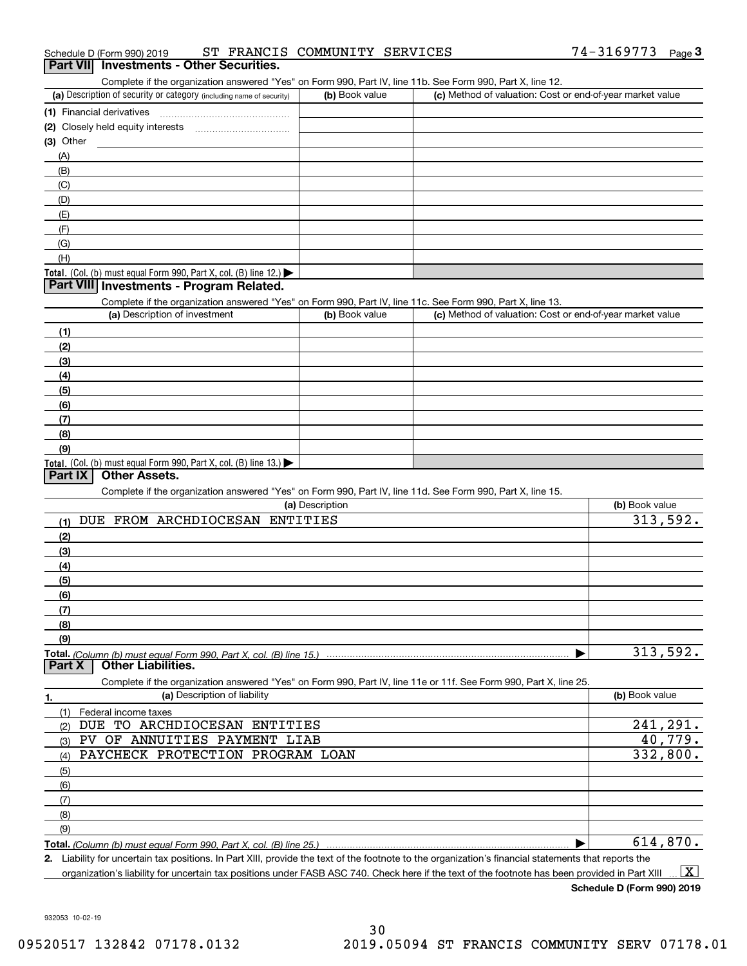|  | Schedule D (Form 990) 2019 |  |  | ST FRANCIS COMMUNITY SERVICES |  | $74 - 3169773$ Page |  |  |
|--|----------------------------|--|--|-------------------------------|--|---------------------|--|--|
|--|----------------------------|--|--|-------------------------------|--|---------------------|--|--|

# **Part VII Investments - Other Securities.**

Complete if the organization answered "Yes" on Form 990, Part IV, line 11b. See Form 990, Part X, line 12.

| (a) Description of security or category (including name of security)                   | (b) Book value | (c) Method of valuation: Cost or end-of-year market value |
|----------------------------------------------------------------------------------------|----------------|-----------------------------------------------------------|
| (1) Financial derivatives                                                              |                |                                                           |
| (2) Closely held equity interests                                                      |                |                                                           |
| $(3)$ Other                                                                            |                |                                                           |
| (A)                                                                                    |                |                                                           |
| (B)                                                                                    |                |                                                           |
| (C)                                                                                    |                |                                                           |
| (D)                                                                                    |                |                                                           |
| (E)                                                                                    |                |                                                           |
| (F)                                                                                    |                |                                                           |
| (G)                                                                                    |                |                                                           |
| (H)                                                                                    |                |                                                           |
| Total. (Col. (b) must equal Form 990, Part X, col. (B) line 12.) $\blacktriangleright$ |                |                                                           |

### **Part VIII Investments - Program Related.**

Complete if the organization answered "Yes" on Form 990, Part IV, line 11c. See Form 990, Part X, line 13.

| (a) Description of investment                                       | (b) Book value | (c) Method of valuation: Cost or end-of-year market value |
|---------------------------------------------------------------------|----------------|-----------------------------------------------------------|
| (1)                                                                 |                |                                                           |
| (2)                                                                 |                |                                                           |
| (3)                                                                 |                |                                                           |
| (4)                                                                 |                |                                                           |
| (5)                                                                 |                |                                                           |
| (6)                                                                 |                |                                                           |
| (7)                                                                 |                |                                                           |
| (8)                                                                 |                |                                                           |
| (9)                                                                 |                |                                                           |
| Total. (Col. (b) must equal Form 990, Part X, col. (B) line $13$ .) |                |                                                           |

## **Part IX Other Assets.**

Complete if the organization answered "Yes" on Form 990, Part IV, line 11d. See Form 990, Part X, line 15.

| (a) Description                                                                                                   | (b) Book value |
|-------------------------------------------------------------------------------------------------------------------|----------------|
| DUE FROM ARCHDIOCESAN ENTITIES<br>(1)                                                                             | 313,592.       |
| (2)                                                                                                               |                |
| (3)                                                                                                               |                |
| (4)                                                                                                               |                |
| (5)                                                                                                               |                |
| (6)                                                                                                               |                |
| (7)                                                                                                               |                |
| (8)                                                                                                               |                |
| (9)                                                                                                               |                |
| Total. (Column (b) must equal Form 990. Part X. col. (B) line 15.)                                                | 313,592.       |
| <b>Other Liabilities.</b><br>Part X                                                                               |                |
| Complete if the organization answered "Yes" on Form 990, Part IV, line 11e or 11f. See Form 990, Part X, line 25. |                |
| (a) Description of liability<br>1.                                                                                | (b) Book value |
| Federal income taxes<br>(1)                                                                                       |                |
| ARCHDIOCESAN<br>ENTITIES<br>TO.<br>DUE<br>(2)                                                                     | 241,291.       |
| ANNUITIES PAYMENT LIAB<br>PV.<br>OF<br>(3)                                                                        | 40,779.        |
| PAYCHECK PROTECTION PROGRAM LOAN<br>(4)                                                                           | 332,800.       |
| (5)                                                                                                               |                |

(8)(9) $\blacktriangleright$ 

**Total.**  *(Column (b) must equal Form 990, Part X, col. (B) line 25.)* 614,870.

**2.**Liability for uncertain tax positions. In Part XIII, provide the text of the footnote to the organization's financial statements that reports the organization's liability for uncertain tax positions under FASB ASC 740. Check here if the text of the footnote has been provided in Part XIII  $\boxed{\text{X}}$ 

**Schedule D (Form 990) 2019**

932053 10-02-19

(6)(7)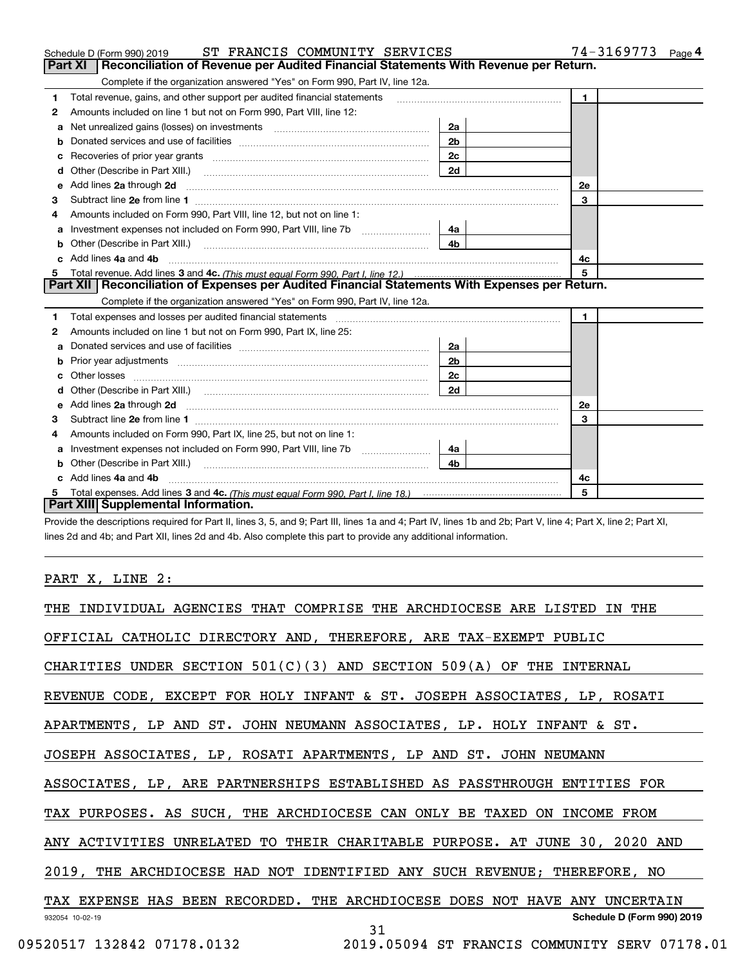|   | ST FRANCIS COMMUNITY SERVICES<br>Schedule D (Form 990) 2019                                                                                                                                                                         |                | $74 - 3169773$ Page 4 |
|---|-------------------------------------------------------------------------------------------------------------------------------------------------------------------------------------------------------------------------------------|----------------|-----------------------|
|   | Reconciliation of Revenue per Audited Financial Statements With Revenue per Return.<br><b>Part XI</b>                                                                                                                               |                |                       |
|   | Complete if the organization answered "Yes" on Form 990, Part IV, line 12a.                                                                                                                                                         |                |                       |
| 1 | Total revenue, gains, and other support per audited financial statements                                                                                                                                                            |                | $\mathbf{1}$          |
| 2 | Amounts included on line 1 but not on Form 990, Part VIII, line 12:                                                                                                                                                                 |                |                       |
| a |                                                                                                                                                                                                                                     | 2a             |                       |
| b |                                                                                                                                                                                                                                     | 2 <sub>b</sub> |                       |
| c |                                                                                                                                                                                                                                     | 2c             |                       |
| d | Other (Describe in Part XIII.)                                                                                                                                                                                                      | 2d             |                       |
| е | Add lines 2a through 2d                                                                                                                                                                                                             |                | 2e                    |
| з |                                                                                                                                                                                                                                     |                | 3                     |
|   | Amounts included on Form 990, Part VIII, line 12, but not on line 1:                                                                                                                                                                |                |                       |
| a |                                                                                                                                                                                                                                     | 4a             |                       |
| b | Other (Describe in Part XIII.)                                                                                                                                                                                                      | 4 <sub>b</sub> |                       |
|   | Add lines 4a and 4b                                                                                                                                                                                                                 |                | 4с                    |
| 5 |                                                                                                                                                                                                                                     |                | 5                     |
|   | Part XII   Reconciliation of Expenses per Audited Financial Statements With Expenses per Return.                                                                                                                                    |                |                       |
|   | Complete if the organization answered "Yes" on Form 990, Part IV, line 12a.                                                                                                                                                         |                |                       |
| 1 |                                                                                                                                                                                                                                     |                | $\mathbf{1}$          |
| 2 | Amounts included on line 1 but not on Form 990, Part IX, line 25:                                                                                                                                                                   |                |                       |
| a |                                                                                                                                                                                                                                     | 2a             |                       |
| b |                                                                                                                                                                                                                                     | 2b             |                       |
|   |                                                                                                                                                                                                                                     | 2c             |                       |
|   |                                                                                                                                                                                                                                     | 2d             |                       |
| e | Add lines 2a through 2d <b>contained a contained a contained a contained a</b> contained a contained a contained a contained a contained a contained a contained a contained a contained a contained a contained a contained a cont |                | <b>2e</b>             |
| 3 |                                                                                                                                                                                                                                     |                | 3                     |
| 4 | Amounts included on Form 990, Part IX, line 25, but not on line 1:                                                                                                                                                                  |                |                       |
| a |                                                                                                                                                                                                                                     | 4a             |                       |
| b |                                                                                                                                                                                                                                     | 4b.            |                       |
|   | Add lines 4a and 4b                                                                                                                                                                                                                 |                | 4с                    |
|   |                                                                                                                                                                                                                                     |                | 5                     |
|   | Part XIII Supplemental Information.                                                                                                                                                                                                 |                |                       |

Provide the descriptions required for Part II, lines 3, 5, and 9; Part III, lines 1a and 4; Part IV, lines 1b and 2b; Part V, line 4; Part X, line 2; Part XI, lines 2d and 4b; and Part XII, lines 2d and 4b. Also complete this part to provide any additional information.

# PART X, LINE 2:

| THE INDIVIDUAL AGENCIES THAT COMPRISE THE ARCHDIOCESE ARE LISTED IN THE     |
|-----------------------------------------------------------------------------|
| OFFICIAL CATHOLIC DIRECTORY AND, THEREFORE, ARE TAX-EXEMPT PUBLIC           |
| CHARITIES UNDER SECTION $501(C)(3)$ AND SECTION $509(A)$ OF THE INTERNAL    |
| REVENUE CODE, EXCEPT FOR HOLY INFANT & ST. JOSEPH ASSOCIATES, LP, ROSATI    |
| APARTMENTS, LP AND ST. JOHN NEUMANN ASSOCIATES, LP. HOLY INFANT & ST.       |
| JOSEPH ASSOCIATES, LP, ROSATI APARTMENTS, LP AND ST. JOHN NEUMANN           |
| ASSOCIATES, LP, ARE PARTNERSHIPS ESTABLISHED AS PASSTHROUGH ENTITIES FOR    |
| TAX PURPOSES. AS SUCH, THE ARCHDIOCESE CAN ONLY BE TAXED ON INCOME FROM     |
| ANY ACTIVITIES UNRELATED TO THEIR CHARITABLE PURPOSE. AT JUNE 30, 2020 AND  |
| 2019, THE ARCHDIOCESE HAD NOT IDENTIFIED ANY SUCH REVENUE; THEREFORE, NO    |
| TAX EXPENSE HAS BEEN RECORDED. THE ARCHDIOCESE DOES NOT HAVE ANY UNCERTAIN  |
| Schedule D (Form 990) 2019<br>932054 10-02-19<br>31                         |
| 09520517 132842 07178.0132<br>2019.05094 ST FRANCIS COMMUNITY SERV 07178.01 |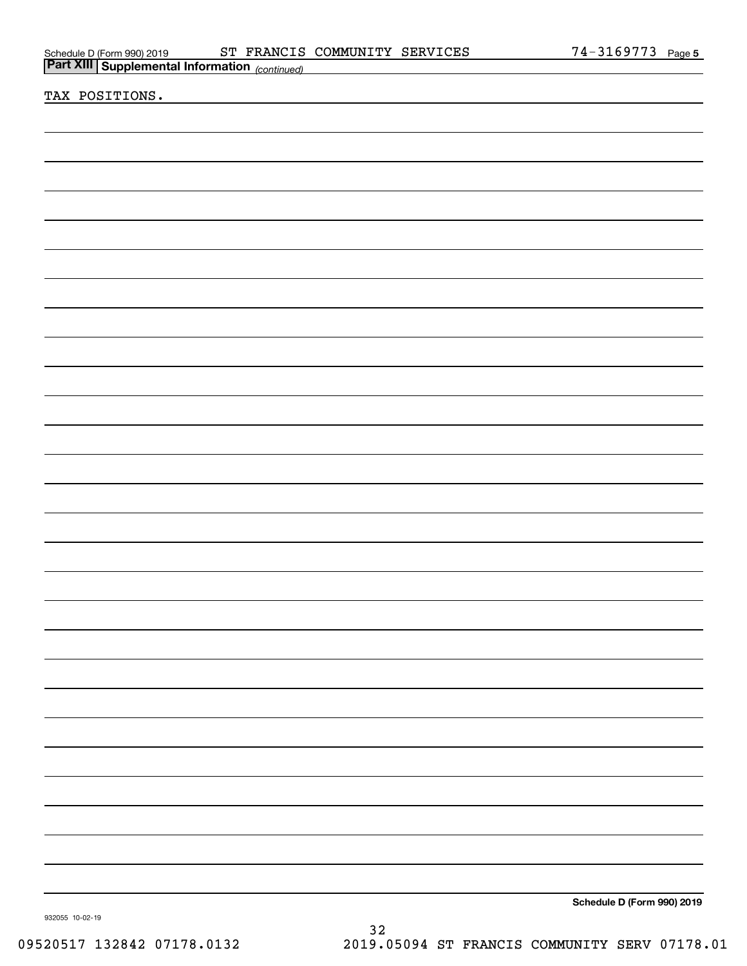| Schedule D (Form 990) 2019 |  |
|----------------------------|--|
|                            |  |

| <u>Part XIII</u> Supplemental Information (continued) | r ayu v                    |
|-------------------------------------------------------|----------------------------|
|                                                       |                            |
| TAX POSITIONS.                                        |                            |
|                                                       |                            |
|                                                       |                            |
|                                                       |                            |
|                                                       |                            |
|                                                       |                            |
|                                                       |                            |
|                                                       |                            |
|                                                       |                            |
|                                                       |                            |
|                                                       |                            |
|                                                       |                            |
|                                                       |                            |
|                                                       |                            |
|                                                       |                            |
|                                                       |                            |
|                                                       |                            |
|                                                       |                            |
|                                                       |                            |
|                                                       |                            |
|                                                       |                            |
|                                                       |                            |
|                                                       |                            |
|                                                       |                            |
|                                                       |                            |
|                                                       |                            |
|                                                       |                            |
|                                                       |                            |
|                                                       |                            |
|                                                       |                            |
|                                                       |                            |
|                                                       |                            |
|                                                       |                            |
|                                                       |                            |
|                                                       |                            |
|                                                       |                            |
|                                                       |                            |
|                                                       |                            |
|                                                       |                            |
|                                                       |                            |
|                                                       |                            |
|                                                       |                            |
|                                                       |                            |
|                                                       |                            |
|                                                       |                            |
|                                                       |                            |
|                                                       |                            |
|                                                       |                            |
|                                                       |                            |
|                                                       |                            |
|                                                       |                            |
|                                                       | Schedule D (Form 990) 2019 |
| 932055 10-02-19                                       |                            |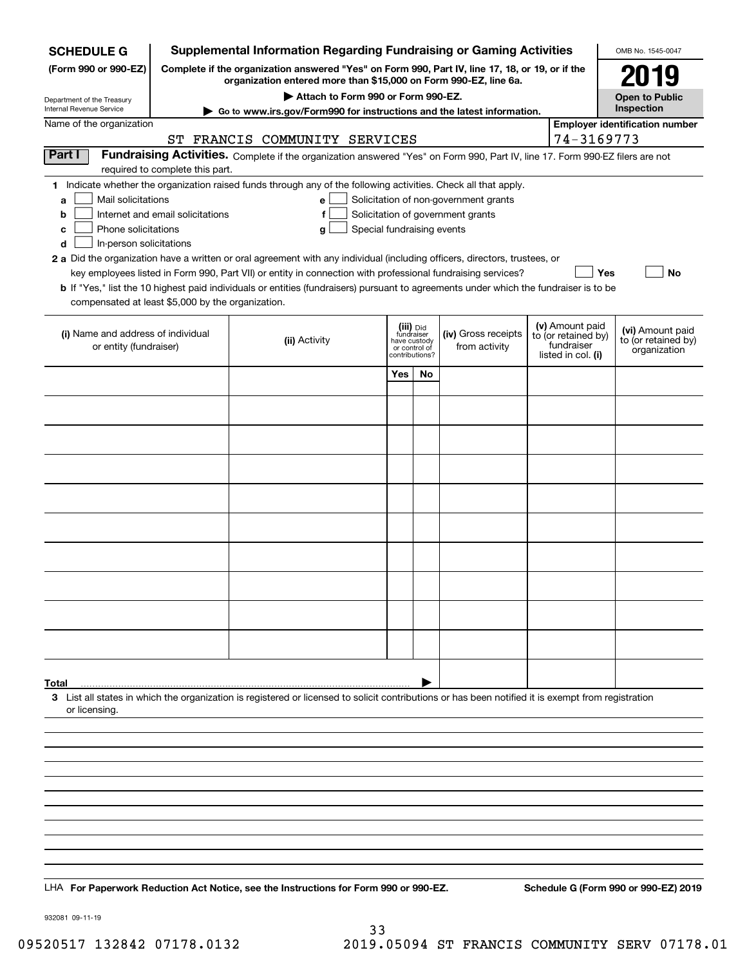| <b>SCHEDULE G</b>                                            |                                                                                                                                                                     | <b>Supplemental Information Regarding Fundraising or Gaming Activities</b>                                                                                                                                                                |                                         |    |                                       |                                   |                                         | OMB No. 1545-0047                    |  |
|--------------------------------------------------------------|---------------------------------------------------------------------------------------------------------------------------------------------------------------------|-------------------------------------------------------------------------------------------------------------------------------------------------------------------------------------------------------------------------------------------|-----------------------------------------|----|---------------------------------------|-----------------------------------|-----------------------------------------|--------------------------------------|--|
| (Form 990 or 990-EZ)                                         | Complete if the organization answered "Yes" on Form 990, Part IV, line 17, 18, or 19, or if the<br>organization entered more than \$15,000 on Form 990-EZ, line 6a. |                                                                                                                                                                                                                                           | 2019                                    |    |                                       |                                   |                                         |                                      |  |
| Department of the Treasury<br>Internal Revenue Service       |                                                                                                                                                                     | Attach to Form 990 or Form 990-EZ.                                                                                                                                                                                                        |                                         |    |                                       |                                   |                                         | <b>Open to Public</b><br>Inspection  |  |
| Name of the organization                                     |                                                                                                                                                                     | Go to www.irs.gov/Form990 for instructions and the latest information.<br><b>Employer identification number</b>                                                                                                                           |                                         |    |                                       |                                   |                                         |                                      |  |
|                                                              |                                                                                                                                                                     | ST FRANCIS COMMUNITY SERVICES                                                                                                                                                                                                             |                                         |    |                                       |                                   | 74-3169773                              |                                      |  |
| Part I                                                       |                                                                                                                                                                     | Fundraising Activities. Complete if the organization answered "Yes" on Form 990, Part IV, line 17. Form 990-EZ filers are not                                                                                                             |                                         |    |                                       |                                   |                                         |                                      |  |
|                                                              | required to complete this part.                                                                                                                                     | 1 Indicate whether the organization raised funds through any of the following activities. Check all that apply.                                                                                                                           |                                         |    |                                       |                                   |                                         |                                      |  |
| Mail solicitations<br>a                                      |                                                                                                                                                                     | e                                                                                                                                                                                                                                         |                                         |    | Solicitation of non-government grants |                                   |                                         |                                      |  |
| b                                                            | Internet and email solicitations                                                                                                                                    | f                                                                                                                                                                                                                                         |                                         |    | Solicitation of government grants     |                                   |                                         |                                      |  |
| Phone solicitations<br>c                                     |                                                                                                                                                                     | Special fundraising events<br>g                                                                                                                                                                                                           |                                         |    |                                       |                                   |                                         |                                      |  |
| In-person solicitations<br>d                                 |                                                                                                                                                                     |                                                                                                                                                                                                                                           |                                         |    |                                       |                                   |                                         |                                      |  |
|                                                              |                                                                                                                                                                     | 2 a Did the organization have a written or oral agreement with any individual (including officers, directors, trustees, or<br>key employees listed in Form 990, Part VII) or entity in connection with professional fundraising services? |                                         |    |                                       |                                   | Yes                                     | <b>No</b>                            |  |
|                                                              |                                                                                                                                                                     | b If "Yes," list the 10 highest paid individuals or entities (fundraisers) pursuant to agreements under which the fundraiser is to be                                                                                                     |                                         |    |                                       |                                   |                                         |                                      |  |
| compensated at least \$5,000 by the organization.            |                                                                                                                                                                     |                                                                                                                                                                                                                                           |                                         |    |                                       |                                   |                                         |                                      |  |
|                                                              |                                                                                                                                                                     |                                                                                                                                                                                                                                           |                                         |    |                                       |                                   | (v) Amount paid                         |                                      |  |
| (i) Name and address of individual<br>or entity (fundraiser) |                                                                                                                                                                     | (ii) Activity                                                                                                                                                                                                                             | (iii) Did<br>fundraiser<br>have custody |    | (iv) Gross receipts<br>from activity  | to (or retained by)<br>fundraiser | (vi) Amount paid<br>to (or retained by) |                                      |  |
|                                                              |                                                                                                                                                                     |                                                                                                                                                                                                                                           | or control of<br>contributions?         |    |                                       |                                   | listed in col. (i)                      | organization                         |  |
|                                                              |                                                                                                                                                                     |                                                                                                                                                                                                                                           | Yes                                     | No |                                       |                                   |                                         |                                      |  |
|                                                              |                                                                                                                                                                     |                                                                                                                                                                                                                                           |                                         |    |                                       |                                   |                                         |                                      |  |
|                                                              |                                                                                                                                                                     |                                                                                                                                                                                                                                           |                                         |    |                                       |                                   |                                         |                                      |  |
|                                                              |                                                                                                                                                                     |                                                                                                                                                                                                                                           |                                         |    |                                       |                                   |                                         |                                      |  |
|                                                              |                                                                                                                                                                     |                                                                                                                                                                                                                                           |                                         |    |                                       |                                   |                                         |                                      |  |
|                                                              |                                                                                                                                                                     |                                                                                                                                                                                                                                           |                                         |    |                                       |                                   |                                         |                                      |  |
|                                                              |                                                                                                                                                                     |                                                                                                                                                                                                                                           |                                         |    |                                       |                                   |                                         |                                      |  |
|                                                              |                                                                                                                                                                     |                                                                                                                                                                                                                                           |                                         |    |                                       |                                   |                                         |                                      |  |
|                                                              |                                                                                                                                                                     |                                                                                                                                                                                                                                           |                                         |    |                                       |                                   |                                         |                                      |  |
|                                                              |                                                                                                                                                                     |                                                                                                                                                                                                                                           |                                         |    |                                       |                                   |                                         |                                      |  |
|                                                              |                                                                                                                                                                     |                                                                                                                                                                                                                                           |                                         |    |                                       |                                   |                                         |                                      |  |
|                                                              |                                                                                                                                                                     |                                                                                                                                                                                                                                           |                                         |    |                                       |                                   |                                         |                                      |  |
|                                                              |                                                                                                                                                                     |                                                                                                                                                                                                                                           |                                         |    |                                       |                                   |                                         |                                      |  |
|                                                              |                                                                                                                                                                     |                                                                                                                                                                                                                                           |                                         |    |                                       |                                   |                                         |                                      |  |
|                                                              |                                                                                                                                                                     |                                                                                                                                                                                                                                           |                                         |    |                                       |                                   |                                         |                                      |  |
|                                                              |                                                                                                                                                                     |                                                                                                                                                                                                                                           |                                         |    |                                       |                                   |                                         |                                      |  |
| Total                                                        |                                                                                                                                                                     |                                                                                                                                                                                                                                           |                                         |    |                                       |                                   |                                         |                                      |  |
|                                                              |                                                                                                                                                                     | 3 List all states in which the organization is registered or licensed to solicit contributions or has been notified it is exempt from registration                                                                                        |                                         |    |                                       |                                   |                                         |                                      |  |
| or licensing.                                                |                                                                                                                                                                     |                                                                                                                                                                                                                                           |                                         |    |                                       |                                   |                                         |                                      |  |
|                                                              |                                                                                                                                                                     |                                                                                                                                                                                                                                           |                                         |    |                                       |                                   |                                         |                                      |  |
|                                                              |                                                                                                                                                                     |                                                                                                                                                                                                                                           |                                         |    |                                       |                                   |                                         |                                      |  |
|                                                              |                                                                                                                                                                     |                                                                                                                                                                                                                                           |                                         |    |                                       |                                   |                                         |                                      |  |
|                                                              |                                                                                                                                                                     |                                                                                                                                                                                                                                           |                                         |    |                                       |                                   |                                         |                                      |  |
|                                                              |                                                                                                                                                                     |                                                                                                                                                                                                                                           |                                         |    |                                       |                                   |                                         |                                      |  |
|                                                              |                                                                                                                                                                     |                                                                                                                                                                                                                                           |                                         |    |                                       |                                   |                                         |                                      |  |
|                                                              |                                                                                                                                                                     |                                                                                                                                                                                                                                           |                                         |    |                                       |                                   |                                         |                                      |  |
|                                                              |                                                                                                                                                                     |                                                                                                                                                                                                                                           |                                         |    |                                       |                                   |                                         |                                      |  |
|                                                              |                                                                                                                                                                     | LHA For Paperwork Reduction Act Notice, see the Instructions for Form 990 or 990-EZ.                                                                                                                                                      |                                         |    |                                       |                                   |                                         | Schedule G (Form 990 or 990-EZ) 2019 |  |
|                                                              |                                                                                                                                                                     |                                                                                                                                                                                                                                           |                                         |    |                                       |                                   |                                         |                                      |  |

932081 09-11-19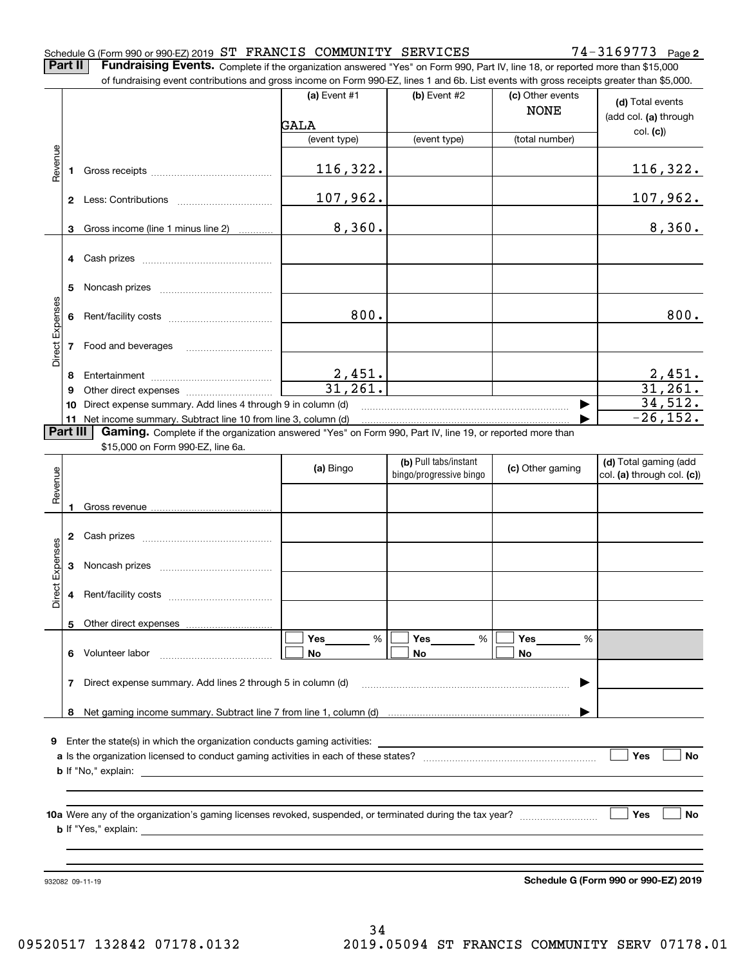#### Schedule G (Form 990 or 990-EZ) 2019 Page ST FRANCIS COMMUNITY SERVICES 74-3169773

**2**

**Part II** | Fundraising Events. Complete if the organization answered "Yes" on Form 990, Part IV, line 18, or reported more than \$15,000

|                 |          | of fundraising event contributions and gross income on Form 990-EZ, lines 1 and 6b. List events with gross receipts greater than \$5,000. |                        |                                                  |                                 |                                                     |
|-----------------|----------|-------------------------------------------------------------------------------------------------------------------------------------------|------------------------|--------------------------------------------------|---------------------------------|-----------------------------------------------------|
|                 |          |                                                                                                                                           | (a) Event $#1$         | (b) Event #2                                     | (c) Other events<br><b>NONE</b> | (d) Total events<br>(add col. (a) through           |
|                 |          |                                                                                                                                           | GALA                   |                                                  |                                 | col. (c)                                            |
|                 |          |                                                                                                                                           | (event type)           | (event type)                                     | (total number)                  |                                                     |
| Revenue         |          |                                                                                                                                           | 116,322.               |                                                  |                                 | <u>116,322.</u>                                     |
|                 |          |                                                                                                                                           | 107,962.               |                                                  |                                 | 107,962.                                            |
|                 | 3        | Gross income (line 1 minus line 2)                                                                                                        | 8,360.                 |                                                  |                                 | 8,360.                                              |
|                 |          |                                                                                                                                           |                        |                                                  |                                 |                                                     |
|                 | 5        |                                                                                                                                           |                        |                                                  |                                 |                                                     |
| Direct Expenses | 6        |                                                                                                                                           | 800.                   |                                                  |                                 | 800.                                                |
|                 |          | 7 Food and beverages                                                                                                                      |                        |                                                  |                                 |                                                     |
|                 | 8        |                                                                                                                                           |                        |                                                  |                                 |                                                     |
|                 | 9        |                                                                                                                                           | $\frac{2,451}{31,261}$ |                                                  |                                 | $\frac{2,451}{31,261}$                              |
|                 | 10       | Direct expense summary. Add lines 4 through 9 in column (d)                                                                               |                        |                                                  |                                 | 34,512.                                             |
|                 |          | 11 Net income summary. Subtract line 10 from line 3, column (d)                                                                           |                        |                                                  |                                 | $-26, 152.$                                         |
|                 | Part III | Gaming. Complete if the organization answered "Yes" on Form 990, Part IV, line 19, or reported more than                                  |                        |                                                  |                                 |                                                     |
|                 |          | \$15,000 on Form 990-EZ, line 6a.                                                                                                         |                        |                                                  |                                 |                                                     |
| Revenue         |          |                                                                                                                                           | (a) Bingo              | (b) Pull tabs/instant<br>bingo/progressive bingo | (c) Other gaming                | (d) Total gaming (add<br>col. (a) through col. (c)) |
|                 | 1        |                                                                                                                                           |                        |                                                  |                                 |                                                     |
|                 |          |                                                                                                                                           |                        |                                                  |                                 |                                                     |
| Expenses        | 3        |                                                                                                                                           |                        |                                                  |                                 |                                                     |
| <b>Direct</b>   |          |                                                                                                                                           |                        |                                                  |                                 |                                                     |
|                 |          |                                                                                                                                           |                        |                                                  |                                 |                                                     |
|                 |          |                                                                                                                                           |                        |                                                  |                                 |                                                     |
|                 |          | 5 Other direct expenses                                                                                                                   |                        |                                                  |                                 |                                                     |
|                 |          | 6 Volunteer labor                                                                                                                         | %<br>Yes<br>No         | Yes<br>%<br>No                                   | Yes<br>%<br>No                  |                                                     |
|                 | 7        | Direct expense summary. Add lines 2 through 5 in column (d)                                                                               |                        |                                                  |                                 |                                                     |
|                 |          |                                                                                                                                           |                        |                                                  |                                 |                                                     |
|                 |          |                                                                                                                                           |                        |                                                  |                                 |                                                     |
|                 |          |                                                                                                                                           |                        |                                                  |                                 |                                                     |
|                 |          | 9 Enter the state(s) in which the organization conducts gaming activities:                                                                |                        |                                                  |                                 |                                                     |
|                 |          |                                                                                                                                           |                        |                                                  |                                 | Yes<br>No                                           |
|                 |          |                                                                                                                                           |                        |                                                  |                                 |                                                     |
|                 |          |                                                                                                                                           |                        |                                                  |                                 |                                                     |
|                 |          |                                                                                                                                           |                        |                                                  |                                 | Yes<br>No                                           |
|                 |          |                                                                                                                                           |                        |                                                  |                                 |                                                     |
|                 |          |                                                                                                                                           |                        |                                                  |                                 |                                                     |

932082 09-11-19

**Schedule G (Form 990 or 990-EZ) 2019**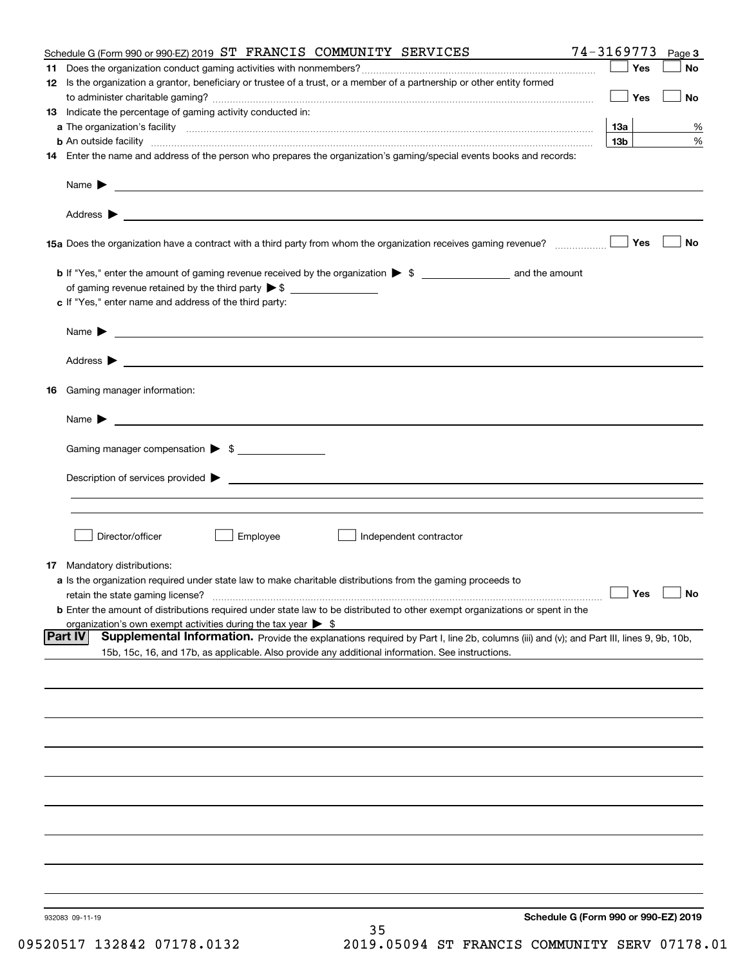|    | Schedule G (Form 990 or 990-EZ) 2019 ST FRANCIS COMMUNITY SERVICES                                                                                                                                                  | 74-3169773<br>Page 3                 |
|----|---------------------------------------------------------------------------------------------------------------------------------------------------------------------------------------------------------------------|--------------------------------------|
| 11 |                                                                                                                                                                                                                     | Yes<br>No                            |
|    | 12 Is the organization a grantor, beneficiary or trustee of a trust, or a member of a partnership or other entity formed                                                                                            | Yes<br>No                            |
|    | 13 Indicate the percentage of gaming activity conducted in:                                                                                                                                                         |                                      |
|    |                                                                                                                                                                                                                     | 1За<br>%                             |
|    |                                                                                                                                                                                                                     | 13 <sub>b</sub><br>%                 |
|    | 14 Enter the name and address of the person who prepares the organization's gaming/special events books and records:                                                                                                |                                      |
|    |                                                                                                                                                                                                                     |                                      |
|    |                                                                                                                                                                                                                     |                                      |
|    |                                                                                                                                                                                                                     | Yes<br>No                            |
|    |                                                                                                                                                                                                                     |                                      |
|    | of gaming revenue retained by the third party $\triangleright$ \$                                                                                                                                                   |                                      |
|    | c If "Yes," enter name and address of the third party:                                                                                                                                                              |                                      |
|    | Name $\blacktriangleright$ $\bot$                                                                                                                                                                                   |                                      |
|    |                                                                                                                                                                                                                     |                                      |
|    |                                                                                                                                                                                                                     |                                      |
|    | 16 Gaming manager information:                                                                                                                                                                                      |                                      |
|    | $Name \rightarrow$                                                                                                                                                                                                  |                                      |
|    | Gaming manager compensation > \$                                                                                                                                                                                    |                                      |
|    |                                                                                                                                                                                                                     |                                      |
|    |                                                                                                                                                                                                                     |                                      |
|    |                                                                                                                                                                                                                     |                                      |
|    | Employee<br>Director/officer<br>Independent contractor                                                                                                                                                              |                                      |
|    |                                                                                                                                                                                                                     |                                      |
|    | 17 Mandatory distributions:                                                                                                                                                                                         |                                      |
|    | a Is the organization required under state law to make charitable distributions from the gaming proceeds to                                                                                                         | $\Box$ Yes                           |
|    | retain the state gaming license?                                                                                                                                                                                    | $\Box$ No                            |
|    | <b>b</b> Enter the amount of distributions required under state law to be distributed to other exempt organizations or spent in the<br>organization's own exempt activities during the tax year $\triangleright$ \$ |                                      |
|    | Part IV<br>Supplemental Information. Provide the explanations required by Part I, line 2b, columns (iii) and (v); and Part III, lines 9, 9b, 10b,                                                                   |                                      |
|    | 15b, 15c, 16, and 17b, as applicable. Also provide any additional information. See instructions.                                                                                                                    |                                      |
|    |                                                                                                                                                                                                                     |                                      |
|    |                                                                                                                                                                                                                     |                                      |
|    |                                                                                                                                                                                                                     |                                      |
|    |                                                                                                                                                                                                                     |                                      |
|    |                                                                                                                                                                                                                     |                                      |
|    |                                                                                                                                                                                                                     |                                      |
|    |                                                                                                                                                                                                                     |                                      |
|    |                                                                                                                                                                                                                     |                                      |
|    |                                                                                                                                                                                                                     |                                      |
|    |                                                                                                                                                                                                                     |                                      |
|    | 932083 09-11-19                                                                                                                                                                                                     | Schedule G (Form 990 or 990-EZ) 2019 |
|    | 35                                                                                                                                                                                                                  |                                      |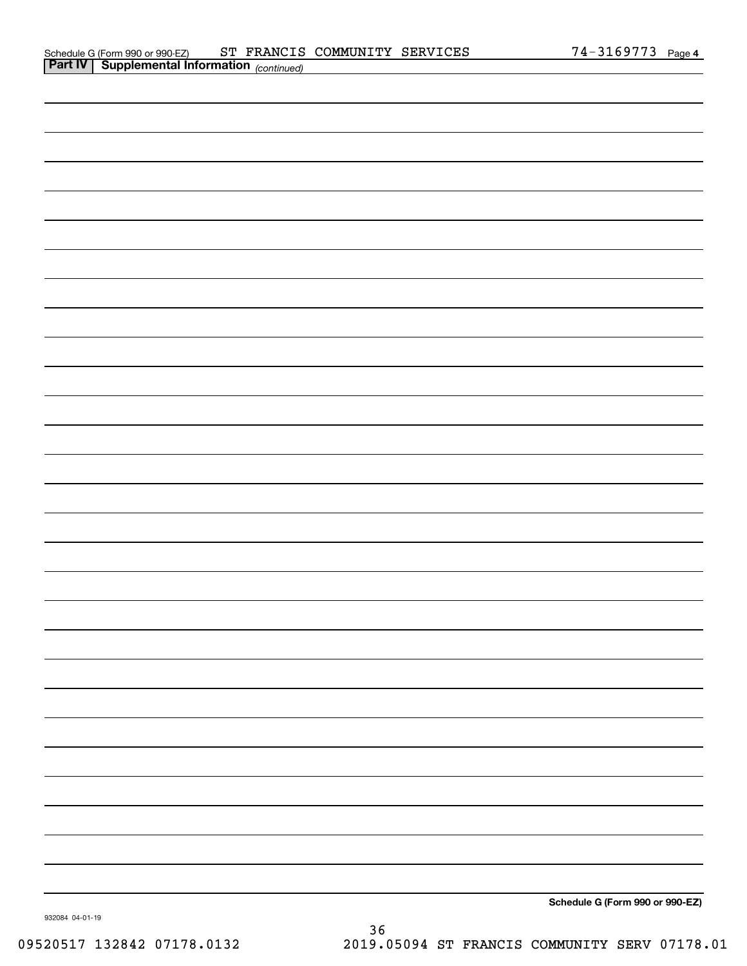|         | Schedule G (Form 990 or 990-EZ)      | ST | FRANCIS COMMUNITY SERVICES | 3169773 | Page 4 |
|---------|--------------------------------------|----|----------------------------|---------|--------|
| Part IV | Supplemental Information (continued) |    |                            |         |        |

| Schedule G (Form 990 or 990-EZ) |
|---------------------------------|

932084 04-01-19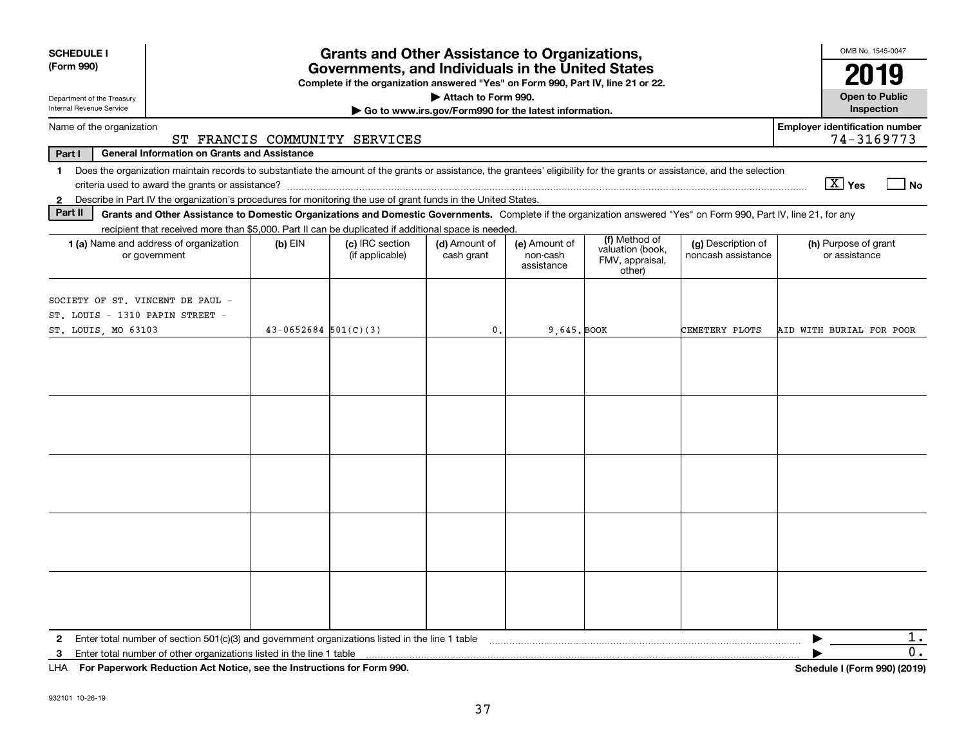| <b>SCHEDULE I</b><br>(Form 990)                                     | <b>Grants and Other Assistance to Organizations,</b><br>Governments, and Individuals in the United States<br>Complete if the organization answered "Yes" on Form 990, Part IV, line 21 or 22.                                |                          |                                    |                                                       |                                         |                                               |                                          |                                                     |  |  |
|---------------------------------------------------------------------|------------------------------------------------------------------------------------------------------------------------------------------------------------------------------------------------------------------------------|--------------------------|------------------------------------|-------------------------------------------------------|-----------------------------------------|-----------------------------------------------|------------------------------------------|-----------------------------------------------------|--|--|
| Department of the Treasury                                          |                                                                                                                                                                                                                              |                          |                                    | Attach to Form 990.                                   |                                         |                                               |                                          | 2019<br><b>Open to Public</b>                       |  |  |
| Internal Revenue Service                                            |                                                                                                                                                                                                                              |                          |                                    | Go to www.irs.gov/Form990 for the latest information. |                                         |                                               |                                          | Inspection                                          |  |  |
| Name of the organization                                            |                                                                                                                                                                                                                              |                          | ST FRANCIS COMMUNITY SERVICES      |                                                       |                                         |                                               |                                          | <b>Employer identification number</b><br>74-3169773 |  |  |
| Part I                                                              | <b>General Information on Grants and Assistance</b>                                                                                                                                                                          |                          |                                    |                                                       |                                         |                                               |                                          |                                                     |  |  |
| 1.                                                                  | Does the organization maintain records to substantiate the amount of the grants or assistance, the grantees' eligibility for the grants or assistance, and the selection<br>criteria used to award the grants or assistance? |                          |                                    |                                                       |                                         |                                               |                                          | $\boxed{\text{X}}$ Yes<br>l No                      |  |  |
| $\mathbf{2}$                                                        | Describe in Part IV the organization's procedures for monitoring the use of grant funds in the United States.                                                                                                                |                          |                                    |                                                       |                                         |                                               |                                          |                                                     |  |  |
| Part II                                                             | Grants and Other Assistance to Domestic Organizations and Domestic Governments. Complete if the organization answered "Yes" on Form 990, Part IV, line 21, for any                                                           |                          |                                    |                                                       |                                         |                                               |                                          |                                                     |  |  |
|                                                                     | recipient that received more than \$5,000. Part II can be duplicated if additional space is needed.                                                                                                                          |                          |                                    |                                                       |                                         | (f) Method of                                 |                                          |                                                     |  |  |
|                                                                     | 1 (a) Name and address of organization<br>or government                                                                                                                                                                      | $(b)$ EIN                | (c) IRC section<br>(if applicable) | (d) Amount of<br>cash grant                           | (e) Amount of<br>non-cash<br>assistance | valuation (book,<br>FMV, appraisal,<br>other) | (g) Description of<br>noncash assistance | (h) Purpose of grant<br>or assistance               |  |  |
| SOCIETY OF ST. VINCENT DE PAUL -<br>ST. LOUIS - 1310 PAPIN STREET - |                                                                                                                                                                                                                              |                          |                                    |                                                       |                                         |                                               |                                          |                                                     |  |  |
| ST. LOUIS, MO 63103                                                 |                                                                                                                                                                                                                              | $43 - 0652684$ 501(C)(3) |                                    | $\mathbf{0}$ .                                        | 9.645. BOOK                             |                                               | CEMETERY PLOTS                           | AID WITH BURIAL FOR POOR                            |  |  |
|                                                                     |                                                                                                                                                                                                                              |                          |                                    |                                                       |                                         |                                               |                                          |                                                     |  |  |
|                                                                     |                                                                                                                                                                                                                              |                          |                                    |                                                       |                                         |                                               |                                          |                                                     |  |  |
|                                                                     |                                                                                                                                                                                                                              |                          |                                    |                                                       |                                         |                                               |                                          |                                                     |  |  |
|                                                                     |                                                                                                                                                                                                                              |                          |                                    |                                                       |                                         |                                               |                                          |                                                     |  |  |
|                                                                     |                                                                                                                                                                                                                              |                          |                                    |                                                       |                                         |                                               |                                          |                                                     |  |  |
| 2                                                                   | Enter total number of section 501(c)(3) and government organizations listed in the line 1 table                                                                                                                              |                          |                                    |                                                       |                                         |                                               |                                          | 1.                                                  |  |  |
| 3                                                                   | Enter total number of other organizations listed in the line 1 table                                                                                                                                                         |                          |                                    |                                                       |                                         |                                               |                                          | 0.                                                  |  |  |
| LHA.                                                                | For Paperwork Reduction Act Notice, see the Instructions for Form 990.                                                                                                                                                       |                          |                                    |                                                       |                                         |                                               |                                          | Schedule I (Form 990) (2019)                        |  |  |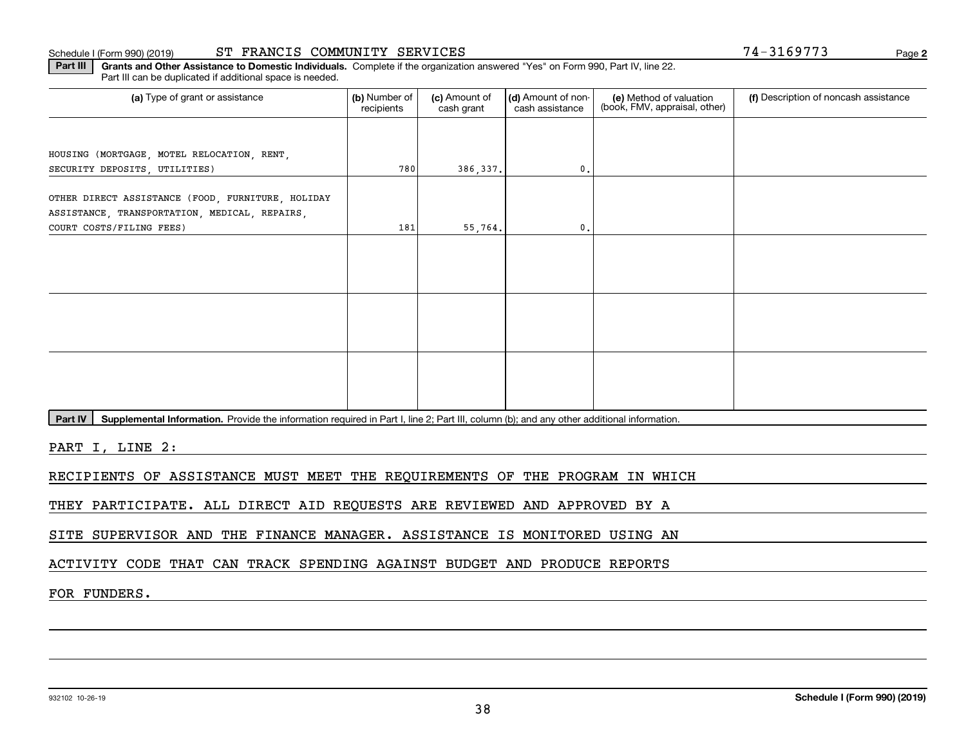#### Schedule I (Form 990) (2019) **ST FRANCIS COMMUNITY SERVICES** Page

**2**

**Part III | Grants and Other Assistance to Domestic Individuals. Complete if the organization answered "Yes" on Form 990, Part IV, line 22.** Part III can be duplicated if additional space is needed.

| (a) Type of grant or assistance                                           | (b) Number of<br>recipients | (c) Amount of<br>cash grant | (d) Amount of non-<br>cash assistance | (e) Method of valuation<br>(book, FMV, appraisal, other) | (f) Description of noncash assistance |
|---------------------------------------------------------------------------|-----------------------------|-----------------------------|---------------------------------------|----------------------------------------------------------|---------------------------------------|
|                                                                           |                             |                             |                                       |                                                          |                                       |
| HOUSING (MORTGAGE, MOTEL RELOCATION, RENT,                                |                             |                             |                                       |                                                          |                                       |
| SECURITY DEPOSITS, UTILITIES)                                             | 780                         | 386,337.                    | $\mathfrak{o}$ .                      |                                                          |                                       |
| OTHER DIRECT ASSISTANCE (FOOD, FURNITURE, HOLIDAY                         |                             |                             |                                       |                                                          |                                       |
| ASSISTANCE, TRANSPORTATION, MEDICAL, REPAIRS,<br>COURT COSTS/FILING FEES) | 181                         | 55, 764.                    | 0.                                    |                                                          |                                       |
|                                                                           |                             |                             |                                       |                                                          |                                       |
|                                                                           |                             |                             |                                       |                                                          |                                       |
|                                                                           |                             |                             |                                       |                                                          |                                       |
|                                                                           |                             |                             |                                       |                                                          |                                       |
|                                                                           |                             |                             |                                       |                                                          |                                       |
|                                                                           |                             |                             |                                       |                                                          |                                       |
|                                                                           |                             |                             |                                       |                                                          |                                       |
|                                                                           |                             |                             |                                       |                                                          |                                       |
|                                                                           |                             |                             |                                       |                                                          |                                       |

Part IV | Supplemental Information. Provide the information required in Part I, line 2; Part III, column (b); and any other additional information.

PART I, LINE 2:

RECIPIENTS OF ASSISTANCE MUST MEET THE REQUIREMENTS OF THE PROGRAM IN WHICH

THEY PARTICIPATE. ALL DIRECT AID REQUESTS ARE REVIEWED AND APPROVED BY A

SITE SUPERVISOR AND THE FINANCE MANAGER. ASSISTANCE IS MONITORED USING AN

ACTIVITY CODE THAT CAN TRACK SPENDING AGAINST BUDGET AND PRODUCE REPORTS

FOR FUNDERS.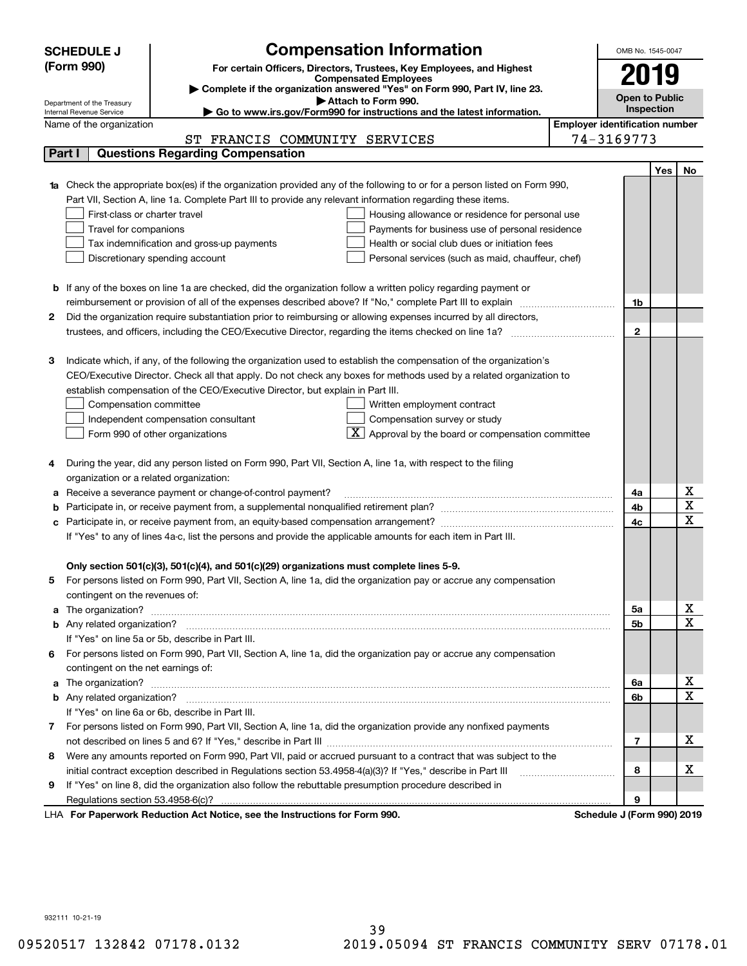|    | <b>Compensation Information</b><br>OMB No. 1545-0047<br><b>SCHEDULE J</b> |                                                                                                                                                                                                                              |  |                  |                                       |                                     |  |  |  |
|----|---------------------------------------------------------------------------|------------------------------------------------------------------------------------------------------------------------------------------------------------------------------------------------------------------------------|--|------------------|---------------------------------------|-------------------------------------|--|--|--|
|    | (Form 990)                                                                | For certain Officers, Directors, Trustees, Key Employees, and Highest                                                                                                                                                        |  |                  | 2019                                  |                                     |  |  |  |
|    |                                                                           | <b>Compensated Employees</b>                                                                                                                                                                                                 |  |                  |                                       |                                     |  |  |  |
|    |                                                                           | Complete if the organization answered "Yes" on Form 990, Part IV, line 23.<br>Attach to Form 990.                                                                                                                            |  |                  | <b>Open to Public</b>                 |                                     |  |  |  |
|    | Department of the Treasury<br>Internal Revenue Service                    | Go to www.irs.gov/Form990 for instructions and the latest information.                                                                                                                                                       |  | Inspection       |                                       |                                     |  |  |  |
|    | Name of the organization                                                  |                                                                                                                                                                                                                              |  |                  | <b>Employer identification number</b> |                                     |  |  |  |
|    |                                                                           | ST FRANCIS COMMUNITY SERVICES                                                                                                                                                                                                |  | 74-3169773       |                                       |                                     |  |  |  |
|    | Part I                                                                    | <b>Questions Regarding Compensation</b>                                                                                                                                                                                      |  |                  |                                       |                                     |  |  |  |
|    |                                                                           |                                                                                                                                                                                                                              |  |                  | <b>Yes</b>                            | No                                  |  |  |  |
|    |                                                                           | <b>1a</b> Check the appropriate box(es) if the organization provided any of the following to or for a person listed on Form 990,                                                                                             |  |                  |                                       |                                     |  |  |  |
|    |                                                                           | Part VII, Section A, line 1a. Complete Part III to provide any relevant information regarding these items.                                                                                                                   |  |                  |                                       |                                     |  |  |  |
|    | First-class or charter travel                                             | Housing allowance or residence for personal use                                                                                                                                                                              |  |                  |                                       |                                     |  |  |  |
|    | Travel for companions<br>Payments for business use of personal residence  |                                                                                                                                                                                                                              |  |                  |                                       |                                     |  |  |  |
|    |                                                                           | Tax indemnification and gross-up payments<br>Health or social club dues or initiation fees                                                                                                                                   |  |                  |                                       |                                     |  |  |  |
|    |                                                                           | Discretionary spending account<br>Personal services (such as maid, chauffeur, chef)                                                                                                                                          |  |                  |                                       |                                     |  |  |  |
|    |                                                                           |                                                                                                                                                                                                                              |  |                  |                                       |                                     |  |  |  |
|    |                                                                           | <b>b</b> If any of the boxes on line 1a are checked, did the organization follow a written policy regarding payment or                                                                                                       |  |                  |                                       |                                     |  |  |  |
| 2  |                                                                           | reimbursement or provision of all of the expenses described above? If "No," complete Part III to explain<br>Did the organization require substantiation prior to reimbursing or allowing expenses incurred by all directors, |  | 1b               |                                       |                                     |  |  |  |
|    |                                                                           |                                                                                                                                                                                                                              |  | $\mathbf{2}$     |                                       |                                     |  |  |  |
|    |                                                                           |                                                                                                                                                                                                                              |  |                  |                                       |                                     |  |  |  |
| з  |                                                                           | Indicate which, if any, of the following the organization used to establish the compensation of the organization's                                                                                                           |  |                  |                                       |                                     |  |  |  |
|    |                                                                           | CEO/Executive Director. Check all that apply. Do not check any boxes for methods used by a related organization to                                                                                                           |  |                  |                                       |                                     |  |  |  |
|    |                                                                           | establish compensation of the CEO/Executive Director, but explain in Part III.                                                                                                                                               |  |                  |                                       |                                     |  |  |  |
|    | Compensation committee                                                    | Written employment contract                                                                                                                                                                                                  |  |                  |                                       |                                     |  |  |  |
|    |                                                                           | Compensation survey or study<br>Independent compensation consultant                                                                                                                                                          |  |                  |                                       |                                     |  |  |  |
|    |                                                                           | Approval by the board or compensation committee<br>Form 990 of other organizations                                                                                                                                           |  |                  |                                       |                                     |  |  |  |
|    |                                                                           |                                                                                                                                                                                                                              |  |                  |                                       |                                     |  |  |  |
|    |                                                                           | During the year, did any person listed on Form 990, Part VII, Section A, line 1a, with respect to the filing                                                                                                                 |  |                  |                                       |                                     |  |  |  |
|    | organization or a related organization:                                   |                                                                                                                                                                                                                              |  |                  |                                       |                                     |  |  |  |
|    |                                                                           | Receive a severance payment or change-of-control payment?                                                                                                                                                                    |  | 4a               |                                       | x                                   |  |  |  |
|    |                                                                           |                                                                                                                                                                                                                              |  | 4b               |                                       | $\overline{\mathbf{x}}$             |  |  |  |
|    |                                                                           | Participate in, or receive payment from, an equity-based compensation arrangement?                                                                                                                                           |  | 4c               |                                       | $\overline{\mathbf{x}}$             |  |  |  |
|    |                                                                           | If "Yes" to any of lines 4a-c, list the persons and provide the applicable amounts for each item in Part III.                                                                                                                |  |                  |                                       |                                     |  |  |  |
|    |                                                                           |                                                                                                                                                                                                                              |  |                  |                                       |                                     |  |  |  |
|    |                                                                           | Only section 501(c)(3), 501(c)(4), and 501(c)(29) organizations must complete lines 5-9.                                                                                                                                     |  |                  |                                       |                                     |  |  |  |
| 5. |                                                                           | For persons listed on Form 990, Part VII, Section A, line 1a, did the organization pay or accrue any compensation                                                                                                            |  |                  |                                       |                                     |  |  |  |
|    | contingent on the revenues of:                                            |                                                                                                                                                                                                                              |  |                  |                                       |                                     |  |  |  |
|    |                                                                           | a The organization? <b>Manual Community Community</b> Community Community Community Community Community Community Community                                                                                                  |  | 5a               |                                       | <u>x</u><br>$\overline{\mathbf{x}}$ |  |  |  |
|    |                                                                           |                                                                                                                                                                                                                              |  | 5b               |                                       |                                     |  |  |  |
|    |                                                                           | If "Yes" on line 5a or 5b, describe in Part III.                                                                                                                                                                             |  |                  |                                       |                                     |  |  |  |
| 6. |                                                                           | For persons listed on Form 990, Part VII, Section A, line 1a, did the organization pay or accrue any compensation                                                                                                            |  |                  |                                       |                                     |  |  |  |
|    | contingent on the net earnings of:                                        |                                                                                                                                                                                                                              |  | 6a               |                                       | <u>x</u>                            |  |  |  |
|    |                                                                           |                                                                                                                                                                                                                              |  | 6b               |                                       | $\overline{\mathbf{x}}$             |  |  |  |
|    |                                                                           | If "Yes" on line 6a or 6b, describe in Part III.                                                                                                                                                                             |  |                  |                                       |                                     |  |  |  |
|    |                                                                           | 7 For persons listed on Form 990, Part VII, Section A, line 1a, did the organization provide any nonfixed payments                                                                                                           |  |                  |                                       |                                     |  |  |  |
|    |                                                                           |                                                                                                                                                                                                                              |  | $\overline{7}$   |                                       | х                                   |  |  |  |
| 8  |                                                                           | Were any amounts reported on Form 990, Part VII, paid or accrued pursuant to a contract that was subject to the                                                                                                              |  |                  |                                       |                                     |  |  |  |
|    |                                                                           |                                                                                                                                                                                                                              |  | 8                |                                       | х                                   |  |  |  |
| 9  |                                                                           | If "Yes" on line 8, did the organization also follow the rebuttable presumption procedure described in                                                                                                                       |  |                  |                                       |                                     |  |  |  |
|    |                                                                           |                                                                                                                                                                                                                              |  | 9                |                                       |                                     |  |  |  |
|    |                                                                           | wwark Deduction Act Notice, ace the Instructions for Form 000                                                                                                                                                                |  | Cahadula I (Faun |                                       |                                     |  |  |  |

LHA For Paperwork Reduction Act Notice, see the Instructions for Form 990. Schedule J (Form 990) 2019

932111 10-21-19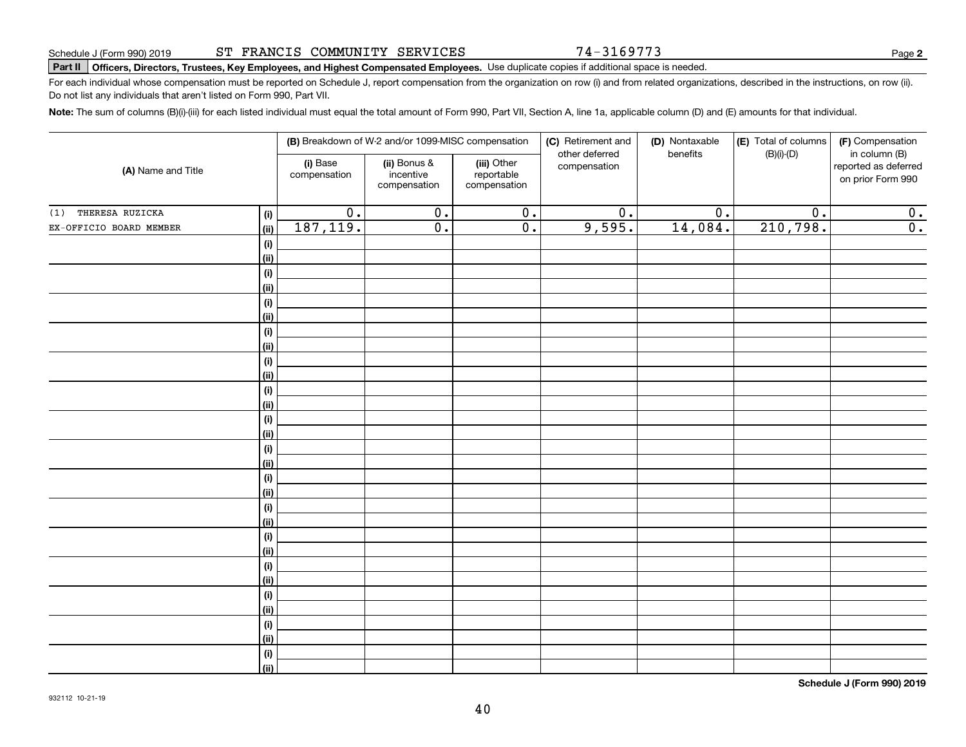74-3169773

**2**

# **Part II Officers, Directors, Trustees, Key Employees, and Highest Compensated Employees.**  Schedule J (Form 990) 2019 Page Use duplicate copies if additional space is needed.

For each individual whose compensation must be reported on Schedule J, report compensation from the organization on row (i) and from related organizations, described in the instructions, on row (ii). Do not list any individuals that aren't listed on Form 990, Part VII.

**Note:**  The sum of columns (B)(i)-(iii) for each listed individual must equal the total amount of Form 990, Part VII, Section A, line 1a, applicable column (D) and (E) amounts for that individual.

|                         |                |                          | (B) Breakdown of W-2 and/or 1099-MISC compensation |                                           | (C) Retirement and<br>other deferred | (D) Nontaxable<br>benefits | (E) Total of columns<br>$(B)(i)-(D)$ | (F) Compensation<br>in column (B)         |
|-------------------------|----------------|--------------------------|----------------------------------------------------|-------------------------------------------|--------------------------------------|----------------------------|--------------------------------------|-------------------------------------------|
| (A) Name and Title      |                | (i) Base<br>compensation | (ii) Bonus &<br>incentive<br>compensation          | (iii) Other<br>reportable<br>compensation | compensation                         |                            |                                      | reported as deferred<br>on prior Form 990 |
| THERESA RUZICKA<br>(1)  | (i)            | $\overline{0}$ .         | $\overline{0}$ .                                   | $\overline{0}$ .                          | $\overline{0}$ .                     | $\overline{0}$ .           | $\overline{0}$ .                     | 0.                                        |
| EX-OFFICIO BOARD MEMBER | (ii)           | 187,119.                 | $\overline{0}$ .                                   | $\overline{0}$ .                          | 9,595.                               | 14,084.                    | 210,798.                             | $\overline{0}$ .                          |
|                         | (i)            |                          |                                                    |                                           |                                      |                            |                                      |                                           |
|                         | <u>(ii)</u>    |                          |                                                    |                                           |                                      |                            |                                      |                                           |
|                         | $(\sf{i})$     |                          |                                                    |                                           |                                      |                            |                                      |                                           |
|                         | <u>(ii)</u>    |                          |                                                    |                                           |                                      |                            |                                      |                                           |
|                         | $(\sf{i})$     |                          |                                                    |                                           |                                      |                            |                                      |                                           |
|                         | <u>(ii)</u>    |                          |                                                    |                                           |                                      |                            |                                      |                                           |
|                         | (i)            |                          |                                                    |                                           |                                      |                            |                                      |                                           |
|                         | <u>(ii)</u>    |                          |                                                    |                                           |                                      |                            |                                      |                                           |
|                         | (i)            |                          |                                                    |                                           |                                      |                            |                                      |                                           |
|                         | <u>(ii)</u>    |                          |                                                    |                                           |                                      |                            |                                      |                                           |
|                         | (i)            |                          |                                                    |                                           |                                      |                            |                                      |                                           |
|                         | (ii)           |                          |                                                    |                                           |                                      |                            |                                      |                                           |
|                         | (i)<br>(ii)    |                          |                                                    |                                           |                                      |                            |                                      |                                           |
|                         | (i)            |                          |                                                    |                                           |                                      |                            |                                      |                                           |
|                         | (ii)           |                          |                                                    |                                           |                                      |                            |                                      |                                           |
|                         | (i)            |                          |                                                    |                                           |                                      |                            |                                      |                                           |
|                         | (ii)           |                          |                                                    |                                           |                                      |                            |                                      |                                           |
|                         | (i)            |                          |                                                    |                                           |                                      |                            |                                      |                                           |
|                         | <u>(ii)</u>    |                          |                                                    |                                           |                                      |                            |                                      |                                           |
|                         | (i)            |                          |                                                    |                                           |                                      |                            |                                      |                                           |
|                         | <u>(ii)</u>    |                          |                                                    |                                           |                                      |                            |                                      |                                           |
|                         | (i)            |                          |                                                    |                                           |                                      |                            |                                      |                                           |
|                         | <u>(ii)</u>    |                          |                                                    |                                           |                                      |                            |                                      |                                           |
|                         | (i)            |                          |                                                    |                                           |                                      |                            |                                      |                                           |
|                         | (ii)           |                          |                                                    |                                           |                                      |                            |                                      |                                           |
|                         | (i)            |                          |                                                    |                                           |                                      |                            |                                      |                                           |
|                         | <u>(ii)</u>    |                          |                                                    |                                           |                                      |                            |                                      |                                           |
|                         | (i)            |                          |                                                    |                                           |                                      |                            |                                      |                                           |
|                         | $\overline{}}$ |                          |                                                    |                                           |                                      |                            |                                      |                                           |

**Schedule J (Form 990) 2019**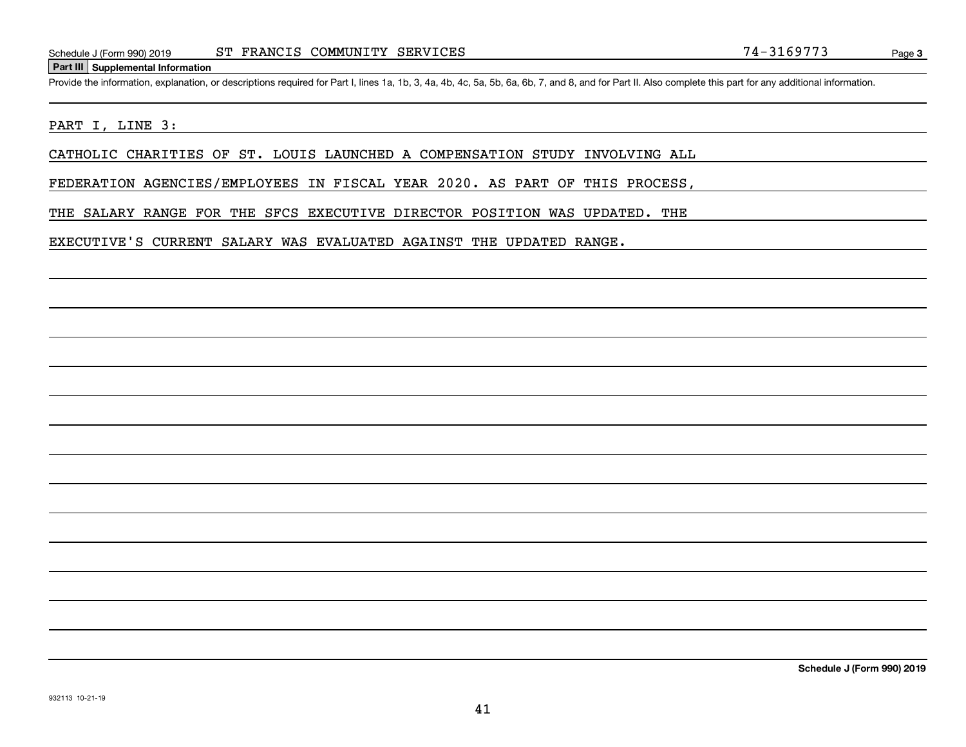### **Part III Supplemental Information**

Schedule J (Form 990) 2019 ST FRANCIS COMMUNITY SERVICES 74-3169773<br>
Part III Supplemental Information<br>
Provide the information, explanation, or descriptions required for Part I, lines 1a, 1b, 3, 4a, 4b, 4c, 5a, 5b, 6a, 6b

## PART I, LINE 3:

CATHOLIC CHARITIES OF ST. LOUIS LAUNCHED A COMPENSATION STUDY INVOLVING ALL

FEDERATION AGENCIES/EMPLOYEES IN FISCAL YEAR 2020. AS PART OF THIS PROCESS,

THE SALARY RANGE FOR THE SFCS EXECUTIVE DIRECTOR POSITION WAS UPDATED. THE

EXECUTIVE'S CURRENT SALARY WAS EVALUATED AGAINST THE UPDATED RANGE.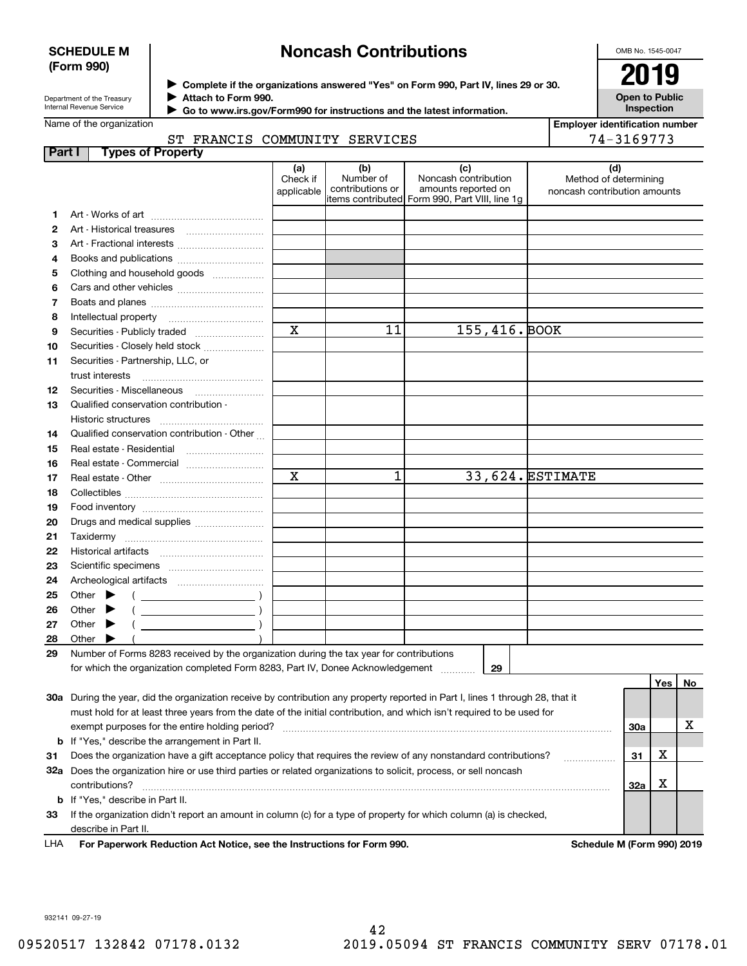## **SCHEDULE M (Form 990)**

# **Noncash Contributions**

OMB No. 1545-0047

**Open to Public**

| Department of the Treasury      |  |
|---------------------------------|--|
| <b>Internal Revenue Service</b> |  |

**Complete if the organizations answered "Yes" on Form 990, Part IV, lines 29 or 30.** <sup>J</sup>**2019 Attach to Form 990.** J

 **Go to www.irs.gov/Form990 for instructions and the latest information.** J

Name of the organization

## **Part I Types of Property** ST FRANCIS COMMUNITY SERVIO

| nd the latest information. | Inspection                            |
|----------------------------|---------------------------------------|
|                            | <b>Employer identification number</b> |
| CES                        | 74-3169773                            |
|                            |                                       |

|     |                                                                                                                                | (a)                    | (b)                           | (c)                                            | (d)                                                   |     |         |    |
|-----|--------------------------------------------------------------------------------------------------------------------------------|------------------------|-------------------------------|------------------------------------------------|-------------------------------------------------------|-----|---------|----|
|     |                                                                                                                                | Check if<br>applicable | Number of<br>contributions or | Noncash contribution<br>amounts reported on    | Method of determining<br>noncash contribution amounts |     |         |    |
|     |                                                                                                                                |                        |                               | items contributed Form 990, Part VIII, line 1g |                                                       |     |         |    |
| 1   |                                                                                                                                |                        |                               |                                                |                                                       |     |         |    |
| 2   | Art - Historical treasures                                                                                                     |                        |                               |                                                |                                                       |     |         |    |
| з   | Art - Fractional interests                                                                                                     |                        |                               |                                                |                                                       |     |         |    |
| 4   | Books and publications                                                                                                         |                        |                               |                                                |                                                       |     |         |    |
| 5   | Clothing and household goods                                                                                                   |                        |                               |                                                |                                                       |     |         |    |
| 6   |                                                                                                                                |                        |                               |                                                |                                                       |     |         |    |
| 7   |                                                                                                                                |                        |                               |                                                |                                                       |     |         |    |
| 8   | Intellectual property                                                                                                          |                        |                               |                                                |                                                       |     |         |    |
| 9   | Securities - Publicly traded                                                                                                   | $\mathbf x$            | 11                            | 155,416. BOOK                                  |                                                       |     |         |    |
| 10  | Securities - Closely held stock                                                                                                |                        |                               |                                                |                                                       |     |         |    |
| 11  | Securities - Partnership, LLC, or                                                                                              |                        |                               |                                                |                                                       |     |         |    |
|     | trust interests                                                                                                                |                        |                               |                                                |                                                       |     |         |    |
| 12  | Securities - Miscellaneous                                                                                                     |                        |                               |                                                |                                                       |     |         |    |
| 13  | Qualified conservation contribution -                                                                                          |                        |                               |                                                |                                                       |     |         |    |
|     | Historic structures                                                                                                            |                        |                               |                                                |                                                       |     |         |    |
| 14  | Qualified conservation contribution - Other                                                                                    |                        |                               |                                                |                                                       |     |         |    |
| 15  | Real estate - Residential                                                                                                      |                        |                               |                                                |                                                       |     |         |    |
|     |                                                                                                                                |                        |                               |                                                |                                                       |     |         |    |
| 16  | Real estate - Commercial                                                                                                       | $\mathbf x$            | 1                             |                                                | 33,624. ESTIMATE                                      |     |         |    |
| 17  |                                                                                                                                |                        |                               |                                                |                                                       |     |         |    |
| 18  |                                                                                                                                |                        |                               |                                                |                                                       |     |         |    |
| 19  |                                                                                                                                |                        |                               |                                                |                                                       |     |         |    |
| 20  | Drugs and medical supplies                                                                                                     |                        |                               |                                                |                                                       |     |         |    |
| 21  |                                                                                                                                |                        |                               |                                                |                                                       |     |         |    |
| 22  |                                                                                                                                |                        |                               |                                                |                                                       |     |         |    |
| 23  |                                                                                                                                |                        |                               |                                                |                                                       |     |         |    |
| 24  |                                                                                                                                |                        |                               |                                                |                                                       |     |         |    |
| 25  | Other<br>▶<br>$\left(\begin{array}{ccc}\n\end{array}\right)$                                                                   |                        |                               |                                                |                                                       |     |         |    |
| 26  | Other                                                                                                                          |                        |                               |                                                |                                                       |     |         |    |
| 27  | $($ $)$<br>Other                                                                                                               |                        |                               |                                                |                                                       |     |         |    |
| 28  | Other                                                                                                                          |                        |                               |                                                |                                                       |     |         |    |
| 29  | Number of Forms 8283 received by the organization during the tax year for contributions                                        |                        |                               |                                                |                                                       |     |         |    |
|     | for which the organization completed Form 8283, Part IV, Donee Acknowledgement                                                 |                        |                               | 29                                             |                                                       |     |         |    |
|     |                                                                                                                                |                        |                               |                                                |                                                       |     | Yes $ $ | No |
|     | 30a During the year, did the organization receive by contribution any property reported in Part I, lines 1 through 28, that it |                        |                               |                                                |                                                       |     |         |    |
|     | must hold for at least three years from the date of the initial contribution, and which isn't required to be used for          |                        |                               |                                                |                                                       |     |         |    |
|     | exempt purposes for the entire holding period?                                                                                 |                        |                               |                                                |                                                       | 30a |         | х  |
|     | <b>b</b> If "Yes," describe the arrangement in Part II.                                                                        |                        |                               |                                                |                                                       |     |         |    |
| 31  | Does the organization have a gift acceptance policy that requires the review of any nonstandard contributions?                 |                        |                               |                                                |                                                       | 31  | х       |    |
|     | 32a Does the organization hire or use third parties or related organizations to solicit, process, or sell noncash              |                        |                               |                                                |                                                       |     |         |    |
|     | contributions?                                                                                                                 |                        |                               |                                                |                                                       | 32a | х       |    |
|     | <b>b</b> If "Yes," describe in Part II.                                                                                        |                        |                               |                                                |                                                       |     |         |    |
| 33  | If the organization didn't report an amount in column (c) for a type of property for which column (a) is checked,              |                        |                               |                                                |                                                       |     |         |    |
|     | describe in Part II.                                                                                                           |                        |                               |                                                |                                                       |     |         |    |
| LHA | For Paperwork Reduction Act Notice, see the Instructions for Form 990.                                                         |                        |                               |                                                | Schedule M (Form 990) 2019                            |     |         |    |

932141 09-27-19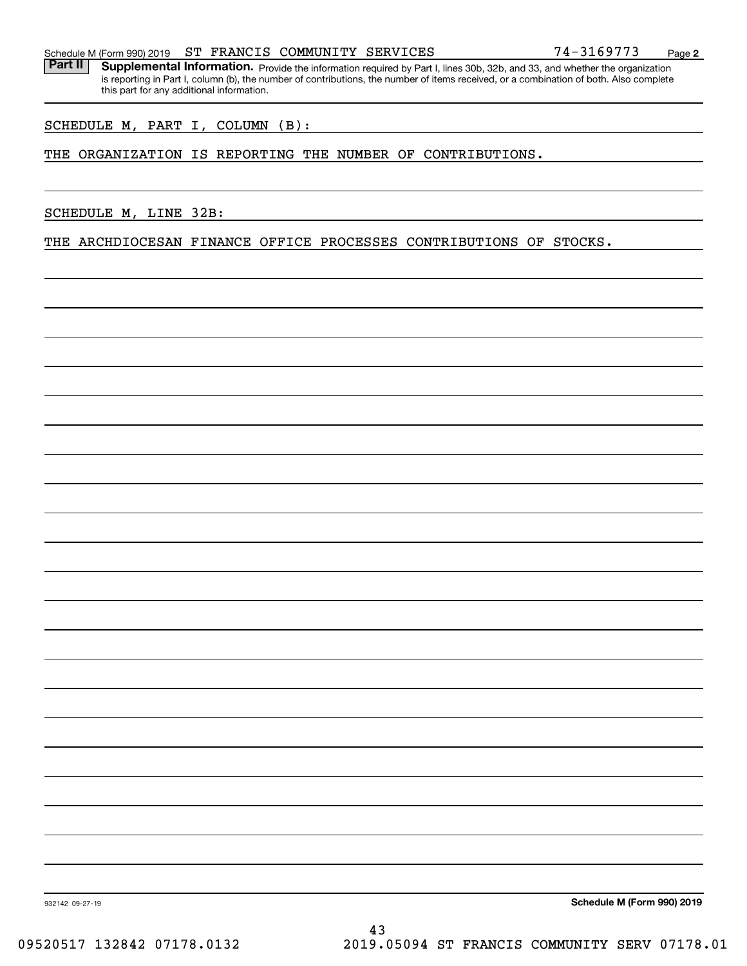Part II | Supplemental Information. Provide the information required by Part I, lines 30b, 32b, and 33, and whether the organization is reporting in Part I, column (b), the number of contributions, the number of items received, or a combination of both. Also complete this part for any additional information.

SCHEDULE M, PART I, COLUMN (B):

## THE ORGANIZATION IS REPORTING THE NUMBER OF CONTRIBUTIONS.

SCHEDULE M, LINE 32B:

THE ARCHDIOCESAN FINANCE OFFICE PROCESSES CONTRIBUTIONS OF STOCKS.

**Schedule M (Form 990) 2019**

932142 09-27-19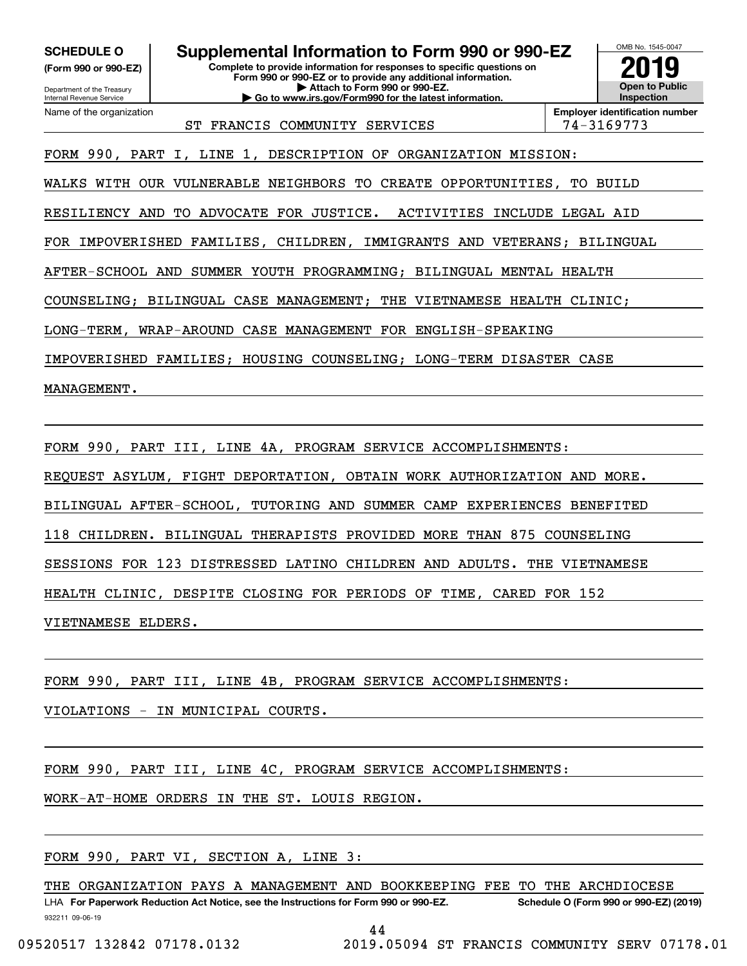**(Form 990 or 990-EZ)**

Department of the Treasury Internal Revenue Service Name of the organization

**SCHEDULE O Supplemental Information to Form 990 or 990-EZ**

**Complete to provide information for responses to specific questions on Form 990 or 990-EZ or to provide any additional information. | Attach to Form 990 or 990-EZ. | Go to www.irs.gov/Form990 for the latest information.**



ST FRANCIS COMMUNITY SERVICES | 74-3169773

**Employer identification number**

FORM 990, PART I, LINE 1, DESCRIPTION OF ORGANIZATION MISSION:

WALKS WITH OUR VULNERABLE NEIGHBORS TO CREATE OPPORTUNITIES, TO BUILD

RESILIENCY AND TO ADVOCATE FOR JUSTICE. ACTIVITIES INCLUDE LEGAL AID

FOR IMPOVERISHED FAMILIES, CHILDREN, IMMIGRANTS AND VETERANS; BILINGUAL

AFTER-SCHOOL AND SUMMER YOUTH PROGRAMMING; BILINGUAL MENTAL HEALTH

COUNSELING; BILINGUAL CASE MANAGEMENT; THE VIETNAMESE HEALTH CLINIC;

LONG-TERM, WRAP-AROUND CASE MANAGEMENT FOR ENGLISH-SPEAKING

IMPOVERISHED FAMILIES; HOUSING COUNSELING; LONG-TERM DISASTER CASE

MANAGEMENT.

FORM 990, PART III, LINE 4A, PROGRAM SERVICE ACCOMPLISHMENTS:

REQUEST ASYLUM, FIGHT DEPORTATION, OBTAIN WORK AUTHORIZATION AND MORE.

BILINGUAL AFTER-SCHOOL, TUTORING AND SUMMER CAMP EXPERIENCES BENEFITED

118 CHILDREN. BILINGUAL THERAPISTS PROVIDED MORE THAN 875 COUNSELING

SESSIONS FOR 123 DISTRESSED LATINO CHILDREN AND ADULTS. THE VIETNAMESE

HEALTH CLINIC, DESPITE CLOSING FOR PERIODS OF TIME, CARED FOR 152

VIETNAMESE ELDERS.

FORM 990, PART III, LINE 4B, PROGRAM SERVICE ACCOMPLISHMENTS:

VIOLATIONS - IN MUNICIPAL COURTS.

FORM 990, PART III, LINE 4C, PROGRAM SERVICE ACCOMPLISHMENTS:

WORK-AT-HOME ORDERS IN THE ST. LOUIS REGION.

FORM 990, PART VI, SECTION A, LINE 3:

932211 09-06-19 LHA For Paperwork Reduction Act Notice, see the Instructions for Form 990 or 990-EZ. Schedule O (Form 990 or 990-EZ) (2019) THE ORGANIZATION PAYS A MANAGEMENT AND BOOKKEEPING FEE TO THE ARCHDIOCESE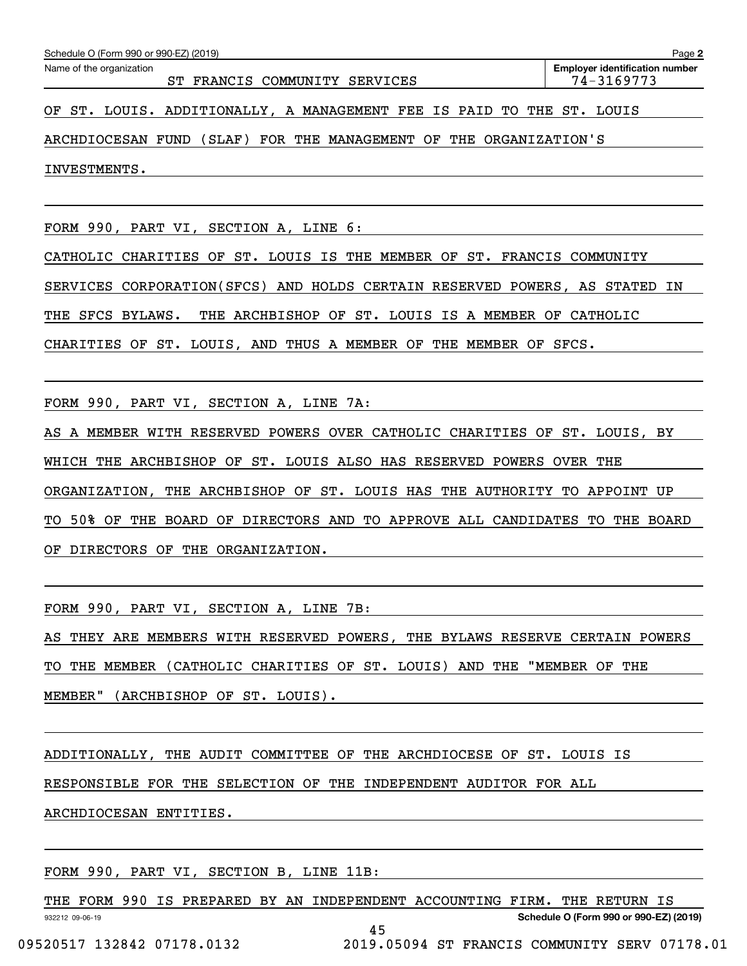| Schedule O (Form 990 or 990-EZ) (2019)                                | Page 2                                              |
|-----------------------------------------------------------------------|-----------------------------------------------------|
| Name of the organization<br>ST FRANCIS COMMUNITY SERVICES             | <b>Employer identification number</b><br>74-3169773 |
| OF ST. LOUIS. ADDITIONALLY, A MANAGEMENT FEE IS PAID TO THE ST. LOUIS |                                                     |
| $\overline{1}$                                                        |                                                     |

ARCHDIOCESAN FUND (SLAF) FOR THE MANAGEMENT OF THE ORGANIZATION'S

INVESTMENTS.

FORM 990, PART VI, SECTION A, LINE 6:

CATHOLIC CHARITIES OF ST. LOUIS IS THE MEMBER OF ST. FRANCIS COMMUNITY SERVICES CORPORATION(SFCS) AND HOLDS CERTAIN RESERVED POWERS, AS STATED IN THE SFCS BYLAWS. THE ARCHBISHOP OF ST. LOUIS IS A MEMBER OF CATHOLIC CHARITIES OF ST. LOUIS, AND THUS A MEMBER OF THE MEMBER OF SFCS.

FORM 990, PART VI, SECTION A, LINE 7A:

AS A MEMBER WITH RESERVED POWERS OVER CATHOLIC CHARITIES OF ST. LOUIS, BY WHICH THE ARCHBISHOP OF ST. LOUIS ALSO HAS RESERVED POWERS OVER THE ORGANIZATION, THE ARCHBISHOP OF ST. LOUIS HAS THE AUTHORITY TO APPOINT UP TO 50% OF THE BOARD OF DIRECTORS AND TO APPROVE ALL CANDIDATES TO THE BOARD OF DIRECTORS OF THE ORGANIZATION.

FORM 990, PART VI, SECTION A, LINE 7B:

AS THEY ARE MEMBERS WITH RESERVED POWERS, THE BYLAWS RESERVE CERTAIN POWERS TO THE MEMBER (CATHOLIC CHARITIES OF ST. LOUIS) AND THE "MEMBER OF THE MEMBER" (ARCHBISHOP OF ST. LOUIS).

ADDITIONALLY, THE AUDIT COMMITTEE OF THE ARCHDIOCESE OF ST. LOUIS IS

RESPONSIBLE FOR THE SELECTION OF THE INDEPENDENT AUDITOR FOR ALL

ARCHDIOCESAN ENTITIES.

FORM 990, PART VI, SECTION B, LINE 11B:

932212 09-06-19 **Schedule O (Form 990 or 990-EZ) (2019)** THE FORM 990 IS PREPARED BY AN INDEPENDENT ACCOUNTING FIRM. THE RETURN IS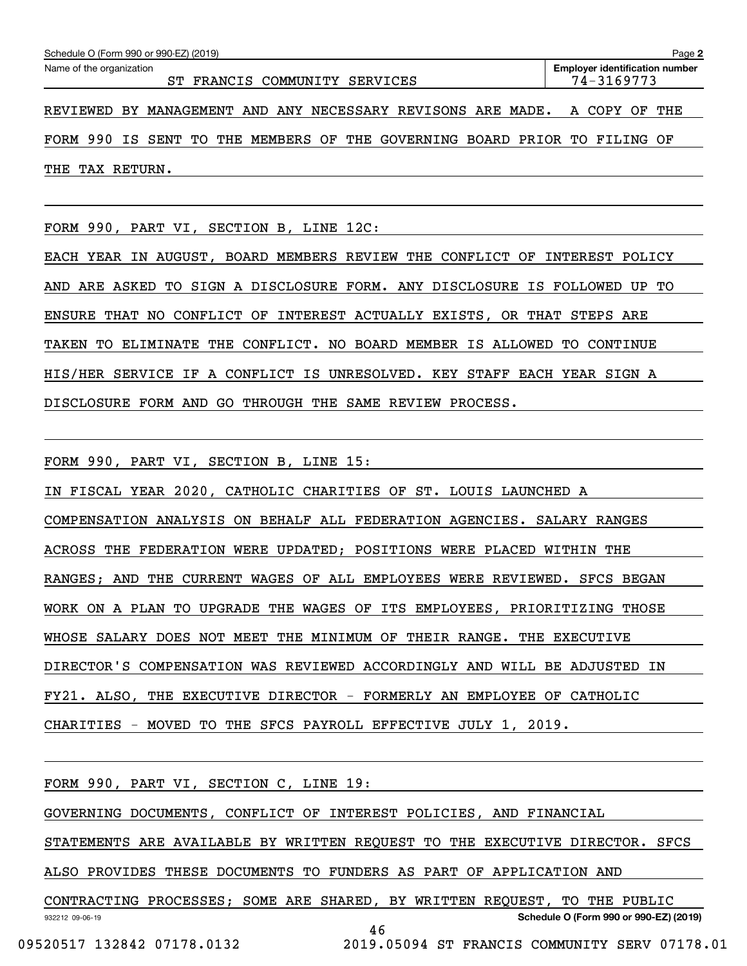| Schedule O (Form 990 or 990-EZ) (2019)                                    | Page 2                                              |  |  |
|---------------------------------------------------------------------------|-----------------------------------------------------|--|--|
| Name of the organization<br>ST FRANCIS COMMUNITY SERVICES                 | <b>Employer identification number</b><br>74-3169773 |  |  |
| REVIEWED BY MANAGEMENT AND ANY NECESSARY REVISONS ARE MADE.               | A COPY OF<br>THE                                    |  |  |
| FORM 990 IS SENT TO THE MEMBERS OF THE GOVERNING BOARD PRIOR TO FILING OF |                                                     |  |  |
| THE TAX RETURN.                                                           |                                                     |  |  |

FORM 990, PART VI, SECTION B, LINE 12C:

EACH YEAR IN AUGUST, BOARD MEMBERS REVIEW THE CONFLICT OF INTEREST POLICY AND ARE ASKED TO SIGN A DISCLOSURE FORM. ANY DISCLOSURE IS FOLLOWED UP TO ENSURE THAT NO CONFLICT OF INTEREST ACTUALLY EXISTS, OR THAT STEPS ARE TAKEN TO ELIMINATE THE CONFLICT. NO BOARD MEMBER IS ALLOWED TO CONTINUE HIS/HER SERVICE IF A CONFLICT IS UNRESOLVED. KEY STAFF EACH YEAR SIGN A DISCLOSURE FORM AND GO THROUGH THE SAME REVIEW PROCESS.

FORM 990, PART VI, SECTION B, LINE 15:

IN FISCAL YEAR 2020, CATHOLIC CHARITIES OF ST. LOUIS LAUNCHED A COMPENSATION ANALYSIS ON BEHALF ALL FEDERATION AGENCIES. SALARY RANGES ACROSS THE FEDERATION WERE UPDATED; POSITIONS WERE PLACED WITHIN THE RANGES; AND THE CURRENT WAGES OF ALL EMPLOYEES WERE REVIEWED. SFCS BEGAN WORK ON A PLAN TO UPGRADE THE WAGES OF ITS EMPLOYEES, PRIORITIZING THOSE WHOSE SALARY DOES NOT MEET THE MINIMUM OF THEIR RANGE. THE EXECUTIVE DIRECTOR'S COMPENSATION WAS REVIEWED ACCORDINGLY AND WILL BE ADJUSTED IN FY21. ALSO, THE EXECUTIVE DIRECTOR - FORMERLY AN EMPLOYEE OF CATHOLIC CHARITIES - MOVED TO THE SFCS PAYROLL EFFECTIVE JULY 1, 2019.

| FORM 990, PART VI, SECTION C, LINE 19: |                                                                             |
|----------------------------------------|-----------------------------------------------------------------------------|
|                                        | GOVERNING DOCUMENTS, CONFLICT OF INTEREST POLICIES, AND FINANCIAL           |
|                                        | STATEMENTS ARE AVAILABLE BY WRITTEN REQUEST TO THE EXECUTIVE DIRECTOR. SFCS |
|                                        | ALSO PROVIDES THESE DOCUMENTS TO FUNDERS AS PART OF APPLICATION AND         |
|                                        | CONTRACTING PROCESSES; SOME ARE SHARED, BY WRITTEN REQUEST, TO THE PUBLIC   |
| 932212 09-06-19                        | Schedule O (Form 990 or 990-EZ) (2019)                                      |
| 09520517 132842 07178.0132             | 46<br>2019.05094 ST FRANCIS COMMUNITY SERV 07178.01                         |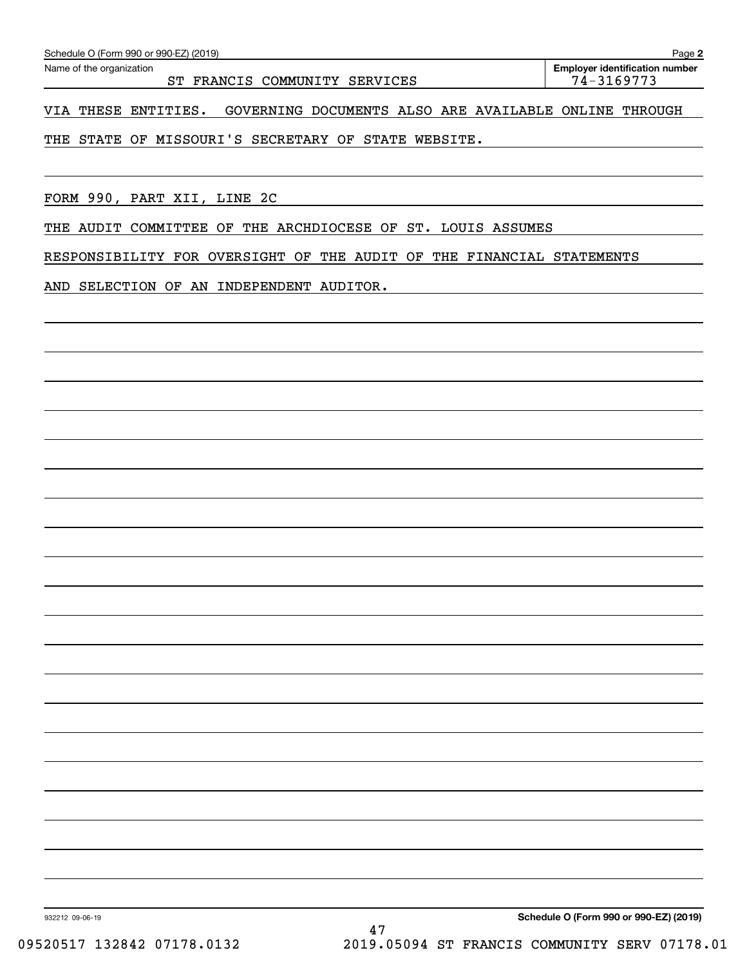**2**

## VIA THESE ENTITIES. GOVERNING DOCUMENTS ALSO ARE AVAILABLE ONLINE THROUGH

THE STATE OF MISSOURI'S SECRETARY OF STATE WEBSITE.

FORM 990, PART XII, LINE 2C

THE AUDIT COMMITTEE OF THE ARCHDIOCESE OF ST. LOUIS ASSUMES

RESPONSIBILITY FOR OVERSIGHT OF THE AUDIT OF THE FINANCIAL STATEMENTS

AND SELECTION OF AN INDEPENDENT AUDITOR.

**Schedule O (Form 990 or 990-EZ) (2019)**

932212 09-06-19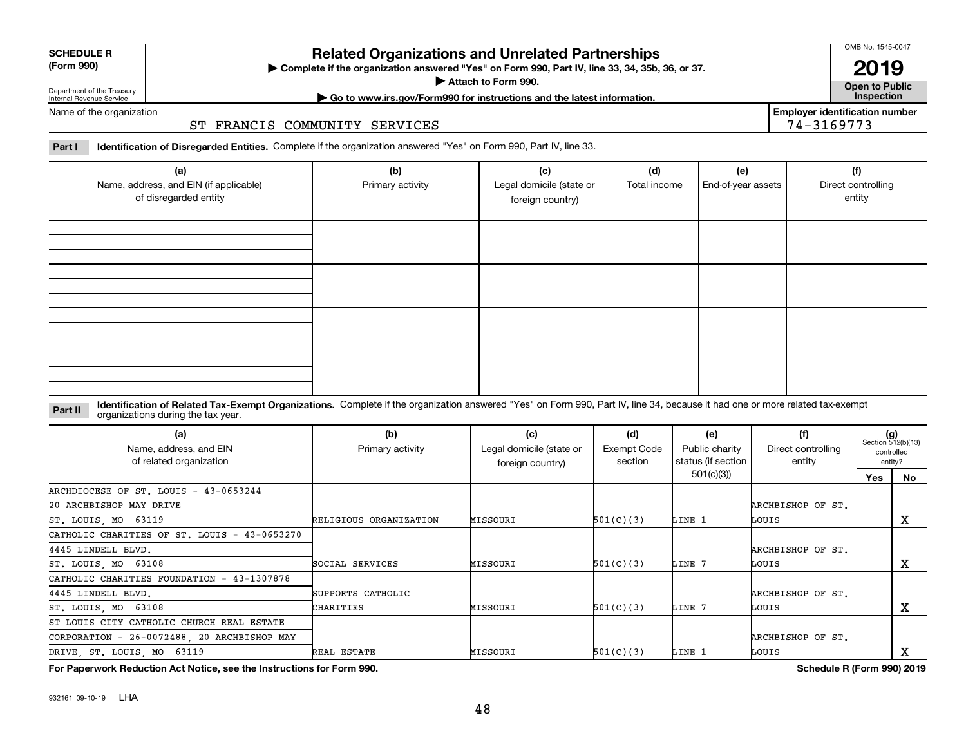932161 09-10-19 LHA

# **Related Organizations and Unrelated Partnerships**

**Complete if the organization answered "Yes" on Form 990, Part IV, line 33, 34, 35b, 36, or 37.** |

**Attach to Form 990.**  |

**Open to Public | Go to www.irs.gov/Form990 for instructions and the latest information. Inspection**

**Employer identification number**

74-3169773

Name of the organization

## ST FRANCIS COMMUNITY SERVICES

**Part I Identification of Disregarded Entities.**  Complete if the organization answered "Yes" on Form 990, Part IV, line 33.

| (a)<br>Name, address, and EIN (if applicable)<br>of disregarded entity | (b)<br>Primary activity | (c)<br>Legal domicile (state or<br>foreign country) | (d)<br>Total income | (e)<br>End-of-year assets | (f)<br>Direct controlling<br>entity |
|------------------------------------------------------------------------|-------------------------|-----------------------------------------------------|---------------------|---------------------------|-------------------------------------|
|                                                                        |                         |                                                     |                     |                           |                                     |
|                                                                        |                         |                                                     |                     |                           |                                     |
|                                                                        |                         |                                                     |                     |                           |                                     |
|                                                                        |                         |                                                     |                     |                           |                                     |

#### **Identification of Related Tax-Exempt Organizations.** Complete if the organization answered "Yes" on Form 990, Part IV, line 34, because it had one or more related tax-exempt **Part II** organizations during the tax year.

| (a)<br>Name, address, and EIN<br>of related organization | (b)<br>Primary activity | (c)<br>Legal domicile (state or<br>foreign country) | (d)<br>Exempt Code<br>section | (e)<br>Public charity<br>status (if section | (f)<br>Direct controlling<br>entity |     | $(g)$<br>Section 512(b)(13)<br>controlled<br>entity? |
|----------------------------------------------------------|-------------------------|-----------------------------------------------------|-------------------------------|---------------------------------------------|-------------------------------------|-----|------------------------------------------------------|
|                                                          |                         |                                                     |                               | 501(c)(3))                                  |                                     | Yes | No                                                   |
| ARCHDIOCESE OF ST. LOUIS - 43-0653244                    |                         |                                                     |                               |                                             |                                     |     |                                                      |
| 20 ARCHBISHOP MAY DRIVE                                  |                         |                                                     |                               |                                             | ARCHBISHOP OF ST.                   |     |                                                      |
| ST. LOUIS, MO 63119                                      | RELIGIOUS ORGANIZATION  | MISSOURI                                            | 501(C)(3)                     | LINE 1                                      | LOUIS                               |     | х                                                    |
| CATHOLIC CHARITIES OF ST. LOUIS - 43-0653270             |                         |                                                     |                               |                                             |                                     |     |                                                      |
| 4445 LINDELL BLVD.                                       |                         |                                                     |                               |                                             | ARCHBISHOP OF ST.                   |     |                                                      |
| ST. LOUIS, MO 63108                                      | SOCIAL SERVICES         | MISSOURI                                            | 501(C)(3)                     | LINE 7                                      | LOUIS                               |     | х                                                    |
| CATHOLIC CHARITIES FOUNDATION - 43-1307878               |                         |                                                     |                               |                                             |                                     |     |                                                      |
| 4445 LINDELL BLVD.                                       | SUPPORTS CATHOLIC       |                                                     |                               |                                             | ARCHBISHOP OF ST.                   |     |                                                      |
| ST. LOUIS, MO 63108                                      | CHARITIES               | MISSOURI                                            | 501(C)(3)                     | LINE 7                                      | LOUIS                               |     | х                                                    |
| ST LOUIS CITY CATHOLIC CHURCH REAL ESTATE                |                         |                                                     |                               |                                             |                                     |     |                                                      |
| CORPORATION - 26-0072488, 20 ARCHBISHOP MAY              |                         |                                                     |                               |                                             | ARCHBISHOP OF ST.                   |     |                                                      |
| DRIVE, ST. LOUIS, MO 63119                               | REAL ESTATE             | MISSOURI                                            | 501(C)(3)                     | LINE 1                                      | LOUIS                               |     |                                                      |

**For Paperwork Reduction Act Notice, see the Instructions for Form 990. Schedule R (Form 990) 2019**



#### **SCHEDULE R (Form 990)**

Department of the Treasury Internal Revenue Service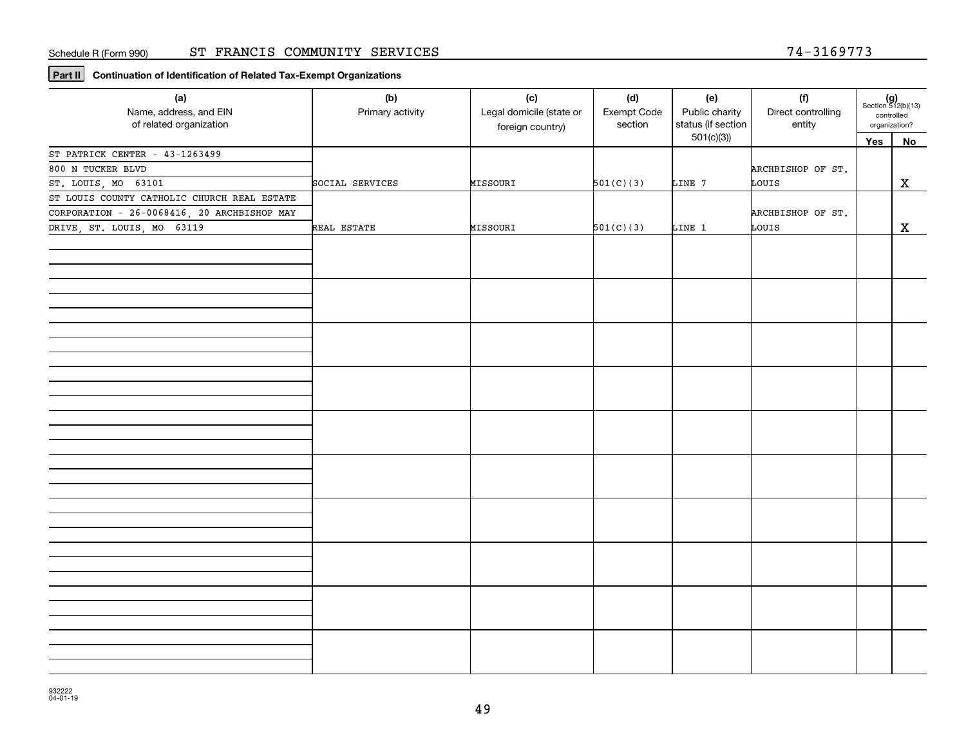**Part II Continuation of Identification of Related Tax-Exempt Organizations**

| (a)<br>Name, address, and EIN<br>of related organization | (b)<br>Primary activity | (c)<br>Legal domicile (state or<br>foreign country) | (d)<br>Exempt Code<br>section | (e)<br>Public charity<br>status (if section | (f)<br>Direct controlling<br>entity | organization? | $(g)$<br>Section 512(b)(13)<br>controlled |
|----------------------------------------------------------|-------------------------|-----------------------------------------------------|-------------------------------|---------------------------------------------|-------------------------------------|---------------|-------------------------------------------|
|                                                          |                         |                                                     |                               | 501(c)(3)                                   |                                     | Yes           | No                                        |
| ST PATRICK CENTER - 43-1263499                           |                         |                                                     |                               |                                             |                                     |               |                                           |
| 800 N TUCKER BLVD                                        |                         |                                                     |                               |                                             | ARCHBISHOP OF ST.                   |               |                                           |
| ST. LOUIS, MO 63101                                      | SOCIAL SERVICES         | MISSOURI                                            | 501(C)(3)                     | LINE 7                                      | LOUIS                               |               | $\mathbf X$                               |
| ST LOUIS COUNTY CATHOLIC CHURCH REAL ESTATE              |                         |                                                     |                               |                                             |                                     |               |                                           |
| CORPORATION - 26-0068416, 20 ARCHBISHOP MAY              |                         |                                                     |                               |                                             | ARCHBISHOP OF ST.                   |               |                                           |
| DRIVE, ST. LOUIS, MO 63119                               | REAL ESTATE             | MISSOURI                                            | 501(C)(3)                     | LINE 1                                      | LOUIS                               |               | $\mathbf x$                               |
|                                                          |                         |                                                     |                               |                                             |                                     |               |                                           |
|                                                          |                         |                                                     |                               |                                             |                                     |               |                                           |
|                                                          |                         |                                                     |                               |                                             |                                     |               |                                           |
|                                                          |                         |                                                     |                               |                                             |                                     |               |                                           |
|                                                          |                         |                                                     |                               |                                             |                                     |               |                                           |
|                                                          |                         |                                                     |                               |                                             |                                     |               |                                           |
|                                                          |                         |                                                     |                               |                                             |                                     |               |                                           |
|                                                          |                         |                                                     |                               |                                             |                                     |               |                                           |
|                                                          |                         |                                                     |                               |                                             |                                     |               |                                           |
|                                                          |                         |                                                     |                               |                                             |                                     |               |                                           |
|                                                          |                         |                                                     |                               |                                             |                                     |               |                                           |
|                                                          |                         |                                                     |                               |                                             |                                     |               |                                           |
|                                                          |                         |                                                     |                               |                                             |                                     |               |                                           |
|                                                          |                         |                                                     |                               |                                             |                                     |               |                                           |
|                                                          |                         |                                                     |                               |                                             |                                     |               |                                           |
|                                                          |                         |                                                     |                               |                                             |                                     |               |                                           |
|                                                          |                         |                                                     |                               |                                             |                                     |               |                                           |
|                                                          |                         |                                                     |                               |                                             |                                     |               |                                           |
|                                                          |                         |                                                     |                               |                                             |                                     |               |                                           |
|                                                          |                         |                                                     |                               |                                             |                                     |               |                                           |
|                                                          |                         |                                                     |                               |                                             |                                     |               |                                           |
|                                                          |                         |                                                     |                               |                                             |                                     |               |                                           |
|                                                          |                         |                                                     |                               |                                             |                                     |               |                                           |
|                                                          |                         |                                                     |                               |                                             |                                     |               |                                           |
|                                                          |                         |                                                     |                               |                                             |                                     |               |                                           |
|                                                          |                         |                                                     |                               |                                             |                                     |               |                                           |
|                                                          |                         |                                                     |                               |                                             |                                     |               |                                           |
|                                                          |                         |                                                     |                               |                                             |                                     |               |                                           |
|                                                          |                         |                                                     |                               |                                             |                                     |               |                                           |
|                                                          |                         |                                                     |                               |                                             |                                     |               |                                           |
|                                                          |                         |                                                     |                               |                                             |                                     |               |                                           |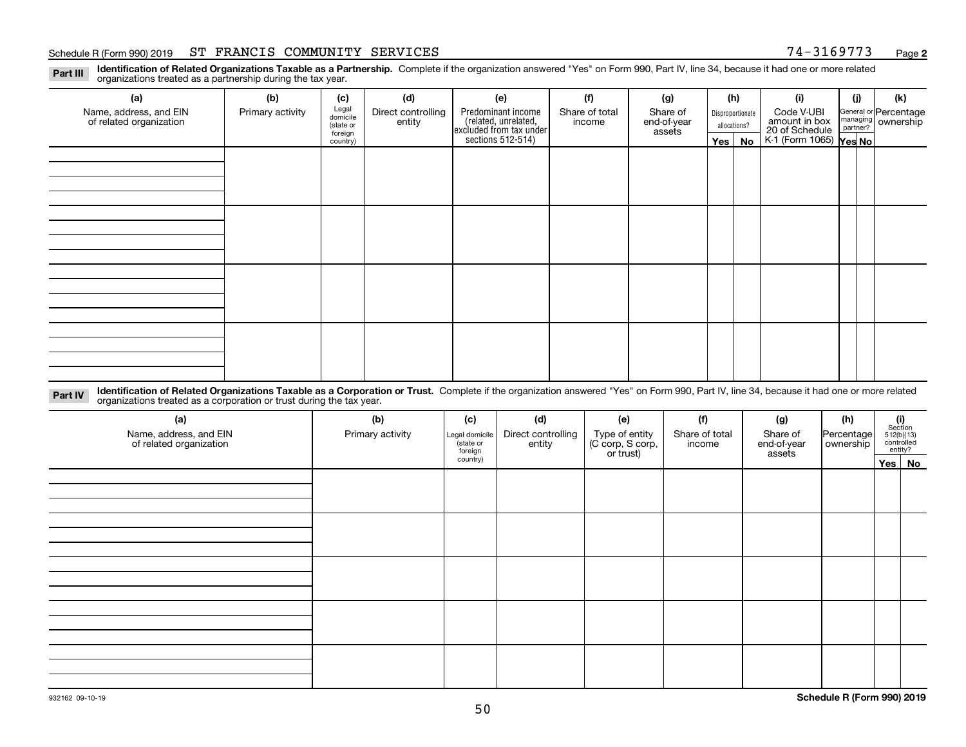#### Schedule R (Form 990) 2019 **ST FRANCIS COMMUNITY SERVICES** 7 4-3169773 <sub>Page</sub>

**2**

**Identification of Related Organizations Taxable as a Partnership.** Complete if the organization answered "Yes" on Form 990, Part IV, line 34, because it had one or more related **Part III** organizations treated as a partnership during the tax year.

| (a)                                               | (b)              | (c)                  | (d)                          | (e)                                                                 | (f)                      | (g)                     |                                  | (h) | (i)                                      | (j) | (k)                                                       |
|---------------------------------------------------|------------------|----------------------|------------------------------|---------------------------------------------------------------------|--------------------------|-------------------------|----------------------------------|-----|------------------------------------------|-----|-----------------------------------------------------------|
| Name, address, and EIN<br>of related organization | Primary activity | Legal<br>domicile    | Direct controlling<br>entity | Predominant income                                                  | Share of total<br>income | Share of<br>end-of-year | Disproportionate<br>allocations? |     | Code V-UBI<br>amount in box              |     | General or Percentage<br>managing<br>partner?<br>partner? |
|                                                   |                  | (state or<br>foreign |                              |                                                                     |                          | assets                  |                                  |     |                                          |     |                                                           |
|                                                   |                  | country)             |                              | related, unrelated,<br>excluded from tax under<br>sections 512-514) |                          |                         | Yes $ $                          | No  | 20 of Schedule<br>K-1 (Form 1065) Yes No |     |                                                           |
|                                                   |                  |                      |                              |                                                                     |                          |                         |                                  |     |                                          |     |                                                           |
|                                                   |                  |                      |                              |                                                                     |                          |                         |                                  |     |                                          |     |                                                           |
|                                                   |                  |                      |                              |                                                                     |                          |                         |                                  |     |                                          |     |                                                           |
|                                                   |                  |                      |                              |                                                                     |                          |                         |                                  |     |                                          |     |                                                           |
|                                                   |                  |                      |                              |                                                                     |                          |                         |                                  |     |                                          |     |                                                           |
|                                                   |                  |                      |                              |                                                                     |                          |                         |                                  |     |                                          |     |                                                           |
|                                                   |                  |                      |                              |                                                                     |                          |                         |                                  |     |                                          |     |                                                           |
|                                                   |                  |                      |                              |                                                                     |                          |                         |                                  |     |                                          |     |                                                           |
|                                                   |                  |                      |                              |                                                                     |                          |                         |                                  |     |                                          |     |                                                           |
|                                                   |                  |                      |                              |                                                                     |                          |                         |                                  |     |                                          |     |                                                           |
|                                                   |                  |                      |                              |                                                                     |                          |                         |                                  |     |                                          |     |                                                           |
|                                                   |                  |                      |                              |                                                                     |                          |                         |                                  |     |                                          |     |                                                           |
|                                                   |                  |                      |                              |                                                                     |                          |                         |                                  |     |                                          |     |                                                           |
|                                                   |                  |                      |                              |                                                                     |                          |                         |                                  |     |                                          |     |                                                           |
|                                                   |                  |                      |                              |                                                                     |                          |                         |                                  |     |                                          |     |                                                           |
|                                                   |                  |                      |                              |                                                                     |                          |                         |                                  |     |                                          |     |                                                           |
|                                                   |                  |                      |                              |                                                                     |                          |                         |                                  |     |                                          |     |                                                           |

**Identification of Related Organizations Taxable as a Corporation or Trust.** Complete if the organization answered "Yes" on Form 990, Part IV, line 34, because it had one or more related **Part IV** organizations treated as a corporation or trust during the tax year.

| (a)<br>Name, address, and EIN<br>of related organization | (b)<br>Primary activity | (c)<br>Legal domicile<br>state or<br>foreign | (d)<br>Direct controlling<br>entity | (e)<br>Type of entity<br>(C corp, S corp,<br>or trust) | (f)<br>Share of total<br>income | (g)<br>Share of<br>end-of-year<br>assets | (h)<br>Percentage<br>ownership | $(i)$ Section<br>512(b)(13)<br>controlled<br>entity? |        |
|----------------------------------------------------------|-------------------------|----------------------------------------------|-------------------------------------|--------------------------------------------------------|---------------------------------|------------------------------------------|--------------------------------|------------------------------------------------------|--------|
|                                                          |                         | country)                                     |                                     |                                                        |                                 |                                          |                                |                                                      | Yes No |
|                                                          |                         |                                              |                                     |                                                        |                                 |                                          |                                |                                                      |        |
|                                                          |                         |                                              |                                     |                                                        |                                 |                                          |                                |                                                      |        |
|                                                          |                         |                                              |                                     |                                                        |                                 |                                          |                                |                                                      |        |
|                                                          |                         |                                              |                                     |                                                        |                                 |                                          |                                |                                                      |        |
|                                                          |                         |                                              |                                     |                                                        |                                 |                                          |                                |                                                      |        |
|                                                          |                         |                                              |                                     |                                                        |                                 |                                          |                                |                                                      |        |
|                                                          |                         |                                              |                                     |                                                        |                                 |                                          |                                |                                                      |        |
|                                                          |                         |                                              |                                     |                                                        |                                 |                                          |                                |                                                      |        |
|                                                          |                         |                                              |                                     |                                                        |                                 |                                          |                                |                                                      |        |
|                                                          |                         |                                              |                                     |                                                        |                                 |                                          |                                |                                                      |        |
|                                                          |                         |                                              |                                     |                                                        |                                 |                                          |                                |                                                      |        |
|                                                          |                         |                                              |                                     |                                                        |                                 |                                          |                                |                                                      |        |
|                                                          |                         |                                              |                                     |                                                        |                                 |                                          |                                |                                                      |        |
|                                                          |                         |                                              |                                     |                                                        |                                 |                                          |                                |                                                      |        |
|                                                          |                         |                                              |                                     |                                                        |                                 |                                          |                                |                                                      |        |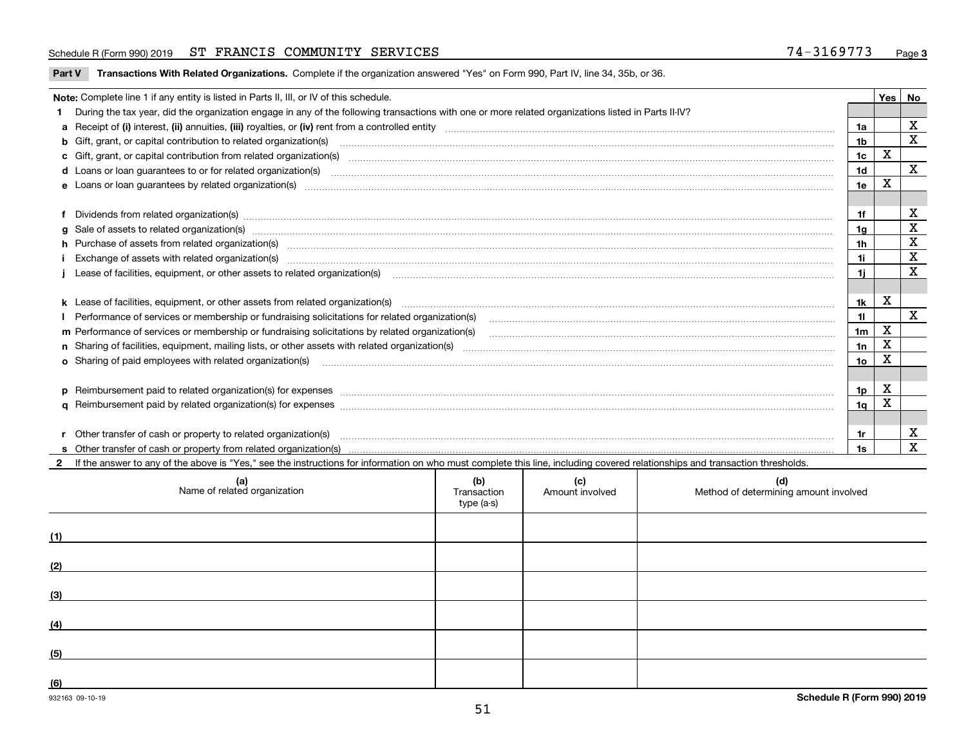#### Schedule R (Form 990) 2019 **ST FRANCIS COMMUNITY SERVICES** 7 4-3169773 <sub>Page</sub>

**Part V** T**ransactions With Related Organizations.** Complete if the organization answered "Yes" on Form 990, Part IV, line 34, 35b, or 36.

|                                                                                         |                                                                                                                                                                                                                                |                | Yes         | No           |  |  |  |
|-----------------------------------------------------------------------------------------|--------------------------------------------------------------------------------------------------------------------------------------------------------------------------------------------------------------------------------|----------------|-------------|--------------|--|--|--|
| Note: Complete line 1 if any entity is listed in Parts II, III, or IV of this schedule. |                                                                                                                                                                                                                                |                |             |              |  |  |  |
|                                                                                         | During the tax year, did the organization engage in any of the following transactions with one or more related organizations listed in Parts II-IV?                                                                            |                |             | X            |  |  |  |
|                                                                                         |                                                                                                                                                                                                                                |                |             |              |  |  |  |
|                                                                                         | <b>b</b> Gift, grant, or capital contribution to related organization(s)                                                                                                                                                       |                |             |              |  |  |  |
|                                                                                         | c Gift, grant, or capital contribution from related organization(s) material contracts and contribution from related organization(s) material contents and contribution from related organization(s) material contents and con | 1 <sub>c</sub> | $\mathbf X$ |              |  |  |  |
|                                                                                         |                                                                                                                                                                                                                                | 1 <sub>d</sub> |             | X            |  |  |  |
|                                                                                         |                                                                                                                                                                                                                                | 1e             | X           |              |  |  |  |
|                                                                                         |                                                                                                                                                                                                                                |                |             |              |  |  |  |
|                                                                                         | Dividends from related organization(s) manufactured and contract and contract and contract and contract and contract and contract and contract and contract and contract and contract and contract and contract and contract a | 1f             |             | х            |  |  |  |
|                                                                                         | g Sale of assets to related organization(s) www.assettion.com/www.assettion.com/www.assettion.com/www.assettion.com/www.assettion.com/www.assettion.com/www.assettion.com/www.assettion.com/www.assettion.com/www.assettion.co | 1g             |             | X            |  |  |  |
|                                                                                         | h Purchase of assets from related organization(s) manufactured content to content the content of the content of the content of the content of the content of the content of the content of the content of the content of the c | 1h             |             | X            |  |  |  |
|                                                                                         | Exchange of assets with related organization(s) manufactured and content and content and content and content and content and content and content and content and content and content and content and content and content and c | 1i.            |             | $\mathbf x$  |  |  |  |
|                                                                                         | Lease of facilities, equipment, or other assets to related organization(s) [11] manufactured manufactured manufactured manufactured manufactured manufactured manufactured manufactured manufactured manufactured manufactured | 1i.            |             | X            |  |  |  |
|                                                                                         |                                                                                                                                                                                                                                |                |             |              |  |  |  |
|                                                                                         |                                                                                                                                                                                                                                | 1k             | X           |              |  |  |  |
|                                                                                         |                                                                                                                                                                                                                                | 11             |             | $\mathbf{x}$ |  |  |  |
|                                                                                         | m Performance of services or membership or fundraising solicitations by related organization(s)                                                                                                                                | 1 <sub>m</sub> | $\mathbf X$ |              |  |  |  |
|                                                                                         |                                                                                                                                                                                                                                | 1n             | X           |              |  |  |  |
|                                                                                         | <b>o</b> Sharing of paid employees with related organization(s)                                                                                                                                                                | 1o             | x           |              |  |  |  |
|                                                                                         |                                                                                                                                                                                                                                |                |             |              |  |  |  |
|                                                                                         |                                                                                                                                                                                                                                | 1p             | X           |              |  |  |  |
|                                                                                         |                                                                                                                                                                                                                                | 1q             | X           |              |  |  |  |
|                                                                                         |                                                                                                                                                                                                                                |                |             |              |  |  |  |
|                                                                                         | Other transfer of cash or property to related organization(s)                                                                                                                                                                  | 1r             |             | х            |  |  |  |
|                                                                                         |                                                                                                                                                                                                                                | 1s             |             | $\mathbf{x}$ |  |  |  |
|                                                                                         | 2 If the answer to any of the above is "Yes," see the instructions for information on who must complete this line, including covered relationships and transaction thresholds.                                                 |                |             |              |  |  |  |

|     | (a)<br>Name of related organization | (b)<br>Transaction<br>type (a-s) | (c)<br>Amount involved | (d)<br>Method of determining amount involved |
|-----|-------------------------------------|----------------------------------|------------------------|----------------------------------------------|
| (1) |                                     |                                  |                        |                                              |
| (2) |                                     |                                  |                        |                                              |
| (3) |                                     |                                  |                        |                                              |
| (4) |                                     |                                  |                        |                                              |
| (5) |                                     |                                  |                        |                                              |
| (6) |                                     |                                  |                        |                                              |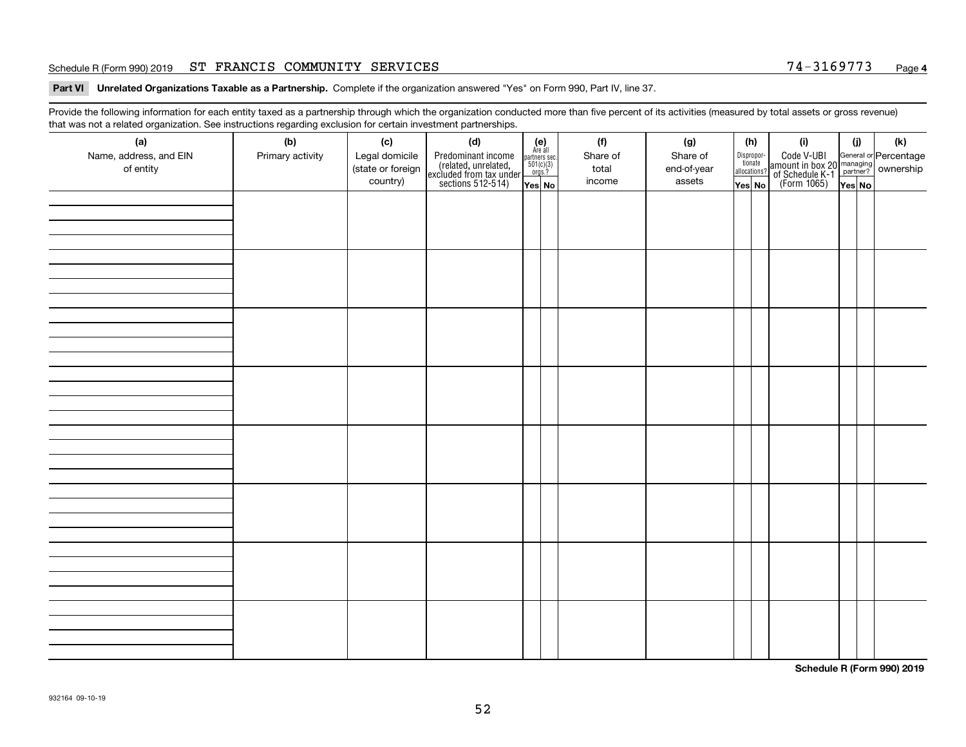#### Schedule R (Form 990) 2019 **ST FRANCIS COMMUNITY SERVICES** 7 4-3169773 <sub>Page</sub>

**Part VI Unrelated Organizations Taxable as a Partnership. Complete if the organization answered "Yes" on Form 990, Part IV, line 37.** 

Provide the following information for each entity taxed as a partnership through which the organization conducted more than five percent of its activities (measured by total assets or gross revenue) that was not a related organization. See instructions regarding exclusion for certain investment partnerships.

| ັ                      | ັ<br>ັ           |                   |                                                                                            |                                                                                     |  |          |             |  |                                       |                                                                                                                                      |        |     |
|------------------------|------------------|-------------------|--------------------------------------------------------------------------------------------|-------------------------------------------------------------------------------------|--|----------|-------------|--|---------------------------------------|--------------------------------------------------------------------------------------------------------------------------------------|--------|-----|
| (a)                    | (b)              | (c)               | (d)                                                                                        | (e)<br>Are all                                                                      |  | (f)      | (g)         |  | (h)                                   | (i)                                                                                                                                  | (i)    | (k) |
| Name, address, and EIN | Primary activity | Legal domicile    |                                                                                            | $\begin{array}{c}\n\text{partners} \sec.\n\\ \n501(c)(3)\n\\ \n0rgs.?\n\end{array}$ |  | Share of | Share of    |  | Dispropor-<br>tionate<br>allocations? |                                                                                                                                      |        |     |
| of entity              |                  | (state or foreign | Predominant income<br>(related, unrelated,<br>excluded from tax under<br>sections 512-514) |                                                                                     |  | total    | end-of-year |  |                                       | Code V-UBI<br> amount in box 20 managing<br>  of Schedule K-1 partner? ownership<br>  of Schedule K-1 partner? ownership<br>  Yes No |        |     |
|                        |                  | country)          |                                                                                            | Yes No                                                                              |  | income   | assets      |  | Yes No                                |                                                                                                                                      | Yes No |     |
|                        |                  |                   |                                                                                            |                                                                                     |  |          |             |  |                                       |                                                                                                                                      |        |     |
|                        |                  |                   |                                                                                            |                                                                                     |  |          |             |  |                                       |                                                                                                                                      |        |     |
|                        |                  |                   |                                                                                            |                                                                                     |  |          |             |  |                                       |                                                                                                                                      |        |     |
|                        |                  |                   |                                                                                            |                                                                                     |  |          |             |  |                                       |                                                                                                                                      |        |     |
|                        |                  |                   |                                                                                            |                                                                                     |  |          |             |  |                                       |                                                                                                                                      |        |     |
|                        |                  |                   |                                                                                            |                                                                                     |  |          |             |  |                                       |                                                                                                                                      |        |     |
|                        |                  |                   |                                                                                            |                                                                                     |  |          |             |  |                                       |                                                                                                                                      |        |     |
|                        |                  |                   |                                                                                            |                                                                                     |  |          |             |  |                                       |                                                                                                                                      |        |     |
|                        |                  |                   |                                                                                            |                                                                                     |  |          |             |  |                                       |                                                                                                                                      |        |     |
|                        |                  |                   |                                                                                            |                                                                                     |  |          |             |  |                                       |                                                                                                                                      |        |     |
|                        |                  |                   |                                                                                            |                                                                                     |  |          |             |  |                                       |                                                                                                                                      |        |     |
|                        |                  |                   |                                                                                            |                                                                                     |  |          |             |  |                                       |                                                                                                                                      |        |     |
|                        |                  |                   |                                                                                            |                                                                                     |  |          |             |  |                                       |                                                                                                                                      |        |     |
|                        |                  |                   |                                                                                            |                                                                                     |  |          |             |  |                                       |                                                                                                                                      |        |     |
|                        |                  |                   |                                                                                            |                                                                                     |  |          |             |  |                                       |                                                                                                                                      |        |     |
|                        |                  |                   |                                                                                            |                                                                                     |  |          |             |  |                                       |                                                                                                                                      |        |     |
|                        |                  |                   |                                                                                            |                                                                                     |  |          |             |  |                                       |                                                                                                                                      |        |     |
|                        |                  |                   |                                                                                            |                                                                                     |  |          |             |  |                                       |                                                                                                                                      |        |     |
|                        |                  |                   |                                                                                            |                                                                                     |  |          |             |  |                                       |                                                                                                                                      |        |     |
|                        |                  |                   |                                                                                            |                                                                                     |  |          |             |  |                                       |                                                                                                                                      |        |     |
|                        |                  |                   |                                                                                            |                                                                                     |  |          |             |  |                                       |                                                                                                                                      |        |     |
|                        |                  |                   |                                                                                            |                                                                                     |  |          |             |  |                                       |                                                                                                                                      |        |     |
|                        |                  |                   |                                                                                            |                                                                                     |  |          |             |  |                                       |                                                                                                                                      |        |     |
|                        |                  |                   |                                                                                            |                                                                                     |  |          |             |  |                                       |                                                                                                                                      |        |     |
|                        |                  |                   |                                                                                            |                                                                                     |  |          |             |  |                                       |                                                                                                                                      |        |     |
|                        |                  |                   |                                                                                            |                                                                                     |  |          |             |  |                                       |                                                                                                                                      |        |     |
|                        |                  |                   |                                                                                            |                                                                                     |  |          |             |  |                                       |                                                                                                                                      |        |     |
|                        |                  |                   |                                                                                            |                                                                                     |  |          |             |  |                                       |                                                                                                                                      |        |     |
|                        |                  |                   |                                                                                            |                                                                                     |  |          |             |  |                                       |                                                                                                                                      |        |     |
|                        |                  |                   |                                                                                            |                                                                                     |  |          |             |  |                                       |                                                                                                                                      |        |     |
|                        |                  |                   |                                                                                            |                                                                                     |  |          |             |  |                                       |                                                                                                                                      |        |     |
|                        |                  |                   |                                                                                            |                                                                                     |  |          |             |  |                                       |                                                                                                                                      |        |     |
|                        |                  |                   |                                                                                            |                                                                                     |  |          |             |  |                                       |                                                                                                                                      |        |     |
|                        |                  |                   |                                                                                            |                                                                                     |  |          |             |  |                                       |                                                                                                                                      |        |     |
|                        |                  |                   |                                                                                            |                                                                                     |  |          |             |  |                                       |                                                                                                                                      |        |     |
|                        |                  |                   |                                                                                            |                                                                                     |  |          |             |  |                                       |                                                                                                                                      |        |     |

**Schedule R (Form 990) 2019**